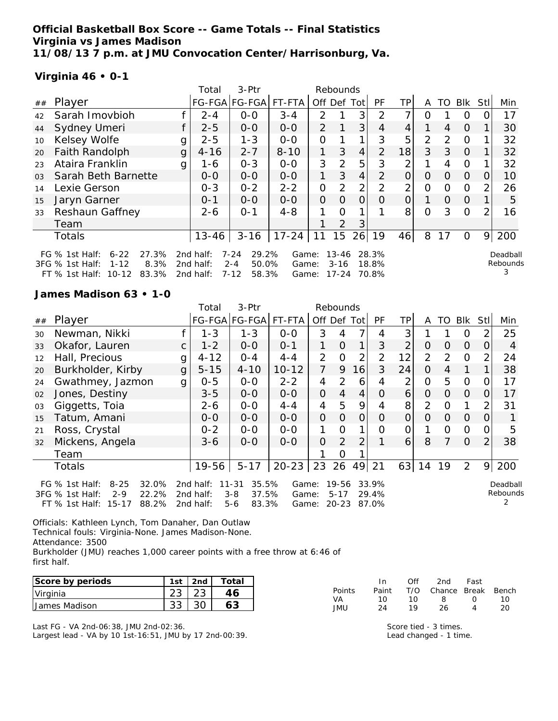### **Official Basketball Box Score -- Game Totals -- Final Statistics Virginia vs James Madison 11/08/13 7 p.m. at JMU Convocation Center/Harrisonburg, Va.**

FT % 1st Half: 10-12 83.3% 2nd half: 7-12 58.3% Game: 17-24 70.8%

#### **Virginia 46 • 0-1**

|                |                                                                                                              |   | Total                              | $3-Ptr$<br>Rebounds                                        |                |                     |                       |          |                |                |          |               |                |                  |                      |
|----------------|--------------------------------------------------------------------------------------------------------------|---|------------------------------------|------------------------------------------------------------|----------------|---------------------|-----------------------|----------|----------------|----------------|----------|---------------|----------------|------------------|----------------------|
| ##             | Player                                                                                                       |   | FG-FGA FG-FGA  FT-FTA              |                                                            |                | Off                 | Def                   | Tot      | PF             | ΤP             | A        | TO            | Blk            | Stl              | Min                  |
| 42             | Sarah Imovbioh                                                                                               |   | $2 - 4$                            | $0 - 0$                                                    | $3 - 4$        | 2                   |                       | 3        | $\mathcal{P}$  |                | Ω        |               | 0              |                  | 17                   |
| 44             | Sydney Umeri                                                                                                 |   | $2 - 5$                            | $0 - 0$                                                    | $0 - 0$        | $\mathcal{P}$       | 1                     | 3        | 4              | 4              |          | 4             | $\Omega$       |                  | 30                   |
| 10             | Kelsey Wolfe                                                                                                 | g | $2 - 5$                            | $1 - 3$                                                    | $0 - 0$        | O                   |                       | 1        | 3              | 5              | 2        | $\mathcal{P}$ | $\Omega$       |                  | 32                   |
| 20             | Faith Randolph                                                                                               | g | $4 - 16$                           | $2 - 7$                                                    | $8 - 10$       | 1.                  | 3                     | 4        | $\overline{2}$ | 18             | 3        | $\mathcal{S}$ | $\overline{0}$ |                  | 32                   |
| 23             | Ataira Franklin                                                                                              | g | 1-6                                | $0 - 3$                                                    | $0 - 0$        | 3                   | $\mathcal{P}$         | 5        | 3              | 2              |          | 4             | 0              |                  | 32                   |
| 0 <sub>3</sub> | Sarah Beth Barnette                                                                                          |   | $0 - 0$                            | $0-0$                                                      | $0-0$          | 1                   | 3                     | 4        | $\mathcal{P}$  | 0              | 0        | $\Omega$      | $\Omega$       | $\left( \right)$ | 10                   |
| 14             | Lexie Gerson                                                                                                 |   | $0 - 3$                            | $0 - 2$                                                    | $2 - 2$        | O                   | 2                     | 2        | $\mathcal{P}$  | 2              | 0        | $\Omega$      | $\Omega$       |                  | 26                   |
| 15             | Jaryn Garner                                                                                                 |   | $O - 1$                            | $0 - 0$                                                    | $0 - 0$        | $\Omega$            | $\Omega$              | $\Omega$ | Ω              | $\overline{O}$ |          | $\Omega$      | $\Omega$       |                  | 5                    |
| 33             | Reshaun Gaffney                                                                                              |   | $2 - 6$                            | $O - 1$                                                    | $4 - 8$        |                     | Ω                     |          |                | 8              | $\Omega$ | 3             | $\Omega$       |                  | 16                   |
|                | Team                                                                                                         |   |                                    |                                                            |                |                     | 2                     | 3        |                |                |          |               |                |                  |                      |
|                | Totals                                                                                                       |   | 13-46                              | $3 - 16$                                                   | $17 - 24$      | 11                  | 15                    | 26       | 19             | 46             | 8        | 17            | $\Omega$       | 9                | 200                  |
|                | $6 - 22$<br>27.3%<br>FG $%$ 1st Half:<br>3FG % 1st Half:<br>8.3%<br>$1 - 12$<br>FT % 1 ct Half 0 10 10 23 3% |   | 2nd half:<br>2nd half:<br>2nd half | $7 - 24$<br>29.2%<br>$2 - 4$<br>50.0%<br>$7 - 12$<br>58 3% | Game:<br>Game: | $Gama: 17-24$ 70.8% | $13 - 46$<br>$3 - 16$ |          | 28.3%<br>18.8% |                |          |               |                |                  | Deadball<br>Rebounds |

**James Madison 63 • 1-0**

|    |                                                                                                                      |              | Total                               | 3-Ptr                                                  |                         |                | Rebounds                       |                |                         |                |                |                |                |                |                           |
|----|----------------------------------------------------------------------------------------------------------------------|--------------|-------------------------------------|--------------------------------------------------------|-------------------------|----------------|--------------------------------|----------------|-------------------------|----------------|----------------|----------------|----------------|----------------|---------------------------|
| ## | Player                                                                                                               |              |                                     | FG-FGA FG-FGA                                          | FT-FTA                  |                |                                | Off Def Tot    | <b>PF</b>               | TP             | A              | TO.            | Blk            | <b>Stl</b>     | Min                       |
| 30 | Newman, Nikki                                                                                                        |              | $1 - 3$                             | $1 - 3$                                                | $0-0$                   | 3              |                                | 7              | 4                       | 3              |                |                | O              | $\overline{2}$ | 25                        |
| 33 | Okafor, Lauren                                                                                                       | C.           | $1 - 2$                             | $0-0$                                                  | $0 - 1$                 | 1              | $\Omega$                       | 1              | 3                       | 2              | $\overline{O}$ | 0              | $\Omega$       | 0              | 4                         |
| 12 | Hall, Precious                                                                                                       | g            | $4 - 12$                            | $0 - 4$                                                | $4 - 4$                 | $\overline{2}$ | $\overline{O}$                 | 2              | $\overline{2}$          | 12             | $\overline{2}$ | $\overline{2}$ | $\overline{O}$ | 2              | 24                        |
| 20 | Burkholder, Kirby                                                                                                    | $\mathbf{g}$ | $5 - 15$                            | $4 - 10$                                               | $10 - 12$               | $\overline{7}$ | 9                              | 16             | 3                       | 24             | $\Omega$       | 4              |                | 1.             | 38                        |
| 24 | Gwathmey, Jazmon                                                                                                     | g            | $0 - 5$                             | $O-O$                                                  | $2 - 2$                 | 4              | 2                              | 6              | 4                       | 2              | $\overline{O}$ | 5              | $\Omega$       | 0              | 17                        |
| 02 | Jones, Destiny                                                                                                       |              | $3 - 5$                             | $O-O$                                                  | $O-O$                   | $\overline{O}$ | $\overline{4}$                 | 4              | $\Omega$                | 6              | $\Omega$       | $\Omega$       | $\Omega$       | $\Omega$       | 17                        |
| 03 | Giggetts, Toia                                                                                                       |              | $2 - 6$                             | $O-O$                                                  | $4 - 4$                 | 4              | 5                              | 9              | 4                       | 8              | $\overline{2}$ | $\Omega$       | 1              | $\overline{2}$ | 31                        |
| 15 | Tatum, Amani                                                                                                         |              | $0 - 0$                             | $0-0$                                                  | $0-0$                   | $\overline{O}$ | $\Omega$                       | $\overline{O}$ | O                       | $\overline{O}$ | $\Omega$       | 0              | O              | 0              |                           |
| 21 | Ross, Crystal                                                                                                        |              | $0 - 2$                             | $0-0$                                                  | $O-O$                   | 1              | $\Omega$                       | 1              | 0                       | $\mathcal{O}$  |                | 0              | $\Omega$       | 0              | 5                         |
| 32 | Mickens, Angela                                                                                                      |              | 3-6                                 | $0-0$                                                  | $0-0$                   | $\Omega$       | $\overline{2}$                 | $\overline{2}$ |                         | 6              | 8              | 7              | $\Omega$       | $\overline{2}$ | 38                        |
|    | Team                                                                                                                 |              |                                     |                                                        |                         |                | $\Omega$                       |                |                         |                |                |                |                |                |                           |
|    | Totals                                                                                                               |              | 19-56                               | $5 - 17$                                               | $20 - 23$               | 23             | 26                             | 49             | 21                      | 63             | 14             | 19             | $\overline{2}$ | 9              | 200                       |
|    | $8 - 25$<br>32.0%<br>FG % 1st Half:<br>3FG % 1st Half:<br>22.2%<br>$2 - 9$<br>$15 - 17$<br>88.2%<br>$FT$ % 1st Half: |              | 2nd half:<br>2nd half:<br>2nd half: | 35.5%<br>11-31<br>37.5%<br>$3 - 8$<br>$5 - 6$<br>83.3% | Game:<br>Game:<br>Game: |                | 19-56<br>$5 - 17$<br>$20 - 23$ |                | 33.9%<br>29.4%<br>87.0% |                |                |                |                |                | Deadball<br>Rebounds<br>2 |

Officials: Kathleen Lynch, Tom Danaher, Dan Outlaw Technical fouls: Virginia-None. James Madison-None. Attendance: 3500 Burkholder (JMU) reaches 1,000 career points with a free throw at 6:46 of first half.

| Score by periods | 1st      | 2 <sub>nd</sub> | otal <sup>.</sup> |           | In    | Ofi | 2nd    | Fast         |       |
|------------------|----------|-----------------|-------------------|-----------|-------|-----|--------|--------------|-------|
| Virginia         | ົດ<br>∠J | $\cap$<br>∠J    | 46                | Points    | Paint | T/O | Chance | <b>Break</b> | Bench |
| James Madison    | າາ<br>აა | 30              |                   | VA<br>JMU | 24    |     | 26     |              | 20    |

Last FG - VA 2nd-06:38, JMU 2nd-02:36. Largest lead - VA by 10 1st-16:51, JMU by 17 2nd-00:39. Score tied - 3 times. Lead changed - 1 time.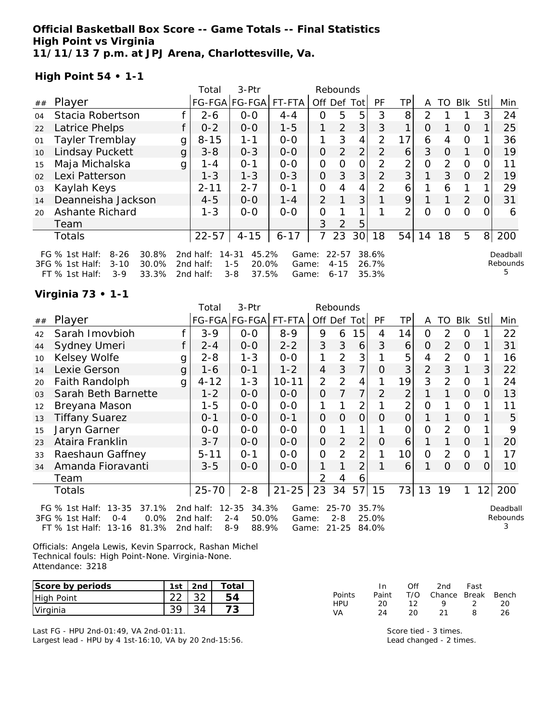### **Official Basketball Box Score -- Game Totals -- Final Statistics High Point vs Virginia 11/11/13 7 p.m. at JPJ Arena, Charlottesville, Va.**

**High Point 54 • 1-1**

|    |                                                                                                                     |   | 3-Ptr<br>Total<br>Rebounds          |                                                            |                         |                |                                   |                 |                         |                |    |                |          |                |                           |
|----|---------------------------------------------------------------------------------------------------------------------|---|-------------------------------------|------------------------------------------------------------|-------------------------|----------------|-----------------------------------|-----------------|-------------------------|----------------|----|----------------|----------|----------------|---------------------------|
| ## | Player                                                                                                              |   |                                     | FG-FGA FG-FGA                                              | FT-FTA                  | Off            | Def                               | Tot             | <b>PF</b>               | TP.            | A  | TO             | Blk      | Stl            | Min                       |
| 04 | Stacia Robertson                                                                                                    |   | $2 - 6$                             | $0-0$                                                      | $4 - 4$                 | 0              | 5                                 | 5               | 3                       | 8              | 2  |                |          | 3              | 24                        |
| 22 | Latrice Phelps                                                                                                      |   | $0 - 2$                             | $0 - 0$                                                    | $1 - 5$                 |                | $\overline{2}$                    | 3               | 3                       | 1              | O  |                | $\Omega$ |                | 25                        |
| 01 | <b>Tayler Tremblay</b>                                                                                              | g | $8 - 15$                            | $1 - 1$                                                    | $0 - 0$                 | 1              | 3                                 | 4               | 2                       | 17             | 6  | 4              | 0        |                | 36                        |
| 10 | Lindsay Puckett                                                                                                     | g | $3 - 8$                             | $0 - 3$                                                    | $0-0$                   | $\overline{O}$ | 2                                 | 2               | $\overline{2}$          | 6              | 3  | O              | 1        |                | 19                        |
| 15 | Maja Michalska                                                                                                      | g | 1 - 4                               | $O - 1$                                                    | $0-0$                   | O              | O                                 | 0               | 2                       | $\overline{2}$ | 0  | $\overline{2}$ | $\Omega$ | O              | 11                        |
| 02 | Lexi Patterson                                                                                                      |   | $1 - 3$                             | $1 - 3$                                                    | $0 - 3$                 | $\overline{O}$ | 3                                 | 3 <sub>l</sub>  | $\overline{2}$          | 3              | 1  | 3              | $\Omega$ | $\overline{2}$ | 19                        |
| 03 | Kaylah Keys                                                                                                         |   | $2 - 11$                            | $2 - 7$                                                    | $O - 1$                 | 0              | 4                                 | 4               | 2                       | 6              |    | 6              |          |                | 29                        |
| 14 | Deanneisha Jackson                                                                                                  |   | $4 - 5$                             | $0 - 0$                                                    | $1 - 4$                 | 2              |                                   | 3               |                         | 9              |    | $\mathbf{1}$   | 2        | $\Omega$       | 31                        |
| 20 | Ashante Richard                                                                                                     |   | $1 - 3$                             | $O-O$                                                      | $0-0$                   | 0              |                                   | 1               |                         | 2              | ი  | ∩              | $\Omega$ |                | 6                         |
|    | Team                                                                                                                |   |                                     |                                                            |                         | 3              | 2                                 | 5               |                         |                |    |                |          |                |                           |
|    | Totals                                                                                                              |   | $22 - 57$                           | $4 - 15$                                                   | $6 - 17$                | 7              | 23                                | 30 <sup>1</sup> | 18                      | 54             | 14 | 18             | 5        | 8              | 200                       |
|    | 30.8%<br>FG $%$ 1st Half:<br>$8 - 26$<br>3FG % 1st Half:<br>$3 - 10$<br>30.0%<br>33.3%<br>$FT$ % 1st Half:<br>$3-9$ |   | 2nd half:<br>2nd half:<br>2nd half: | 45.2%<br>$14 - 31$<br>$1 - 5$<br>20.0%<br>37.5%<br>$3 - 8$ | Game:<br>Game:<br>Game: |                | $22 - 57$<br>$4 - 15$<br>$6 - 17$ |                 | 38.6%<br>26.7%<br>35.3% |                |    |                |          |                | Deadball<br>Rebounds<br>5 |

# **Virginia 73 • 1-1**

|    |                                                                                                                    |   | 3-Ptr<br>Total<br>Rebounds          |                                                            |                         |                |                                   |                |                         |                |                |                |               |            |                           |
|----|--------------------------------------------------------------------------------------------------------------------|---|-------------------------------------|------------------------------------------------------------|-------------------------|----------------|-----------------------------------|----------------|-------------------------|----------------|----------------|----------------|---------------|------------|---------------------------|
| ## | Player                                                                                                             |   |                                     | FG-FGA FG-FGA FT-FTA                                       |                         | Off Def        |                                   | Tot            | PF                      | <b>TP</b>      | A              | TO             | <b>BIK</b>    | <b>Stl</b> | Min                       |
| 42 | Sarah Imovbioh                                                                                                     |   | $3 - 9$                             | $0 - 0$                                                    | $8 - 9$                 | 9              | 6                                 | 15             | 4                       | 14             | Ο              | 2              | 0             |            | 22                        |
| 44 | Sydney Umeri                                                                                                       |   | $2 - 4$                             | $0 - 0$                                                    | $2 - 2$                 | 3              | 3                                 | 6              | 3                       | 6              | O              | 2              | 0             |            | 31                        |
| 10 | Kelsey Wolfe                                                                                                       | g | $2 - 8$                             | $1 - 3$                                                    | $0 - 0$                 | 1              | 2                                 | 3              |                         | 5              | 4              | $\overline{2}$ | $\Omega$      |            | 16                        |
| 14 | Lexie Gerson                                                                                                       | g | 1-6                                 | $0 - 1$                                                    | $1 - 2$                 | 4              | 3                                 | 7              | Ο                       | 3              | $\overline{2}$ | 3              | 1             | 3          | 22                        |
| 20 | Faith Randolph                                                                                                     | g | $4 - 12$                            | $1 - 3$                                                    | $10 - 11$               | $\overline{2}$ | $\overline{2}$                    | 4              |                         | 19             | 3              | 2              | 0             |            | 24                        |
| 03 | Sarah Beth Barnette                                                                                                |   | $1 - 2$                             | $0-0$                                                      | $0-0$                   | 0              |                                   | 7              | 2                       | 2              |                |                | $\Omega$      | 0          | 13                        |
| 12 | Breyana Mason                                                                                                      |   | 1-5                                 | $0-0$                                                      | $0-0$                   | 1              |                                   | $\overline{2}$ |                         | $\overline{2}$ | 0              |                | $\mathcal{O}$ |            | 11                        |
| 13 | <b>Tiffany Suarez</b>                                                                                              |   | $0 - 1$                             | $0-0$                                                      | $0 - 1$                 | 0              | $\overline{0}$                    | 0              | Ο                       | 0              |                |                | $\Omega$      |            | 5                         |
| 15 | Jaryn Garner                                                                                                       |   | $0-0$                               | $0-0$                                                      | $0 - 0$                 | 0              |                                   |                |                         | 0              | 0              | 2              | $\mathbf{O}$  |            | 9                         |
| 23 | Ataira Franklin                                                                                                    |   | $3 - 7$                             | $0-0$                                                      | $0-0$                   | 0              | $\overline{2}$                    | 2              | 0                       | 6              |                |                | $\Omega$      |            | 20                        |
| 33 | Raeshaun Gaffney                                                                                                   |   | $5 - 11$                            | $0 - 1$                                                    | $0 - 0$                 | 0              | $\overline{2}$                    | $\overline{2}$ |                         | 10             | 0              | 2              | $\mathbf{O}$  |            | 17                        |
| 34 | Amanda Fioravanti                                                                                                  |   | $3 - 5$                             | $0-0$                                                      | $0-0$                   | 1              |                                   | 2              |                         | 6              |                | 0              | $\Omega$      | 0          | 10                        |
|    | Team                                                                                                               |   |                                     |                                                            |                         | $\overline{2}$ | 4                                 | 6              |                         |                |                |                |               |            |                           |
|    | Totals                                                                                                             |   | $25 - 70$                           | $2 - 8$                                                    | $21 - 25$               | 23             | 34                                | 57             | 15                      | 73             | 13             | 19             | $\mathbf{1}$  | 12         | 200                       |
|    | $13 - 35$<br>FG % 1st Half:<br>37.1%<br>0.0%<br>3FG % 1st Half:<br>$0 - 4$<br>$13 - 16$<br>81.3%<br>FT % 1st Half: |   | 2nd half:<br>2nd half:<br>2nd half: | $12 - 35$<br>34.3%<br>$2 - 4$<br>50.0%<br>$8 - 9$<br>88.9% | Game:<br>Game:<br>Game: |                | $25 - 70$<br>$2 - 8$<br>$21 - 25$ |                | 35.7%<br>25.0%<br>84.0% |                |                |                |               |            | Deadball<br>Rebounds<br>3 |

Officials: Angela Lewis, Kevin Sparrock, Rashan Michel Technical fouls: High Point-None. Virginia-None. Attendance: 3218

| Score by periods | 1st | 2nd | Total |
|------------------|-----|-----|-------|
| High Point       |     |     |       |
| Virginia         |     |     |       |

Last FG - HPU 2nd-01:49, VA 2nd-01:11. Largest lead - HPU by 4 1st-16:10, VA by 20 2nd-15:56.

|               | In.   | ∩ff | 2nd                    | Fast          |     |
|---------------|-------|-----|------------------------|---------------|-----|
| <b>Points</b> | Paint |     | T/O Chance Break Bench |               |     |
| <b>HPU</b>    | 20.   | 12. | $\circ$                | $\mathcal{D}$ | -20 |
| VA.           | 24    | 20. | 21                     | 8             | 26  |

Score tied - 3 times. Lead changed - 2 times.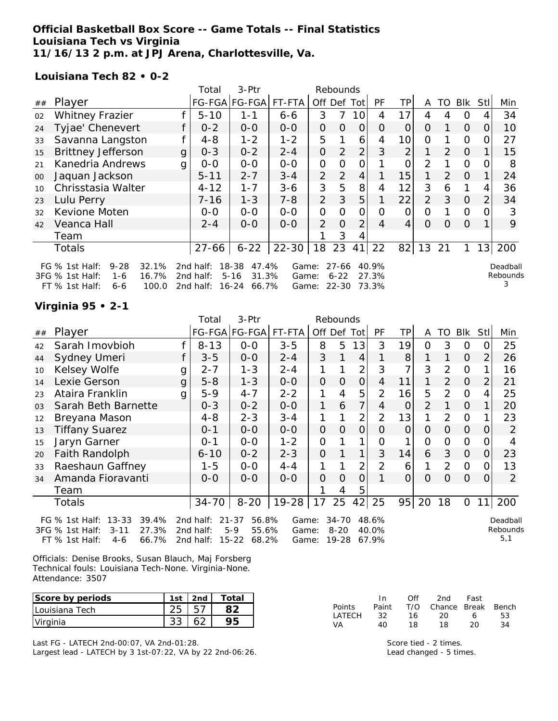### **Official Basketball Box Score -- Game Totals -- Final Statistics Louisiana Tech vs Virginia 11/16/13 2 p.m. at JPJ Arena, Charlottesville, Va.**

**Louisiana Tech 82 • 0-2**

|    |                                                                                                              |   | 3-Ptr<br>Total<br>Rebounds             |                                                           |                         |                |                                    |                |                         |                |          |          |            |               |                           |
|----|--------------------------------------------------------------------------------------------------------------|---|----------------------------------------|-----------------------------------------------------------|-------------------------|----------------|------------------------------------|----------------|-------------------------|----------------|----------|----------|------------|---------------|---------------------------|
| ## | Player                                                                                                       |   |                                        | FG-FGA FG-FGA                                             | FT-FTA                  | Off Def        |                                    | Totl           | PF                      | TР             | A        | TO       | <b>Blk</b> | StII          | Min                       |
| 02 | <b>Whitney Frazier</b>                                                                                       |   | $5 - 10$                               | 1-1                                                       | $6 - 6$                 | 3              | 7                                  | 10             | 4                       | 17             | 4        | 4        | O          |               | 34                        |
| 24 | Tyjae' Chenevert                                                                                             |   | $0 - 2$                                | $0-0$                                                     | $0-0$                   | 0              | $\Omega$                           | 0              | O                       | 0              | O        |          | $\Omega$   | O             | 10                        |
| 33 | Savanna Langston                                                                                             |   | $4 - 8$                                | $1 - 2$                                                   | $1 - 2$                 | 5              |                                    | 6              | 4                       | 10             | Ο        |          | O          |               | 27                        |
| 15 | <b>Brittney Jefferson</b>                                                                                    | g | $0 - 3$                                | $0 - 2$                                                   | $2 - 4$                 | $\overline{O}$ | 2                                  | 2              | 3                       | $\overline{2}$ | 1        | 2        | $\Omega$   |               | 15                        |
| 21 | Kanedria Andrews                                                                                             | g | $0-0$                                  | $0 - 0$                                                   | $0 - 0$                 | 0              | $\Omega$                           | 0              |                         | 0              | 2        |          | 0          | O             | 8                         |
| 00 | Jaquan Jackson                                                                                               |   | $5 - 11$                               | $2 - 7$                                                   | $3 - 4$                 | $\overline{2}$ | 2                                  | 4              |                         | 15             | 1        | 2        | $\Omega$   |               | 24                        |
| 10 | Chrisstasia Walter                                                                                           |   | $4 - 12$                               | $1 - 7$                                                   | $3 - 6$                 | 3              | 5                                  | 8              | 4                       | 12             | 3        | 6        | 1          | 4             | 36                        |
| 23 | Lulu Perry                                                                                                   |   | 7-16                                   | $1 - 3$                                                   | $7 - 8$                 | $\overline{2}$ | 3                                  | 5              |                         | 22             | 2        | 3        | $\Omega$   | $\mathcal{P}$ | 34                        |
| 32 | Kevione Moten                                                                                                |   | $0-0$                                  | $0 - 0$                                                   | $0 - 0$                 | 0              | O                                  | 0              | O                       | 0              | $\Omega$ |          | 0          |               | 3                         |
| 42 | Veanca Hall                                                                                                  |   | $2 - 4$                                | $0 - 0$                                                   | $0 - 0$                 | $\overline{2}$ | $\Omega$                           | $\overline{2}$ | 4                       | 4              | $\Omega$ | $\Omega$ | $\Omega$   |               | 9                         |
|    | Team                                                                                                         |   |                                        |                                                           |                         |                | 3                                  | 4              |                         |                |          |          |            |               |                           |
|    | Totals                                                                                                       |   | $27 - 66$                              | $6 - 22$                                                  | $22 - 30$               | 18             | 23                                 | 41             | 22                      | 82             | 13       | 21       |            | 13            | 200                       |
|    | $9 - 28$<br>32.1%<br>FG $%$ 1st Half:<br>3FG % 1st Half:<br>16.7%<br>1-6<br>$FT$ % 1st Half:<br>100.0<br>6-6 |   | 2 $nd$ half:<br>2nd half:<br>2nd half: | 18-38<br>47.4%<br>31.3%<br>$5 - 16$<br>$16 - 24$<br>66.7% | Game:<br>Game:<br>Game: |                | $27 - 66$<br>$6 - 22$<br>$22 - 30$ |                | 40.9%<br>27.3%<br>73.3% |                |          |          |            |               | Deadball<br>Rebounds<br>3 |

## **Virginia 95 • 2-1**

|    |                                                                                                                    |   | 3-Ptr<br>Total<br>Rebounds          |                                                            |                         |     |                                    |                |                         |                |                |          |                |      |                             |
|----|--------------------------------------------------------------------------------------------------------------------|---|-------------------------------------|------------------------------------------------------------|-------------------------|-----|------------------------------------|----------------|-------------------------|----------------|----------------|----------|----------------|------|-----------------------------|
| ## | Player                                                                                                             |   |                                     | FG-FGA FG-FGA FT-FTA                                       |                         | Off | Def                                | Tot            | PF                      | ТP             | A              | TO       | Blk            | Stll | Min                         |
| 42 | Sarah Imovbioh                                                                                                     |   | $8 - 13$                            | $0-0$                                                      | $3 - 5$                 | 8   | 5                                  | 13             | 3                       | 19             | 0              | 3        | 0              | O    | 25                          |
| 44 | Sydney Umeri                                                                                                       | f | $3 - 5$                             | $0-0$                                                      | $2 - 4$                 | 3   |                                    | 4              |                         | 8              |                |          | $\overline{O}$ | 2    | 26                          |
| 10 | Kelsey Wolfe                                                                                                       | g | $2 - 7$                             | $1 - 3$                                                    | $2 - 4$                 |     |                                    | 2              | 3                       | 7              | 3              | 2        | $\mathbf 0$    |      | 16                          |
| 14 | Lexie Gerson                                                                                                       | g | $5 - 8$                             | $1 - 3$                                                    | $O-O$                   | 0   | O                                  | $\Omega$       | 4                       | 11             |                | 2        | $\overline{O}$ |      | 21                          |
| 23 | Ataira Franklin                                                                                                    | g | $5 - 9$                             | $4 - 7$                                                    | $2 - 2$                 |     | 4                                  | 5              | $\overline{2}$          | 16             | 5              | 2        | 0              | 4    | 25                          |
| 03 | Sarah Beth Barnette                                                                                                |   | $0 - 3$                             | $0 - 2$                                                    | $0-0$                   | 1   | 6                                  | $\overline{7}$ | 4                       | $\overline{O}$ | $\overline{2}$ |          | $\overline{0}$ |      | 20                          |
| 12 | Breyana Mason                                                                                                      |   | $4 - 8$                             | $2 - 3$                                                    | 3-4                     | 1   |                                    | $\overline{2}$ | 2                       | 13             | 1              | 2        | $\overline{O}$ |      | 23                          |
| 13 | <b>Tiffany Suarez</b>                                                                                              |   | $0 - 1$                             | $0 - 0$                                                    | $0 - 0$                 | 0   | O                                  | $\overline{O}$ | 0                       | $\overline{O}$ | 0              | $\Omega$ | $\overline{O}$ | 0    | 2                           |
| 15 | Jaryn Garner                                                                                                       |   | $0 - 1$                             | $0-0$                                                      | $1 - 2$                 | 0   |                                    | 1              | 0                       |                | 0              | 0        | 0              |      | 4                           |
| 20 | Faith Randolph                                                                                                     |   | $6 - 10$                            | $0 - 2$                                                    | $2 - 3$                 | 0   |                                    |                | 3                       | 14             | 6              | 3        | $\overline{O}$ | 0    | 23                          |
| 33 | Raeshaun Gaffney                                                                                                   |   | 1-5                                 | $O-O$                                                      | 4-4                     |     |                                    | 2              | 2                       | 6              |                | 2        | $\overline{O}$ |      | 13                          |
| 34 | Amanda Fioravanti                                                                                                  |   | $0-0$                               | $0 - 0$                                                    | $0-0$                   | 0   | $\Omega$                           | $\overline{O}$ |                         | $\Omega$       | $\Omega$       | $\Omega$ | $\overline{O}$ |      | 2                           |
|    | Team                                                                                                               |   |                                     |                                                            |                         |     | 4                                  | 5              |                         |                |                |          |                |      |                             |
|    | Totals                                                                                                             |   | $34 - 70$                           | $8 - 20$                                                   | $19-28$                 | 17  | 25                                 | 42             | 25                      | 95             | 20             | 18       | $\mathbf{O}$   | 11   | 200                         |
|    | $13 - 33$<br>39.4%<br>FG $%$ 1st Half:<br>27.3%<br>$3 - 11$<br>3FG % 1st Half:<br>66.7%<br>FT % 1st Half:<br>$4-6$ |   | 2nd half:<br>2nd half:<br>2nd half: | 56.8%<br>$21 - 37$<br>$5-9$<br>55.6%<br>$15 - 22$<br>68.2% | Game:<br>Game:<br>Game: |     | $34 - 70$<br>$8 - 20$<br>$19 - 28$ |                | 48.6%<br>40.0%<br>67.9% |                |                |          |                |      | Deadball<br>Rebounds<br>5,1 |

Officials: Denise Brooks, Susan Blauch, Maj Forsberg Technical fouls: Louisiana Tech-None. Virginia-None. Attendance: 3507

| Score by periods | 1st | 2 <sub>nd</sub> | Total |
|------------------|-----|-----------------|-------|
| I Louisiana Tech |     |                 |       |
| Virginia         |     |                 |       |

Last FG - LATECH 2nd-00:07, VA 2nd-01:28.

Largest lead - LATECH by 3 1st-07:22, VA by 22 2nd-06:26.

|               | In.   | ∩ff | 2nd                    | Fast |    |
|---------------|-------|-----|------------------------|------|----|
| <b>Points</b> | Paint |     | T/O Chance Break Bench |      |    |
| <b>LATECH</b> | -32.  | 16  | 20                     | 6    | 53 |
| VA.           | 40.   | 18  | 18                     | 20   | 34 |

Score tied - 2 times. Lead changed - 5 times.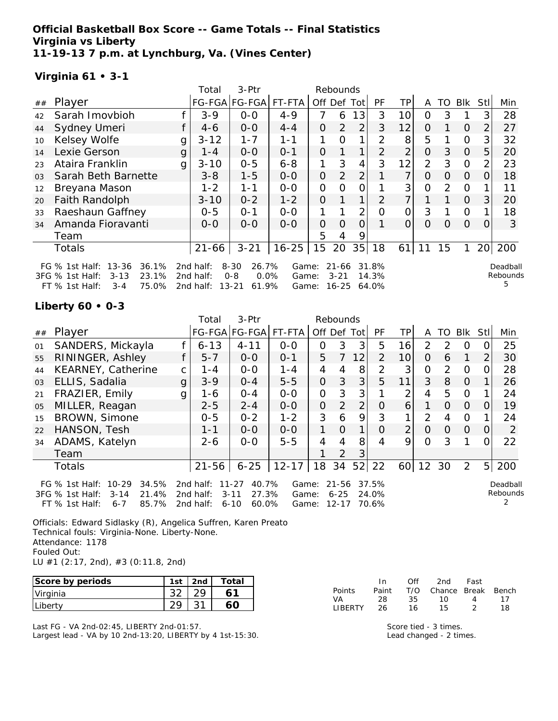**Official Basketball Box Score -- Game Totals -- Final Statistics Virginia vs Liberty 11-19-13 7 p.m. at Lynchburg, Va. (Vines Center)**

## **Virginia 61 • 3-1**

|                |                                                                                                                    |              | Total                               | 3-Ptr<br>Rebounds                                          |                         |             |                            |                |                         |                |                |                |          |                 |                           |
|----------------|--------------------------------------------------------------------------------------------------------------------|--------------|-------------------------------------|------------------------------------------------------------|-------------------------|-------------|----------------------------|----------------|-------------------------|----------------|----------------|----------------|----------|-----------------|---------------------------|
| ##             | Player                                                                                                             |              |                                     | FG-FGA FG-FGA                                              | FT-FTA                  | Off Def Tot |                            |                | <b>PF</b>               | TP.            | A              | TO.            | BIK      | Stll            | Min                       |
| 42             | Sarah Imovbioh                                                                                                     |              | $3 - 9$                             | $0 - 0$                                                    | $4 - 9$                 | 7           | 6                          | 13             | 3                       | 10             | 0              | 3              |          | 3               | 28                        |
| 44             | Sydney Umeri                                                                                                       |              | 4-6                                 | $0 - 0$                                                    | $4 - 4$                 | O           | 2                          | $\overline{2}$ | 3                       | 12             | 0              |                | $\Omega$ | 2               | 27                        |
| 10             | Kelsey Wolfe                                                                                                       | g            | $3 - 12$                            | $1 - 7$                                                    | 1-1                     |             | Ω                          | 1              | 2                       | 8              | 5              |                | $\Omega$ | 3               | 32                        |
| 14             | Lexie Gerson                                                                                                       | $\mathbf{g}$ | $1 - 4$                             | $0-0$                                                      | $0 - 1$                 | O           |                            | $\mathbf 1$    | $\overline{2}$          | $\overline{2}$ | $\Omega$       | 3              | $\Omega$ | 5               | 20                        |
| 23             | Ataira Franklin                                                                                                    | g            | $3 - 10$                            | $0 - 5$                                                    | $6 - 8$                 |             | 3                          | $\overline{4}$ | 3                       | 12             | 2              | 3              | $\Omega$ |                 | 23                        |
| 0 <sub>3</sub> | Sarah Beth Barnette                                                                                                |              | $3 - 8$                             | $1 - 5$                                                    | $0-0$                   | $\Omega$    | 2                          | 2 <sub>1</sub> |                         | $\overline{7}$ | 0              | $\Omega$       | $\Omega$ | $\Omega$        | 18                        |
| 12             | Breyana Mason                                                                                                      |              | $1 - 2$                             | $1 - 1$                                                    | $0-0$                   | O           | O                          | 0              |                         | 3              | $\overline{O}$ | $\overline{2}$ | $\Omega$ |                 | 11                        |
| 20             | Faith Randolph                                                                                                     |              | $3 - 10$                            | $0 - 2$                                                    | $1 - 2$                 | 0           |                            | 1              | 2                       | 7 <sub>1</sub> |                |                | $\Omega$ | 3               | 20                        |
| 33             | Raeshaun Gaffney                                                                                                   |              | $0 - 5$                             | $O - 1$                                                    | $0-0$                   | 1.          |                            | 2 <sub>1</sub> | $\Omega$                | 0              | 3              |                | $\Omega$ |                 | 18                        |
| 34             | Amanda Fioravanti                                                                                                  |              | $O - O$                             | $0 - 0$                                                    | $0 - 0$                 | O           | $\Omega$                   | Ο              |                         | $\overline{O}$ | $\Omega$       | $\Omega$       | $\Omega$ | $\Omega$        | 3                         |
|                | Team                                                                                                               |              |                                     |                                                            |                         | 5           | 4                          | 9              |                         |                |                |                |          |                 |                           |
|                | Totals                                                                                                             |              | $21 - 66$                           | $3 - 21$                                                   | $16 - 25$               | 15          | 20                         | 35             | 18                      | 61             | 11             | 15             |          | 20 <sup>1</sup> | 200                       |
|                | 13-36<br>36.1%<br>FG $%$ 1st Half:<br>23.1%<br>3FG % 1st Half:<br>$3 - 13$<br>$FT$ % 1st Half:<br>$3 - 4$<br>75.0% |              | 2nd half:<br>2nd half:<br>2nd half: | $8 - 30$<br>26.7%<br>$0 - 8$<br>0.0%<br>61.9%<br>$13 - 21$ | Game:<br>Game:<br>Game: |             | 21-66<br>$3 - 21$<br>16-25 |                | 31.8%<br>14.3%<br>64.0% |                |                |                |          |                 | Deadball<br>Rebounds<br>5 |

## **Liberty 60 • 0-3**

|    |                                                                                |   | Total                  | 3-Ptr                                   |                |                | Rebounds          |                |                |                 |                |               |                |                |                      |
|----|--------------------------------------------------------------------------------|---|------------------------|-----------------------------------------|----------------|----------------|-------------------|----------------|----------------|-----------------|----------------|---------------|----------------|----------------|----------------------|
| ## | Player                                                                         |   |                        | FG-FGA FG-FGA                           | FT-FTA         | Off Def        |                   | Tot            | <b>PF</b>      | TP              | A              | TO            | <b>Blk</b>     | <b>Stll</b>    | Min                  |
| 01 | SANDERS, Mickayla                                                              |   | $6 - 13$               | $4 - 11$                                | $0-0$          | 0              | 3                 | 3              | 5              | 16              | 2              | $\mathcal{P}$ | $\Omega$       |                | 25                   |
| 55 | RININGER, Ashley                                                               |   | $5 - 7$                | $0 - 0$                                 | $0 - 1$        | 5              |                   | 12             | $\mathcal{P}$  | 10 <sup>1</sup> | $\Omega$       | 6             |                | $\overline{2}$ | 30                   |
| 44 | <b>KEARNEY, Catherine</b>                                                      | C | 1 - 4                  | $0 - 0$                                 | $1 - 4$        | 4              | 4                 | 8              | $\overline{2}$ | 3               | $\Omega$       | 2             | $\Omega$       | 0              | 28                   |
| 03 | ELLIS, Sadalia                                                                 | g | $3 - 9$                | $0 - 4$                                 | $5-5$          | $\overline{O}$ | 3                 | 3              | 5              | 11              | 3              | 8             | $\overline{0}$ |                | 26                   |
| 21 | FRAZIER, Emily                                                                 | g | 1-6                    | $0 - 4$                                 | $O-O$          | $\mathbf{O}$   | 3                 | 3              |                | 2               | 4              | 5             | $\Omega$       |                | 24                   |
| 05 | MILLER, Reagan                                                                 |   | $2 - 5$                | $2 - 4$                                 | $0-0$          | $\Omega$       | $\overline{2}$    | $\overline{2}$ | $\Omega$       | 6               |                | $\Omega$      | $\Omega$       | 0              | 19                   |
| 15 | BROWN, Simone                                                                  |   | $0 - 5$                | $0 - 2$                                 | $1 - 2$        | 3              | 6                 | 9              | 3              |                 | $\overline{2}$ | 4             | 0              |                | 24                   |
| 22 | HANSON, Tesh                                                                   |   | $1 - 1$                | $0 - 0$                                 | $0 - 0$        | 1              | $\Omega$          | 1              | 0              | $\overline{2}$  | $\Omega$       | $\Omega$      | $\Omega$       | $\Omega$       | 2                    |
| 34 | ADAMS, Katelyn                                                                 |   | $2 - 6$                | $0-0$                                   | $5 - 5$        | $\overline{4}$ | 4                 | 8              | 4              | 9               | $\Omega$       | 3             |                | 0              | 22                   |
|    | Team                                                                           |   |                        |                                         |                |                | 2                 | 3              |                |                 |                |               |                |                |                      |
|    | <b>Totals</b>                                                                  |   | $21 - 56$              | $6 - 25$                                | $12 - 17$      | 18             | 34                |                | $52$   22      | 60 <sup>1</sup> | 12             | 30            | 2              |                | 5 200                |
|    | $10 - 29$<br>34.5%<br>FG $%$ 1st Half:<br>21.4%<br>3FG % 1st Half:<br>$3 - 14$ |   | 2nd half:<br>2nd half: | 40.7%<br>$11 - 27$<br>27.3%<br>$3 - 11$ | Game:<br>Game: |                | 21-56<br>$6 - 25$ |                | 37.5%<br>24.0% |                 |                |               |                |                | Deadball<br>Rebounds |
|    | 85.7%<br>$FT$ % 1st Half:<br>$6 - 7$                                           |   | 2nd half:              | 60.0%<br>$6 - 10$                       | Game:          |                | $12 - 17$         |                | 70.6%          |                 |                |               |                |                |                      |

Officials: Edward Sidlasky (R), Angelica Suffren, Karen Preato Technical fouls: Virginia-None. Liberty-None. Attendance: 1178 Fouled Out: LU #1 (2:17, 2nd), #3 (0:11.8, 2nd)

| Score by periods | 1st | 2 <sub>nd</sub> | Total |
|------------------|-----|-----------------|-------|
| Virginia         |     |                 |       |
| .iber:           |     |                 |       |

Last FG - VA 2nd-02:45, LIBERTY 2nd-01:57.

Largest lead - VA by 10 2nd-13:20, LIBERTY by 4 1st-15:30.

|                | In.   | ∩ff | 2nd                    | Fast |    |
|----------------|-------|-----|------------------------|------|----|
| Points         | Paint |     | T/O Chance Break Bench |      |    |
| VA.            | 28.   | 35. | 1ດ                     | 4    | 17 |
| <b>LIBERTY</b> | 26    | 16. | 15.                    |      | 18 |

Score tied - 3 times. Lead changed - 2 times.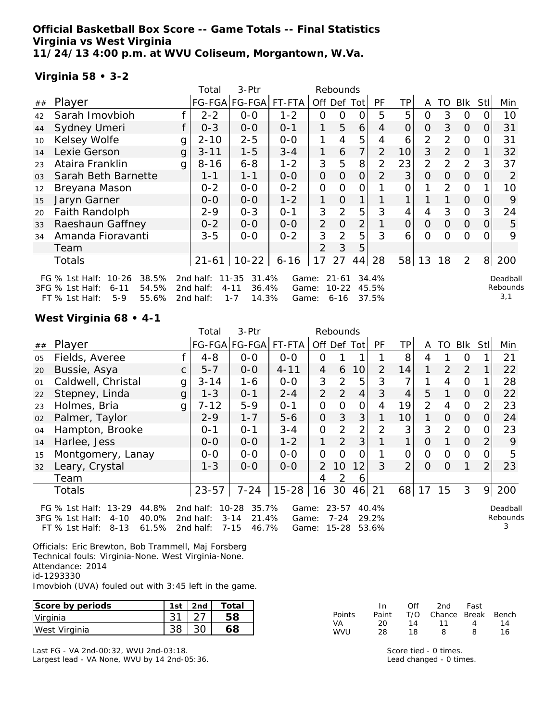### **Official Basketball Box Score -- Game Totals -- Final Statistics Virginia vs West Virginia 11/24/13 4:00 p.m. at WVU Coliseum, Morgantown, W.Va.**

#### **Virginia 58 • 3-2**

|       |                                                                                                            |   | Total                               | 3-Ptr                                                       |                         |                | Rebounds                           |                |                         |                |                |          |                |          |                             |
|-------|------------------------------------------------------------------------------------------------------------|---|-------------------------------------|-------------------------------------------------------------|-------------------------|----------------|------------------------------------|----------------|-------------------------|----------------|----------------|----------|----------------|----------|-----------------------------|
| ##    | Player                                                                                                     |   |                                     | FG-FGA FG-FGA                                               | FT-FTA                  |                | Off Def Tot                        |                | PF                      | ΤP             | A              | TO       | Blk            | Stl      | Min                         |
| 42    | Sarah Imovbioh                                                                                             |   | $2 - 2$                             | $0-0$                                                       | $1 - 2$                 | 0              | 0                                  | 0              | 5                       | 5              | $\overline{O}$ | 3        | 0              | 0        | 10                          |
| 44    | Sydney Umeri                                                                                               |   | $0 - 3$                             | $0-0$                                                       | $0 - 1$                 | $\mathbf{1}$   | 5                                  | 6              | 4                       | 0              | $\Omega$       | 3        | 0              | $\Omega$ | 31                          |
| 10    | Kelsey Wolfe                                                                                               | g | $2 - 10$                            | $2 - 5$                                                     | $0-0$                   | 1              | 4                                  | 5              | 4                       | 6              | $\overline{2}$ | 2        | $\Omega$       | 0        | 31                          |
| 14    | Lexie Gerson                                                                                               | g | $3 - 11$                            | $1 - 5$                                                     | $3 - 4$                 | 1              | 6                                  | $\overline{7}$ | $\overline{2}$          | 10             | 3              | 2        | $\Omega$       |          | 32                          |
| 23    | Ataira Franklin                                                                                            | g | $8 - 16$                            | $6 - 8$                                                     | $1 - 2$                 | 3              | 5                                  | 8              | 2                       | 23             | $\overline{2}$ | 2        | 2              | 3        | 37                          |
| 03    | Sarah Beth Barnette                                                                                        |   | 1-1                                 | $1 - 1$                                                     | $0 - 0$                 | $\mathcal{O}$  | $\Omega$                           | $\overline{O}$ | $\overline{2}$          | 3              | $\Omega$       | $\Omega$ | $\overline{O}$ | O        | 2                           |
| 12    | Breyana Mason                                                                                              |   | $0 - 2$                             | $0-0$                                                       | $0 - 2$                 | $\mathbf{O}$   | $\Omega$                           | 0              |                         | 0              |                | 2        | $\Omega$       |          | 10                          |
| 15    | Jaryn Garner                                                                                               |   | $0 - 0$                             | $0-0$                                                       | $1 - 2$                 | 1              | $\overline{O}$                     | 1              |                         |                |                |          | $\overline{O}$ | 0        | 9                           |
| 20    | Faith Randolph                                                                                             |   | $2 - 9$                             | $0 - 3$                                                     | $0 - 1$                 | 3              | $\overline{2}$                     | 5              | 3                       | 4              | 4              | 3        | $\Omega$       | 3        | 24                          |
| 33    | Raeshaun Gaffney                                                                                           |   | $0 - 2$                             | $0-0$                                                       | $0-0$                   | $\overline{2}$ | $\overline{O}$                     | $\overline{2}$ |                         | $\overline{O}$ | $\Omega$       | 0        | $\overline{O}$ | 0        | 5                           |
| 34    | Amanda Fioravanti                                                                                          |   | $3 - 5$                             | $0 - 0$                                                     | $0 - 2$                 | 3              | $\overline{2}$                     | 5              | 3                       | 6              | $\Omega$       | O        | $\circ$        | 0        | 9                           |
|       | Team                                                                                                       |   |                                     |                                                             |                         | $\mathcal{P}$  | 3                                  | 5              |                         |                |                |          |                |          |                             |
|       | Totals                                                                                                     |   | $21 - 61$                           | $10-22$                                                     | $6 - 16$                | 17             | 27                                 | 44             | 28                      | 58             | 13             | 18       | 2              | 8        | 200                         |
| 3FG % | FG $%$ 1st Half:<br>$10 - 26$<br>38.5%<br>54.5%<br>1st Half:<br>6-11<br>$5-9$<br>55.6%<br>$FT$ % 1st Half: |   | 2nd half:<br>2nd half:<br>2nd half: | $11 - 35$<br>31.4%<br>$4 - 11$<br>36.4%<br>$1 - 7$<br>14.3% | Game:<br>Game:<br>Game: |                | $21 - 61$<br>$10 - 22$<br>$6 - 16$ |                | 34.4%<br>45.5%<br>37.5% |                |                |          |                |          | Deadball<br>Rebounds<br>3,1 |

#### **West Virginia 68 • 4-1**

|    |                                                                                                                                   |              | Total                               | 3-Ptr                                                        |                                     |                | Rebounds              |                |                                 |                |    |          |               |                |                           |
|----|-----------------------------------------------------------------------------------------------------------------------------------|--------------|-------------------------------------|--------------------------------------------------------------|-------------------------------------|----------------|-----------------------|----------------|---------------------------------|----------------|----|----------|---------------|----------------|---------------------------|
| ## | Player                                                                                                                            |              |                                     | FG-FGA FG-FGA                                                | FT-FTA                              | Off Def        |                       | <b>Totl</b>    | PF                              | TP.            | A  | TO       | <b>Blk</b>    | Stll           | Min                       |
| 05 | Fields, Averee                                                                                                                    |              | $4 - 8$                             | $0 - 0$                                                      | $0 - 0$                             | 0              |                       |                |                                 | 8              | 4  |          | 0             |                | 21                        |
| 20 | Bussie, Asya                                                                                                                      | $\mathsf{C}$ | $5 - 7$                             | $0-0$                                                        | $4 - 11$                            | 4              | 6                     | 10             | 2                               | 14             | 1  | 2        | 2             |                | 22                        |
| 01 | Caldwell, Christal                                                                                                                | g            | $3 - 14$                            | $1 - 6$                                                      | $0-0$                               | 3              | 2                     | 5              | 3                               |                |    | 4        | 0             |                | 28                        |
| 22 | Stepney, Linda                                                                                                                    | g            | $1 - 3$                             | $0 - 1$                                                      | $2 - 4$                             | 2              | 2                     | 4              | 3                               | 4              | 5  | 1        | $\Omega$      | 0              | 22                        |
| 23 | Holmes, Bria                                                                                                                      | g            | $7 - 12$                            | $5 - 9$                                                      | $O - 1$                             | 0              | $\Omega$              | 0              |                                 | 19             | 2  | 4        | $\mathcal{O}$ | 2              | 23                        |
| 02 | Palmer, Taylor                                                                                                                    |              | $2 - 9$                             | $1 - 7$                                                      | $5 - 6$                             | $\overline{O}$ | 3                     | 3              |                                 | 10             |    | $\Omega$ | $\Omega$      | $\Omega$       | 24                        |
| 04 | Hampton, Brooke                                                                                                                   |              | $0 - 1$                             | $O - 1$                                                      | $3 - 4$                             | 0              | 2                     | $\overline{2}$ | $\mathcal{P}$                   | 3              | 3  | 2        | 0             | O              | 23                        |
| 14 | Harlee, Jess                                                                                                                      |              | $O - O$                             | $0 - 0$                                                      | $1 - 2$                             | 1              | 2                     | 3              |                                 |                | O  |          | $\Omega$      | 2              | 9                         |
| 15 | Montgomery, Lanay                                                                                                                 |              | $0-0$                               | $0-0$                                                        | $0-0$                               | 0              | $\Omega$              | Ω              |                                 | Ω              | Ω  | Ω        | O             | 0              | 5                         |
| 32 | Leary, Crystal                                                                                                                    |              | $1 - 3$                             | $0-0$                                                        | $0-0$                               | $\mathcal{P}$  | 10                    | 12             | 3                               | $\overline{2}$ | Ω  | $\Omega$ | 1             | $\overline{2}$ | 23                        |
|    | Team                                                                                                                              |              |                                     |                                                              |                                     | 4              | 2                     | 6              |                                 |                |    |          |               |                |                           |
|    | Totals                                                                                                                            |              | $23 - 57$                           | $7 - 24$                                                     | $15 - 28$                           | 16             | 30                    | 46             | 21                              | 68             | 17 | 15       | 3             | 9              | 200                       |
|    | $13 - 29$<br>44.8%<br>FG $%$ 1st Half:<br>3FG % 1st Half:<br>$4 - 10$<br>40.0%<br>$8 - 13$<br>61 5%<br>FT % 1st Half <sup>.</sup> |              | 2nd half:<br>2nd half:<br>2nd half: | 35.7%<br>$10 - 28$<br>$3 - 14$<br>21.4%<br>$7 - 15$<br>46.7% | Game:<br>Game:<br>Game <sup>.</sup> |                | $23 - 57$<br>$7 - 24$ |                | 40.4%<br>29.2%<br>$15-28$ 53.6% |                |    |          |               |                | Deadball<br>Rebounds<br>3 |

Officials: Eric Brewton, Bob Trammell, Maj Forsberg Technical fouls: Virginia-None. West Virginia-None. Attendance: 2014 id-1293330 Imovbioh (UVA) fouled out with 3:45 left in the game.

FT % 1st Half: 8-13 61.5% 2nd half: 7-15 46.7% Game: 15-28 53.6%

**Score by periods** | 1st | 2nd | Total Virginia 31 27 **58** West Virginia 38 30 **68**

Last FG - VA 2nd-00:32, WVU 2nd-03:18. Largest lead - VA None, WVU by 14 2nd-05:36.

|        | In.   | Off | 2nd                    | Fast |    |
|--------|-------|-----|------------------------|------|----|
| Points | Paint |     | T/O Chance Break Bench |      |    |
| VA     | 20.   | 14  | 11                     | 4    | 14 |
| WVU    | 28    | 18. | я                      | 8.   | 16 |

Score tied - 0 times. Lead changed - 0 times.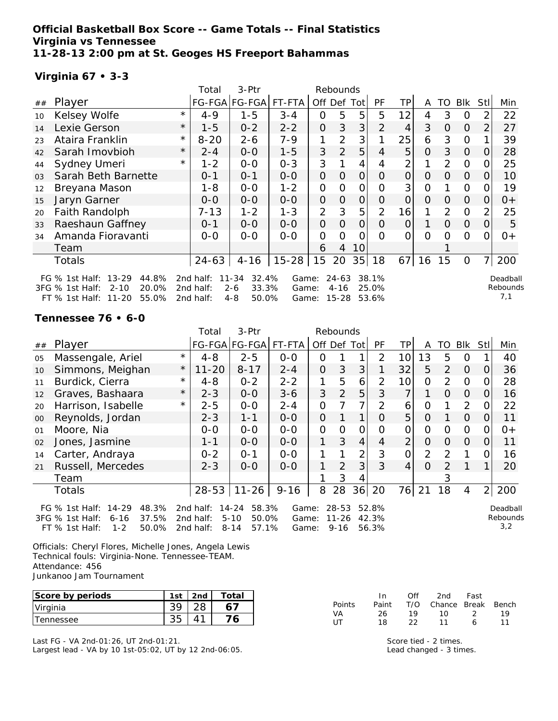**Official Basketball Box Score -- Game Totals -- Final Statistics Virginia vs Tennessee 11-28-13 2:00 pm at St. Geoges HS Freeport Bahammas**

## **Virginia 67 • 3-3**

|                |                                                                                | 3-Ptr<br>Total<br>Rebounds |                        |                                    |                |                |                       |          |                |                |                |                |                |      |                      |
|----------------|--------------------------------------------------------------------------------|----------------------------|------------------------|------------------------------------|----------------|----------------|-----------------------|----------|----------------|----------------|----------------|----------------|----------------|------|----------------------|
| ##             | Player                                                                         |                            |                        | FG-FGA FG-FGA                      | FT-FTA         |                | Off Def Tot           |          | <b>PF</b>      | ТP             | A              | TO             | Blk            | Stll | Min                  |
| 10             | Kelsey Wolfe                                                                   | $\star$                    | $4 - 9$                | $1 - 5$                            | $3 - 4$        | O              | 5                     | 5        | 5              | 12             | 4              | 3              | $\Omega$       |      | 22                   |
| 14             | Lexie Gerson                                                                   | $\star$                    | $1 - 5$                | $0 - 2$                            | $2 - 2$        | $\overline{O}$ | 3                     | 3        | 2              | $\overline{4}$ | 3              | $\Omega$       | $\overline{O}$ | 2    | 27                   |
| 23             | Ataira Franklin                                                                | $\star$                    | $8 - 20$               | $2 - 6$                            | $7 - 9$        | 1              | $\overline{2}$        | 3        |                | 25             | 6              | 3              | $\overline{O}$ |      | 39                   |
| 42             | Sarah Imovbioh                                                                 | $\star$                    | $2 - 4$                | $0-0$                              | $1 - 5$        | 3              | $\overline{2}$        | 5        | $\overline{4}$ | 5              | $\Omega$       | 3              | $\overline{O}$ | 0    | 28                   |
| 44             | Sydney Umeri                                                                   | $^{\star}$                 | $1 - 2$                | $0-0$                              | $0 - 3$        | 3              |                       | 4        | 4              | 2              | 1              | $\overline{2}$ | $\mathbf{O}$   |      | 25                   |
| 0 <sub>3</sub> | Sarah Beth Barnette                                                            |                            | $0 - 1$                | $0 - 1$                            | $O-O$          | $\overline{O}$ | $\overline{O}$        | $\Omega$ | 0              | 0              | $\Omega$       | $\Omega$       | $\Omega$       | 0    | 10                   |
| 12             | Breyana Mason                                                                  |                            | 1-8                    | $0-0$                              | $1 - 2$        | $\overline{O}$ | $\Omega$              | O        | O              | 3              | $\mathcal{O}$  |                | $\overline{O}$ |      | 19                   |
| 15             | Jaryn Garner                                                                   |                            | $0 - 0$                | $0 - 0$                            | $0-0$          | $\overline{O}$ | $\overline{O}$        | 0        | O              | $\overline{O}$ | $\Omega$       | $\Omega$       | $\overline{O}$ | 0    | $0+$                 |
| 20             | Faith Randolph                                                                 |                            | $7 - 13$               | $1 - 2$                            | $1 - 3$        | $\overline{2}$ | 3                     | 5        | 2              | 16             |                | $\overline{2}$ | $\Omega$       |      | 25                   |
| 33             | Raeshaun Gaffney                                                               |                            | $0 - 1$                | $0-0$                              | $0-0$          | $\overline{O}$ | $\Omega$              | $\Omega$ | O              | $\overline{O}$ |                | $\Omega$       | $\overline{O}$ | 0    | 5                    |
| 34             | Amanda Fioravanti                                                              |                            | $0-0$                  | $0 - 0$                            | $0 - 0$        | O              | O                     | Ω        | O              | 0              | $\overline{O}$ | 0              | $\Omega$       | 0    | $0+$                 |
|                | Team                                                                           |                            |                        |                                    |                | 6              | 4                     | 10       |                |                |                |                |                |      |                      |
|                | Totals                                                                         |                            | $24 - 63$              | $4 - 16$                           | $15 - 28$      | 15             | 20                    | 35       | 18             | 67             | 16             | 15             | $\mathbf{O}$   | 7    | 200                  |
|                | $13 - 29$<br>FG $%$ 1st Half:<br>44.8%<br>20.0%<br>3FG % 1st Half:<br>$2 - 10$ |                            | 2nd half:<br>2nd half: | 11-34<br>32.4%<br>$2 - 6$<br>33.3% | Game:<br>Game: |                | $24 - 63$<br>$4 - 16$ |          | 38.1%<br>25.0% |                |                |                |                |      | Deadball<br>Rebounds |
|                | FT % 1st Half: 11-20<br>55.0%                                                  |                            | 2nd half:              | $4 - 8$<br>50.0%                   | Game:          |                | 15-28                 |          | 53.6%          |                |                |                |                |      | 7,1                  |

**Tennessee 76 • 6-0**

|    |                                                                                                                      |          | Total                               | 3-Ptr                                                        |                         |             | Rebounds                           |                |                         |                 |                |                |                |          |                             |
|----|----------------------------------------------------------------------------------------------------------------------|----------|-------------------------------------|--------------------------------------------------------------|-------------------------|-------------|------------------------------------|----------------|-------------------------|-----------------|----------------|----------------|----------------|----------|-----------------------------|
| ## | Player                                                                                                               |          |                                     | FG-FGA FG-FGA                                                | FT-FTA                  | Off Def Tot |                                    |                | <b>PF</b>               | ΤP              | A              | TO             | Blk            | Stll     | Min                         |
| 05 | Massengale, Ariel                                                                                                    | $\star$  | $4 - 8$                             | $2 - 5$                                                      | $O-O$                   | 0           |                                    |                | 2                       | 10              | 13             | 5              | 0              |          | 40                          |
| 10 | Simmons, Meighan                                                                                                     | $^\star$ | $11 - 20$                           | $8 - 17$                                                     | $2 - 4$                 | 0           | 3                                  | 3              |                         | 32              | 5              | 2              | $\Omega$       | O        | 36                          |
| 11 | Burdick, Cierra                                                                                                      | $^\star$ | $4 - 8$                             | $0 - 2$                                                      | $2 - 2$                 |             | 5                                  | 6              | $\overline{2}$          | 10              | $\overline{O}$ | $\overline{2}$ | $\overline{O}$ |          | 28                          |
| 12 | Graves, Bashaara                                                                                                     | $^\star$ | $2 - 3$                             | $0 - 0$                                                      | $3-6$                   | 3           | 2                                  | 5              | 3                       | $\overline{7}$  |                | $\Omega$       | $\overline{0}$ | O        | 16                          |
| 20 | Harrison, Isabelle                                                                                                   | $^\star$ | $2 - 5$                             | $0 - 0$                                                      | $2 - 4$                 | 0           |                                    | 7              | 2                       | 6               | $\Omega$       |                | 2              |          | 22                          |
| 00 | Reynolds, Jordan                                                                                                     |          | $2 - 3$                             | $1 - 1$                                                      | $0 - 0$                 | 0           |                                    | $\mathbf{1}$   | $\Omega$                | 5               | $\Omega$       |                | $\Omega$       | O        | 11                          |
| 01 | Moore, Nia                                                                                                           |          | $0-0$                               | $0 - 0$                                                      | $0 - 0$                 | 0           | $\Omega$                           | 0              | 0                       | 0               | 0              | 0              | $\mathbf{O}$   | O        | 0+                          |
| 02 | Jones, Jasmine                                                                                                       |          | $1 - 1$                             | $O-O$                                                        | $O-O$                   | 1           | 3                                  | $\overline{4}$ | 4                       | $\overline{2}$  | $\overline{O}$ | 0              | $\Omega$       | 0        | 11                          |
| 14 | Carter, Andraya                                                                                                      |          | $0 - 2$                             | $0 - 1$                                                      | $O-O$                   |             |                                    | 2              | 3                       | $\Omega$        | $\overline{2}$ | $\mathcal{P}$  |                | $\Omega$ | 16                          |
| 21 | Russell, Mercedes                                                                                                    |          | $2 - 3$                             | $0 - 0$                                                      | $0 - 0$                 | 1           | 2                                  | 3              | 3                       | $\vert 4 \vert$ | $\Omega$       | $\mathcal{P}$  |                |          | 20                          |
|    | Team                                                                                                                 |          |                                     |                                                              |                         |             | 3                                  | 4              |                         |                 |                | 3              |                |          |                             |
|    | Totals                                                                                                               |          | $28 - 53$                           | $11 - 26$                                                    | $9 - 16$                | 8           | 28                                 | 36             | 20                      | 76              | 21             | 18             | 4              | 2        | 200                         |
|    | $14 - 29$<br>48.3%<br>FG % 1st Half:<br>37.5%<br>3FG % 1st Half:<br>$6 - 16$<br>$1 - 2$<br>50.0%<br>$FT$ % 1st Half: |          | 2nd half:<br>2nd half:<br>2nd half: | $14 - 24$<br>58.3%<br>$5 - 10$<br>50.0%<br>$8 - 14$<br>57.1% | Game:<br>Game:<br>Game: |             | $28 - 53$<br>$11 - 26$<br>$9 - 16$ |                | 52.8%<br>42.3%<br>56.3% |                 |                |                |                |          | Deadball<br>Rebounds<br>3,2 |

Officials: Cheryl Flores, Michelle Jones, Angela Lewis Technical fouls: Virginia-None. Tennessee-TEAM. Attendance: 456 Junkanoo Jam Tournament

| Score by periods | 1st | 2nd | ⊤otai |
|------------------|-----|-----|-------|
| Virginia         |     |     |       |
| ennessee         |     |     |       |

Last FG - VA 2nd-01:26, UT 2nd-01:21.

Largest lead - VA by 10 1st-05:02, UT by 12 2nd-06:05.

|               | In.   | ∩ff | 2nd                    | Fast           |    |
|---------------|-------|-----|------------------------|----------------|----|
| <b>Points</b> | Paint |     | T/O Chance Break Bench |                |    |
| VA            | 26.   | 19  | 1 O                    | $\overline{2}$ | 19 |
| ПT            | 18    | フフ  | 11                     | 6              | 11 |

Score tied - 2 times. Lead changed - 3 times.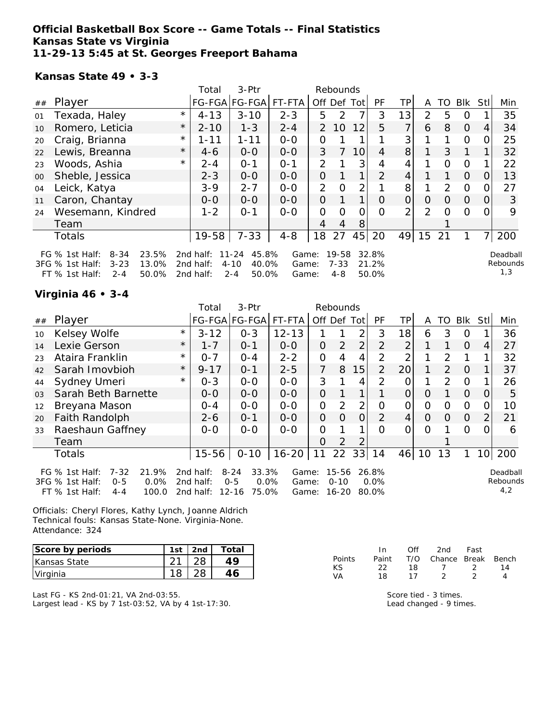### **Official Basketball Box Score -- Game Totals -- Final Statistics Kansas State vs Virginia 11-29-13 5:45 at St. Georges Freeport Bahama**

#### **Kansas State 49 • 3-3**

|    |                                                                                                                 |         | Total                               | 3-Ptr                                                       |                         |                | Rebounds                     |                |                         |                |                |          |                |          |                             |
|----|-----------------------------------------------------------------------------------------------------------------|---------|-------------------------------------|-------------------------------------------------------------|-------------------------|----------------|------------------------------|----------------|-------------------------|----------------|----------------|----------|----------------|----------|-----------------------------|
| ## | Player                                                                                                          |         |                                     | FG-FGA FG-FGA                                               | FT-FTA                  |                |                              | Off Def Tot    | <b>PF</b>               | ΤP             | A              | TO.      | Blk            | Stll     | Min                         |
| 01 | Texada, Haley                                                                                                   | $\star$ | $4 - 13$                            | $3 - 10$                                                    | $2 - 3$                 | 5              | 2                            | 7              | 3                       | 13             | $\overline{2}$ | 5        | 0              |          | 35                          |
| 10 | Romero, Leticia                                                                                                 | $\star$ | $2 - 10$                            | $1 - 3$                                                     | $2 - 4$                 | $\mathcal{P}$  | 10                           | 12             | 5                       | 7 <sub>1</sub> | 6              | 8        | $\overline{O}$ | 4        | 34                          |
| 20 | Craig, Brianna                                                                                                  | $\star$ | $1 - 11$                            | $1 - 11$                                                    | $0 - 0$                 | 0              |                              |                |                         | 3              |                |          | $\Omega$       | $\Omega$ | 25                          |
| 22 | Lewis, Breanna                                                                                                  | $\star$ | $4-6$                               | $0 - 0$                                                     | $0-0$                   | 3              | $\overline{7}$               | 10             | 4                       | 8              |                | 3        | 1              |          | 32                          |
| 23 | Woods, Ashia                                                                                                    | $\star$ | $2 - 4$                             | $O - 1$                                                     | $O - 1$                 | $\overline{2}$ |                              | 3              | 4                       | 4              |                | $\Omega$ | $\mathbf{O}$   |          | 22                          |
| 00 | Sheble, Jessica                                                                                                 |         | $2 - 3$                             | $0 - 0$                                                     | $0 - 0$                 | 0              |                              | 1 <sub>1</sub> | 2                       | 4 <sup>1</sup> |                |          | $\Omega$       | 0        | 13                          |
| 04 | Leick, Katya                                                                                                    |         | $3 - 9$                             | $2 - 7$                                                     | $0 - 0$                 | 2              | $\Omega$                     | 2              |                         | 8              |                | 2        | $\Omega$       |          | 27                          |
| 11 | Caron, Chantay                                                                                                  |         | $0 - 0$                             | $0 - 0$                                                     | $0 - 0$                 | O              | $\mathbf{1}$                 |                | 0                       | 0              | 0              | $\Omega$ | $\Omega$       | 0        | 3                           |
| 24 | Wesemann, Kindred                                                                                               |         | $1 - 2$                             | $O - 1$                                                     | $0 - 0$                 | 0              | Ω                            | 0              | $\Omega$                | $\overline{2}$ | $\overline{2}$ | O        | $\Omega$       |          | 9                           |
|    | Team                                                                                                            |         |                                     |                                                             |                         | 4              | 4                            | 8              |                         |                |                |          |                |          |                             |
|    | Totals                                                                                                          |         | 19-58                               | $7 - 33$                                                    | $4 - 8$                 | 18             | 27                           | 45             | 20                      | 49             | 15             | 21       |                |          | 200                         |
|    | 23.5%<br>FG $%$ 1st Half:<br>8-34<br>3FG % 1st Half:<br>$3 - 23$<br>13.0%<br>50.0%<br>FT % 1st Half:<br>$2 - 4$ |         | 2nd half:<br>2nd half:<br>2nd half: | $11 - 24$<br>45.8%<br>$4 - 10$<br>40.0%<br>$2 - 4$<br>50.0% | Game:<br>Game:<br>Game: |                | 19-58<br>$7 - 33$<br>$4 - 8$ |                | 32.8%<br>21.2%<br>50.0% |                |                |          |                |          | Deadball<br>Rebounds<br>1,3 |

### **Virginia 46 • 3-4**

|                |                                                                                                                   |         | Total                               | 3-Ptr                                                         |                         | Rebounds       |                                |                |                           |                 |                |               |            |                 |                             |
|----------------|-------------------------------------------------------------------------------------------------------------------|---------|-------------------------------------|---------------------------------------------------------------|-------------------------|----------------|--------------------------------|----------------|---------------------------|-----------------|----------------|---------------|------------|-----------------|-----------------------------|
| ##             | Player                                                                                                            |         |                                     | FG-FGA FG-FGA                                                 | FT-FTA                  | Off            | Def                            | Tot            | PF                        | TP.             | A              | TO            | <b>Blk</b> | <b>Stll</b>     | Min                         |
| 10             | Kelsey Wolfe                                                                                                      | $\star$ | $3 - 12$                            | $0 - 3$                                                       | $12 - 13$               |                |                                | 2              | 3                         | 18              | 6              | 3             | O          |                 | 36                          |
| 14             | Lexie Gerson                                                                                                      | $\star$ | $1 - 7$                             | $0 - 1$                                                       | $0 - 0$                 | $\Omega$       | $\overline{2}$                 | $\overline{2}$ | $\overline{2}$            | $\overline{2}$  |                |               | $\Omega$   | 4               | 27                          |
| 23             | Ataira Franklin                                                                                                   | $\star$ | $O - 7$                             | $O - 4$                                                       | $2 - 2$                 | 0              | 4                              | 4              | 2                         | 2               |                | $\mathcal{P}$ |            |                 | 32                          |
| 42             | Sarah Imovbioh                                                                                                    | $\star$ | $9 - 17$                            | $O - 1$                                                       | $2 - 5$                 | 7              | 8                              | 15             | $\overline{2}$            | 20 <sup>1</sup> |                | 2             | $\Omega$   |                 | 37                          |
| 44             | Sydney Umeri                                                                                                      | $\star$ | $0 - 3$                             | $0 - 0$                                                       | $0 - 0$                 | 3              |                                | 4              | 2                         | Ο               |                | 2             | $\circ$    |                 | 26                          |
| 0 <sub>3</sub> | Sarah Beth Barnette                                                                                               |         | $0 - 0$                             | $0 - 0$                                                       | $0 - 0$                 | $\Omega$       |                                | 1              |                           | $\Omega$        | $\Omega$       |               | $\Omega$   | $\Omega$        | 5                           |
| 12             | Breyana Mason                                                                                                     |         | $0 - 4$                             | $0-0$                                                         | $O-O$                   | $\overline{O}$ | 2                              | $\overline{2}$ | O                         | 0               | $\overline{O}$ | 0             | $\Omega$   | 0               | 10                          |
| 20             | <b>Faith Randolph</b>                                                                                             |         | $2 - 6$                             | $O - 1$                                                       | $0 - 0$                 | $\Omega$       | $\Omega$                       | $\overline{O}$ | 2                         | 4               | $\Omega$       | 0             | $\Omega$   | $\overline{2}$  | 21                          |
| 33             | Raeshaun Gaffney                                                                                                  |         | $0 - 0$                             | $0 - 0$                                                       | $O-O$                   | 0              |                                | 1              | $\Omega$                  | $\Omega$        | $\Omega$       |               | $\Omega$   | ∩               | 6                           |
|                | Team                                                                                                              |         |                                     |                                                               |                         | $\Omega$       | $\overline{2}$                 | 2              |                           |                 |                |               |            |                 |                             |
|                | Totals                                                                                                            |         | $15 - 56$                           | $0 - 10$                                                      | $16 - 20$               | 11             | 22                             | 33             | 14                        | 46              | 10             | 13            |            | 10 <sup>1</sup> | 200                         |
|                | $7 - 32$<br>21.9%<br>FG $%$ 1st Half:<br>3FG % 1st Half:<br>0.0%<br>$0 - 5$<br>FT % 1st Half:<br>100.0<br>$4 - 4$ |         | 2nd half:<br>2nd half:<br>2nd half: | $8 - 24$<br>33.3%<br>$0.0\%$<br>$0 - 5$<br>$12 - 16$<br>75.0% | Game:<br>Game:<br>Game: |                | 15-56<br>$0 - 10$<br>$16 - 20$ |                | 26.8%<br>$0.0\%$<br>80.0% |                 |                |               |            |                 | Deadball<br>Rebounds<br>4,2 |

Officials: Cheryl Flores, Kathy Lynch, Joanne Aldrich Technical fouls: Kansas State-None. Virginia-None. Attendance: 324

| Score by periods              | 1st | 2nd | Total |
|-------------------------------|-----|-----|-------|
| Kansas State                  |     |     |       |
| <i><u><b>Uirginia</b></u></i> |     |     |       |

Last FG - KS 2nd-01:21, VA 2nd-03:55. Largest lead - KS by 7 1st-03:52, VA by 4 1st-17:30.

|        | In.   | Off | 2nd                    | Fast          |    |
|--------|-------|-----|------------------------|---------------|----|
| Points | Paint |     | T/O Chance Break Bench |               |    |
| KS.    | フフ    | 18  | $\mathcal{T}$          | $\mathcal{D}$ | 14 |
| VA.    | 18    | 17  |                        |               |    |

Score tied - 3 times. Lead changed - 9 times.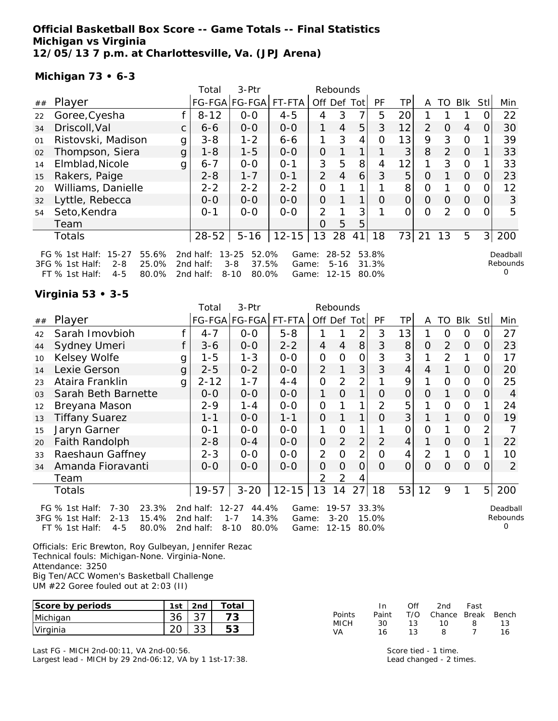## **Official Basketball Box Score -- Game Totals -- Final Statistics Michigan vs Virginia 12/05/13 7 p.m. at Charlottesville, Va. (JPJ Arena)**

#### **Michigan 73 • 6-3**

|    |                                                                                                                   |    | Total                                  | 3-Ptr                                                       |                         |                | Rebounds                           |     |                         |     |                |                |            |          |                      |
|----|-------------------------------------------------------------------------------------------------------------------|----|----------------------------------------|-------------------------------------------------------------|-------------------------|----------------|------------------------------------|-----|-------------------------|-----|----------------|----------------|------------|----------|----------------------|
| ## | Player                                                                                                            |    |                                        | FG-FGA FG-FGA                                               | FT-FTA                  | Off            | Def                                | Tot | PF                      | TP. | A              | TO             | <b>Blk</b> | Stl      | Min                  |
| 22 | Goree, Cyesha                                                                                                     |    | $8 - 12$                               | $0 - 0$                                                     | $4 - 5$                 | 4              | 3                                  | 7   | 5                       | 20  |                |                |            |          | 22                   |
| 34 | Driscoll, Val                                                                                                     | C. | $6 - 6$                                | $0-0$                                                       | $0-0$                   |                | 4                                  | 5   | 3                       | 12  | $\overline{2}$ | $\Omega$       | 4          | O        | 30                   |
| 01 | Ristovski, Madison                                                                                                | g  | $3 - 8$                                | $1 - 2$                                                     | $6 - 6$                 | 1              | 3                                  | 4   | 0                       | 13  | 9              | 3              | $\Omega$   |          | 39                   |
| 02 | Thompson, Siera                                                                                                   | g  | $1 - 8$                                | $1 - 5$                                                     | $0-0$                   | 0              |                                    | 1   |                         | 3   | 8              | 2              | $\Omega$   |          | 33                   |
| 14 | Elmblad, Nicole                                                                                                   | g  | $6 - 7$                                | $0-0$                                                       | $O - 1$                 | 3              | 5                                  | 8   | 4                       | 12  | 1              | 3              | $\Omega$   |          | 33                   |
| 15 | Rakers, Paige                                                                                                     |    | $2 - 8$                                | $1 - 7$                                                     | $0 - 1$                 | $\overline{2}$ | $\overline{4}$                     | 6   | 3                       | 5   | O              |                | $\Omega$   | 0        | 23                   |
| 20 | Williams, Danielle                                                                                                |    | $2 - 2$                                | $2 - 2$                                                     | $2 - 2$                 | 0              |                                    |     |                         | 8   | Ο              |                | 0          |          | 12                   |
| 32 | Lyttle, Rebecca                                                                                                   |    | $0 - 0$                                | $0-0$                                                       | $0-0$                   | $\overline{O}$ |                                    | 1   | $\Omega$                | 0   | $\Omega$       | $\Omega$       | $\Omega$   | $\Omega$ | 3                    |
| 54 | Seto, Kendra                                                                                                      |    | $O - 1$                                | $0-0$                                                       | $0 - 0$                 | 2              |                                    | 3   |                         | Ω   | Ω              | $\overline{2}$ | $\Omega$   |          | 5                    |
|    | Team                                                                                                              |    |                                        |                                                             |                         | Ο              | 5                                  | 5   |                         |     |                |                |            |          |                      |
|    | Totals                                                                                                            |    | $28 - 52$                              | $5 - 16$                                                    | $12 - 15$               | 13             | 28                                 | 41  | 18                      | 73  | 21             | 13             | 5          | 3        | 200                  |
|    | $15 - 27$<br>55.6%<br>FG % 1st Half:<br>3FG % 1st Half:<br>25.0%<br>$2 - 8$<br>FT % 1st Half:<br>$4 - 5$<br>80.0% |    | 2 $nd$ half:<br>2nd half:<br>2nd half: | $13 - 25$<br>52.0%<br>$3 - 8$<br>37.5%<br>80.0%<br>$8 - 10$ | Game:<br>Game:<br>Game: |                | $28 - 52$<br>$5 - 16$<br>$12 - 15$ |     | 53.8%<br>31.3%<br>80.0% |     |                |                |            |          | Deadball<br>Rebounds |

## **Virginia 53 • 3-5**

|    |                                                                                                                     |   | Total                               | 3-Ptr                                                       |                         |                | Rebounds                           |                |                         |                |                |                |                |                |                      |
|----|---------------------------------------------------------------------------------------------------------------------|---|-------------------------------------|-------------------------------------------------------------|-------------------------|----------------|------------------------------------|----------------|-------------------------|----------------|----------------|----------------|----------------|----------------|----------------------|
| ## | Player                                                                                                              |   |                                     | FG-FGA FG-FGA                                               | FT-FTA                  | Off Def Tot    |                                    |                | PF                      | TP             | A              | TO             | Blk            | <b>Stll</b>    | Min                  |
| 42 | Sarah Imovbioh                                                                                                      |   | $4 - 7$                             | $0 - 0$                                                     | $5 - 8$                 |                |                                    | 2              | 3                       | 13             |                | O              | 0              | O              | 27                   |
| 44 | Sydney Umeri                                                                                                        |   | $3 - 6$                             | $0 - 0$                                                     | $2 - 2$                 | 4              | 4                                  | 8              | 3                       | 8              | 0              | $\overline{2}$ | 0              | 0              | 23                   |
| 10 | Kelsey Wolfe                                                                                                        | g | $1 - 5$                             | $1 - 3$                                                     | $0 - 0$                 | 0              | O                                  | 0              | 3                       | 3              |                | $\overline{2}$ |                | 0              | 17                   |
| 14 | Lexie Gerson                                                                                                        | g | $2 - 5$                             | $0 - 2$                                                     | $0 - 0$                 | $\overline{2}$ |                                    | 3              | 3                       | 4              | 4              |                | 0              | 0              | 20                   |
| 23 | Ataira Franklin                                                                                                     | g | $2 - 12$                            | $1 - 7$                                                     | 4-4                     | 0              | 2                                  | 2              |                         | 9              |                | 0              | 0              | 0              | 25                   |
| 03 | Sarah Beth Barnette                                                                                                 |   | $0 - 0$                             | $0 - 0$                                                     | $0 - 0$                 | 1              | 0                                  | 1              | Ο                       | 0              | 0              |                | 0              | O              | 4                    |
| 12 | Breyana Mason                                                                                                       |   | $2 - 9$                             | $1 - 4$                                                     | $0-0$                   | $\mathbf{O}$   |                                    |                | 2                       | 5              |                | 0              | 0              |                | 24                   |
| 13 | <b>Tiffany Suarez</b>                                                                                               |   | $1 - 1$                             | $0-0$                                                       | $1 - 1$                 | $\overline{O}$ |                                    | 1              | $\Omega$                | 3              |                |                | $\overline{O}$ | 0              | 19                   |
| 15 | Jaryn Garner                                                                                                        |   | 0-1                                 | $0-0$                                                       | $0-0$                   | 1              | O                                  |                |                         | 0              | 0              |                | $\mathbf 0$    | 2              |                      |
| 20 | Faith Randolph                                                                                                      |   | $2 - 8$                             | $0 - 4$                                                     | $0-0$                   | $\mathbf 0$    | $\overline{2}$                     | $\overline{2}$ | $\overline{2}$          | 4              | 1              | 0              | 0              |                | 22                   |
| 33 | Raeshaun Gaffney                                                                                                    |   | $2 - 3$                             | $0-0$                                                       | $0-0$                   | $\overline{2}$ | $\Omega$                           | $\overline{2}$ | $\overline{O}$          | 4              | $\overline{2}$ |                | $\Omega$       |                | 10                   |
| 34 | Amanda Fioravanti                                                                                                   |   | $0 - 0$                             | $0-0$                                                       | $0-0$                   | $\overline{O}$ | 0                                  | 0              | $\Omega$                | $\overline{O}$ | $\Omega$       | 0              | $\overline{O}$ | O              | 2                    |
|    | Team                                                                                                                |   |                                     |                                                             |                         | $\overline{2}$ | $\overline{2}$                     | 4              |                         |                |                |                |                |                |                      |
|    | Totals                                                                                                              |   | 19-57                               | $3 - 20$                                                    | $12 - 15$               | 13             | 14                                 | 27             | 18                      | 53             | 12             | 9              | 1              | 5 <sup>1</sup> | 200                  |
|    | $7 - 30$<br>23.3%<br>FG $%$ 1st Half:<br>15.4%<br>3FG % 1st Half:<br>$2 - 13$<br>80.0%<br>FT % 1st Half:<br>$4 - 5$ |   | 2nd half:<br>2nd half:<br>2nd half: | $12 - 27$<br>44.4%<br>$1 - 7$<br>14.3%<br>$8 - 10$<br>80.0% | Game:<br>Game:<br>Game: |                | $19 - 57$<br>$3 - 20$<br>$12 - 15$ |                | 33.3%<br>15.0%<br>80.0% |                |                |                |                |                | Deadball<br>Rebounds |

Officials: Eric Brewton, Roy Gulbeyan, Jennifer Rezac Technical fouls: Michigan-None. Virginia-None. Attendance: 3250 Big Ten/ACC Women's Basketball Challenge UM #22 Goree fouled out at 2:03 (II)

**Score by periods 1st 2nd Total** Michigan 36 37 **73** Virginia 20 33 **53**

Last FG - MICH 2nd-00:11, VA 2nd-00:56. Largest lead - MICH by 29 2nd-06:12, VA by 1 1st-17:38.

|        | In.   | ∩ff | 2nd                    | Fast |    |
|--------|-------|-----|------------------------|------|----|
| Points | Paint |     | T/O Chance Break Bench |      |    |
| МІСН   | 30.   | 13. | 10.                    | 8    | 13 |
| VA     | 16    | 13. | 8                      |      | 16 |

Score tied - 1 time. Lead changed - 2 times.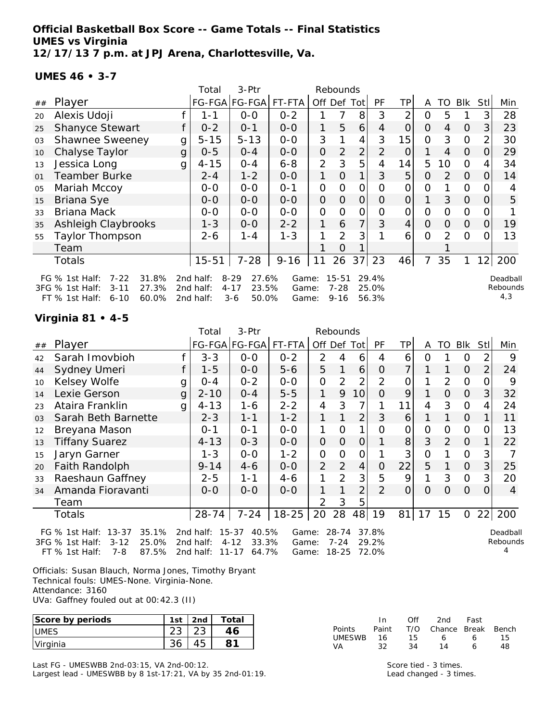**Official Basketball Box Score -- Game Totals -- Final Statistics UMES vs Virginia 12/17/13 7 p.m. at JPJ Arena, Charlottesville, Va.**

**UMES 46 • 3-7**

|    |                                                                                                                      |   | Total                               | 3-Ptr                                                  |                         |                | Rebounds                          |                |                         |                 |          |                |                |          |                             |
|----|----------------------------------------------------------------------------------------------------------------------|---|-------------------------------------|--------------------------------------------------------|-------------------------|----------------|-----------------------------------|----------------|-------------------------|-----------------|----------|----------------|----------------|----------|-----------------------------|
| ## | Player                                                                                                               |   |                                     | FG-FGA FG-FGA                                          | FT-FTA                  |                | Off Def                           | Totl           | PF                      | ΤP              | A        | TO             | Blk            | Stll     | Min                         |
| 20 | Alexis Udoji                                                                                                         |   | 1-1                                 | $0-0$                                                  | $0 - 2$                 |                |                                   | 8              | 3                       | $\overline{2}$  | 0        | 5              |                | 3        | 28                          |
| 25 | <b>Shanyce Stewart</b>                                                                                               |   | $0 - 2$                             | $0 - 1$                                                | $0 - 0$                 | 1              | 5                                 | 6              | 4                       | $\overline{O}$  | $\Omega$ | 4              | $\Omega$       | 3        | 23                          |
| 03 | <b>Shawnee Sweeney</b>                                                                                               | g | $5 - 15$                            | $5 - 13$                                               | $0 - 0$                 | 3              |                                   | 4              | 3                       | 15              | 0        | 3              | $\overline{0}$ |          | 30                          |
| 10 | Chalyse Taylor                                                                                                       | g | $0 - 5$                             | $0 - 4$                                                | $0-0$                   | $\overline{O}$ | 2                                 | $\overline{2}$ | $\overline{2}$          | $\overline{O}$  |          | $\overline{4}$ | $\overline{O}$ | $\Omega$ | 29                          |
| 13 | Jessica Long                                                                                                         | g | $4 - 15$                            | $0 - 4$                                                | $6 - 8$                 | $\overline{2}$ | 3                                 | 5              | 4                       | 14              | 5        | 10             | $\Omega$       | 4        | 34                          |
| 01 | <b>Teamber Burke</b>                                                                                                 |   | $2 - 4$                             | $1 - 2$                                                | $0 - 0$                 | 1              | 0                                 | 1 <sub>1</sub> | 3                       | 5               | $\Omega$ | 2              | $\Omega$       | $\Omega$ | 14                          |
| 05 | Mariah Mccoy                                                                                                         |   | $0 - 0$                             | $0 - 0$                                                | $O - 1$                 | 0              | 0                                 | $\Omega$       | $\Omega$                | $\overline{O}$  | 0        |                | $\mathcal{O}$  |          | 4                           |
| 15 | Briana Sye                                                                                                           |   | $0 - 0$                             | $0-0$                                                  | $0 - 0$                 | 0              | $\Omega$                          | $\overline{O}$ | 0                       | $\mathcal{O}$   |          | 3              | $\overline{O}$ | O        | 5                           |
| 33 | Briana Mack                                                                                                          |   | $O-O$                               | $0 - 0$                                                | $0 - 0$                 | 0              | O                                 | $\mathcal{O}$  | 0                       | 0               | 0        | $\Omega$       | $\overline{O}$ |          |                             |
| 35 | Ashleigh Claybrooks                                                                                                  |   | $1 - 3$                             | $O-O$                                                  | $2 - 2$                 |                | 6                                 | $\overline{7}$ | 3                       | $\vert 4 \vert$ | $\Omega$ | $\Omega$       | $\overline{O}$ | 0        | 19                          |
| 55 | Taylor Thompson                                                                                                      |   | $2 - 6$                             | 1 - 4                                                  | $1 - 3$                 |                | $\overline{2}$                    | 3              |                         | 6               | 0        | $\mathcal{P}$  | $\Omega$       |          | 13                          |
|    | Team                                                                                                                 |   |                                     |                                                        |                         |                | O                                 |                |                         |                 |          |                |                |          |                             |
|    | Totals                                                                                                               |   | $15 - 51$                           | $7 - 28$                                               | $9 - 16$                | 11             | 26                                | 37             | 23                      | 46              | 7        | 35             |                | 12       | 200                         |
|    | $7 - 22$<br>31.8%<br>FG % 1st Half:<br>3FG % 1st Half:<br>27.3%<br>$3 - 11$<br>60.0%<br>$FT$ % 1st Half:<br>$6 - 10$ |   | 2nd half:<br>2nd half:<br>2nd half: | $8 - 29$<br>27.6%<br>$4 - 17$<br>23.5%<br>50.0%<br>3-6 | Game:<br>Game:<br>Game: |                | $15 - 51$<br>$7 - 28$<br>$9 - 16$ |                | 29.4%<br>25.0%<br>56.3% |                 |          |                |                |          | Deadball<br>Rebounds<br>4,3 |

#### **Virginia 81 • 4-5**

|    |                               |   | Total     | 3-Ptr          |           |                | Rebounds       |                |                |                |                |                |                |                |         |
|----|-------------------------------|---|-----------|----------------|-----------|----------------|----------------|----------------|----------------|----------------|----------------|----------------|----------------|----------------|---------|
| ## | Player                        |   |           | FG-FGA FG-FGA  | FT-FTA    |                |                | Off Def Tot    | <b>PF</b>      | TP.            | A              | TO.            | Blk            | Stll           | Min     |
| 42 | Sarah Imovbioh                |   | $3 - 3$   | $O-O$          | $0 - 2$   | 2              | 4              | 6              | 4              | 6              | Ω              |                | O              | 2              | 9       |
| 44 | Sydney Umeri                  |   | $1 - 5$   | $O-O$          | $5 - 6$   | 5              | 1              | 6              | $\Omega$       | 7              | 1              | 1              | $\Omega$       | $\overline{2}$ | 24      |
| 10 | Kelsey Wolfe                  | g | $O - 4$   | $0 - 2$        | $O-O$     | O              | 2              | $\overline{2}$ | $\overline{2}$ | 0              |                | 2              | 0              | Ω              | 9       |
| 14 | Lexie Gerson                  | g | $2 - 10$  | $0 - 4$        | $5 - 5$   | 1              | 9              | 10             | $\Omega$       | 9              | 1              | $\overline{O}$ | $\Omega$       | 3              | 32      |
| 23 | Ataira Franklin               | q | $4 - 13$  | $1 - 6$        | $2 - 2$   | 4              | 3              | 7              | 1              | 11             | 4              | 3              | 0              | 4              | 24      |
| 03 | Sarah Beth Barnette           |   | $2 - 3$   | $1 - 1$        | $1 - 2$   | 1              |                | 2              | 3              | 6              |                | $\mathbf{1}$   | $\Omega$       |                | 11      |
| 12 | Breyana Mason                 |   | $0 - 1$   | $O - 1$        | $0 - 0$   | 1              | 0              | 1              | 0              | 0              | 0              | 0              | 0              | 0              | 13      |
| 13 | <b>Tiffany Suarez</b>         |   | $4 - 13$  | $O - 3$        | $O-O$     | $\Omega$       | $\overline{O}$ | $\overline{O}$ | 1              | 8              | 3              | 2              | $\Omega$       | $\mathbf{1}$   | 22      |
| 15 | Jaryn Garner                  |   | $1 - 3$   | $O-O$          | $1 - 2$   | $\Omega$       | $\Omega$       | 0              | 1              | 3              | $\overline{O}$ | 1              | $\Omega$       | 3              |         |
| 20 | <b>Faith Randolph</b>         |   | $9 - 14$  | $4-6$          | $0 - 0$   | $\overline{2}$ | 2              | $\overline{4}$ | $\overline{O}$ | 22             | 5              | 1              | $\overline{O}$ | 3              | 25      |
| 33 | Raeshaun Gaffney              |   | $2 - 5$   | $1 - 1$        | $4 - 6$   |                | $\overline{2}$ | 3              | 5              | 9              |                | 3              | $\mathcal{O}$  | 3              | 20      |
| 34 | Amanda Fioravanti             |   | $0 - 0$   | $0 - 0$        | $O-O$     | 1              |                | $\overline{2}$ | $\overline{2}$ | $\overline{O}$ | $\Omega$       | $\Omega$       | $\Omega$       | $\Omega$       | 4       |
|    | Team                          |   |           |                |           | 2              | 3              | 5              |                |                |                |                |                |                |         |
|    | Totals                        |   | $28 - 74$ | $7 - 24$       | $18 - 25$ | 20             | 28             | 48             | 19             | 81             | 17             | 15             | $\mathcal{O}$  |                | 22 200  |
|    | 35.1%<br>FG % 1st Half: 13-37 |   | 2nd half: | 40.5%<br>15-37 |           | Game: 28-74    |                |                | 37.8%          |                |                |                |                |                | Deadbal |

3FG % 1st Half: 3-12 25.0% FT % 1st Half: 7-8 87.5% 2nd half: 4-12 33.3% 2nd half: 11-17 64.7%

Game: 7-24 29.2% Game: 18-25 72.0%

Deadball Rebounds 4

Officials: Susan Blauch, Norma Jones, Timothy Bryant Technical fouls: UMES-None. Virginia-None. Attendance: 3160 UVa: Gaffney fouled out at 00:42.3 (II)

| Score by periods | 1st    | 2 <sub>nd</sub> | Total |
|------------------|--------|-----------------|-------|
| UMES             | ں ے    |                 |       |
| Virginia         | $\sim$ |                 |       |

Last FG - UMESWBB 2nd-03:15, VA 2nd-00:12. Largest lead - UMESWBB by 8 1st-17:21, VA by 35 2nd-01:19.

|        | In.   | ∩ff | 2nd                    | Fast |     |
|--------|-------|-----|------------------------|------|-----|
| Points | Paint |     | T/O Chance Break Bench |      |     |
| UMESWB | - 16  | 15. | 6.                     | 6.   | 15. |
| VA     | 32.   | 34  | 14                     | 6    | 48  |

Score tied - 3 times. Lead changed - 3 times.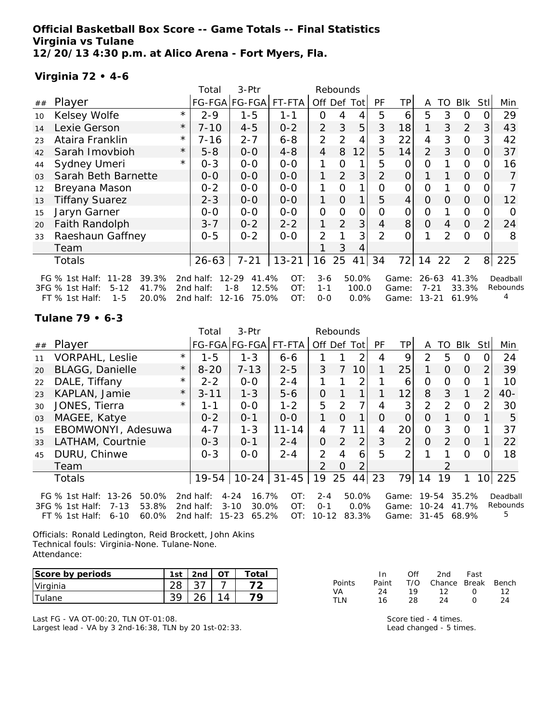**Official Basketball Box Score -- Game Totals -- Final Statistics Virginia vs Tulane 12/20/13 4:30 p.m. at Alico Arena - Fort Myers, Fla.**

## **Virginia 72 • 4-6**

|                |                                      |          | Total     | 3-Ptr                |           |                | Rebounds       |              |                |                 |                |          |                |      |          |
|----------------|--------------------------------------|----------|-----------|----------------------|-----------|----------------|----------------|--------------|----------------|-----------------|----------------|----------|----------------|------|----------|
| ##             | Player                               |          |           | FG-FGA FG-FGA FT-FTA |           |                |                | Off Def Tot  | <b>PF</b>      | ТP              | A              | TO       | Blk            | Stll | Min      |
| 10             | Kelsey Wolfe                         | $\star$  | $2 - 9$   | $1 - 5$              | $1 - 1$   | 0              | 4              | 4            | 5              | 6               | 5              | 3        | $\overline{O}$ |      | 29       |
| 14             | Lexie Gerson                         | $^\star$ | $7 - 10$  | $4 - 5$              | $0 - 2$   | $\overline{2}$ | 3              | 5            | 3              | 18              | 1              | 3        | 2              | 3    | 43       |
| 23             | Ataira Franklin                      | $^\star$ | 7-16      | $2 - 7$              | $6 - 8$   | $\overline{2}$ | 2              | 4            | 3              | 22              | 4              | 3        | $\overline{0}$ | 3    | 42       |
| 42             | Sarah Imovbioh                       | $\star$  | $5 - 8$   | $0-0$                | $4 - 8$   | $\overline{4}$ | 8              | 12           | 5              | 14              | $\overline{2}$ | 3        | $\overline{O}$ | 0    | 37       |
| 44             | Sydney Umeri                         | $^\star$ | $0 - 3$   | $0-0$                | $0 - 0$   | 1              | $\Omega$       | 1            | 5              | O               | 0              |          | $\mathbf{O}$   |      | 16       |
| 0 <sub>3</sub> | Sarah Beth Barnette                  |          | $0-0$     | $0 - 0$              | $0 - 0$   | 1.             | $\overline{2}$ | 3            | $\overline{2}$ | $\Omega$        |                |          | $\overline{O}$ |      | 7        |
| 12             | Breyana Mason                        |          | $0 - 2$   | $0-0$                | $0-0$     |                | O              | $\mathbf{1}$ | 0              | 0               | $\mathcal{O}$  |          | $\overline{O}$ |      |          |
| 13             | <b>Tiffany Suarez</b>                |          | $2 - 3$   | $0 - 0$              | $0 - 0$   | 1              | $\Omega$       |              | 5              | $\vert 4 \vert$ | $\overline{O}$ | $\Omega$ | $\overline{O}$ | 0    | 12       |
| 15             | Jaryn Garner                         |          | $0-0$     | $0-0$                | $0-0$     | 0              | O              | 0            | Ω              | 0               | 0              |          | $\Omega$       |      | ∩        |
| 20             | Faith Randolph                       |          | $3 - 7$   | $0 - 2$              | $2 - 2$   |                | 2              | 3            | $\overline{4}$ | 8               | $\Omega$       | 4        | $\overline{O}$ | 2    | 24       |
| 33             | Raeshaun Gaffney                     |          | $0 - 5$   | $0 - 2$              | $0 - 0$   | 2              |                | 3            | $\mathcal{P}$  | 0               |                | 2        | $\Omega$       |      | 8        |
|                | Team                                 |          |           |                      |           |                | 3              | 4            |                |                 |                |          |                |      |          |
|                | Totals                               |          | $26 - 63$ | $7 - 21$             | $13 - 21$ | 16             | 25             | 41           | 34             | 72              | 14             | 22       | 2              | 8    | 225      |
|                | FG % 1st Half:<br>$11 - 28$<br>39.3% |          | 2nd half: | $12 - 29$<br>41.4%   | OT:       | $3-6$          |                | 50.0%        |                | Game:           | 26-63          |          | 41.3%          |      | Deadball |
|                | 41.7%<br>$5 - 12$<br>3FG % 1st Half: |          | 2nd half: | $1 - 8$<br>12.5%     | OT:       | $1 - 1$        |                | 100.0        |                | Game:           | $7 - 21$       |          | 33.3%          |      | Rebounds |
|                | $1 - 5$<br>20.0%<br>$FT$ % 1st Half: |          | 2nd half: | $12 - 16$<br>75.0%   | OT:       | $O - O$        |                | $0.0\%$      |                | Game:           | $13 - 21$      |          | 61.9%          |      |          |

### **Tulane 79 • 6-3**

|    |                                        |            | Total     | 3-Ptr             |                   |                | Rebounds      |                 |          |                |               |               |            |                 |          |
|----|----------------------------------------|------------|-----------|-------------------|-------------------|----------------|---------------|-----------------|----------|----------------|---------------|---------------|------------|-----------------|----------|
| ## | Player                                 |            |           | FG-FGA FG-FGA     | FT-FTA            | Off Def        |               | Tot             | PF       | TP             | A             | TO            | <b>BIK</b> | Stl             | Min      |
| 11 | <b>VORPAHL, Leslie</b>                 | $\star$    | $1 - 5$   | $1 - 3$           | $6 - 6$           |                |               | 2               | 4        | 9              | 2             | 5             | 0          |                 | 24       |
| 20 | <b>BLAGG, Danielle</b>                 | $\star$    | $8 - 20$  | $7 - 13$          | $2 - 5$           | 3              | 7             | 10 <sup>1</sup> |          | 25             |               | $\Omega$      | $\Omega$   | 2               | 39       |
| 22 | DALE, Tiffany                          | $^{\star}$ | $2 - 2$   | $0 - 0$           | $2 - 4$           | 1              |               | 2               |          | 6              | Ω             | Ω             | 0          |                 | 10       |
| 23 | KAPLAN, Jamie                          | $\star$    | $3 - 11$  | $1 - 3$           | $5 - 6$           | 0              |               | 1               |          | 12             | 8             | 3             | 1          | $\mathcal{P}$   | $40-$    |
| 30 | JONES, Tierra                          | $\star$    | 1-1       | $0 - 0$           | $1 - 2$           | 5              | $\mathcal{P}$ | 7               | 4        | 3              | $\mathcal{P}$ | $\mathcal{P}$ | $\Omega$   | 2               | 30       |
| 03 | MAGEE, Katye                           |            | $0 - 2$   | $O - 1$           | $0 - 0$           | 1.             | $\Omega$      | 1               | $\Omega$ | 0              | Ω             |               | $\Omega$   |                 | 5        |
| 15 | EBOMWONYI, Adesuwa                     |            | $4 - 7$   | $1 - 3$           | $11 - 14$         | 4              |               | 11              | 4        | 20             | 0             | 3             | 0          |                 | 37       |
| 33 | LATHAM, Courtnie                       |            | $0 - 3$   | $O - 1$           | $2 - 4$           | 0              | $\mathcal{P}$ | 2               | 3        | $\overline{2}$ | $\circ$       | $\mathcal{P}$ | $\Omega$   |                 | 22       |
| 45 | DURU, Chinwe                           |            | $0 - 3$   | $0 - 0$           | $2 - 4$           | $\overline{2}$ | 4             | 6               | 5        | $\overline{2}$ |               |               | $\Omega$   |                 | 18       |
|    | Team                                   |            |           |                   |                   | 2              | Ο             | 2               |          |                |               | 2             |            |                 |          |
|    | <b>Totals</b>                          |            | $19 - 54$ |                   | $10 - 24$ 31 - 45 | 19             | 25            | 44              | 23       | 79             | 14            | 19            |            | 10 <sup>1</sup> | 225      |
|    | FG $%$ 1st Half:<br>$13 - 26$<br>50.0% |            | 2nd half: | 16.7%<br>4-24     | OT:               | $2 - 4$        |               | 50.0%           |          | Game:          | 19-54         |               | 35.2%      |                 | Deadball |
|    | 53.8%<br>3FG % 1st Half:<br>$7 - 13$   |            | 2nd half: | $3 - 10$<br>30.0% | OT:               | $O - 1$        |               | $0.0\%$         |          | Game:          | $10 - 24$     |               | 41.7%      |                 | Rebounds |
|    | 60.0%<br>$FT$ % 1st Half:<br>$6 - 10$  |            | 2nd half: | 65.2%<br>15-23    | OT:               | $10 - 12$      |               | 83.3%           |          | Game:          | $31 - 45$     |               | 68.9%      |                 | 5        |

Officials: Ronald Ledington, Reid Brockett, John Akins Technical fouls: Virginia-None. Tulane-None. Attendance:

| Score by periods | 1st | 2 <sub>nd</sub> |   | Total |
|------------------|-----|-----------------|---|-------|
| Virginia         |     |                 |   |       |
| ulane            |     |                 | ◢ |       |

Last FG - VA OT-00:20, TLN OT-01:08. Largest lead - VA by 3 2nd-16:38, TLN by 20 1st-02:33.

|               | In.   | Off | 2nd                    | Fast             |    |
|---------------|-------|-----|------------------------|------------------|----|
| <b>Points</b> | Paint |     | T/O Chance Break Bench |                  |    |
| VA.           | 24    | 19. | 12                     | n                | 12 |
| TI N          | 16    | 28. | -24                    | $\left( \right)$ | 24 |

Score tied - 4 times. Lead changed - 5 times.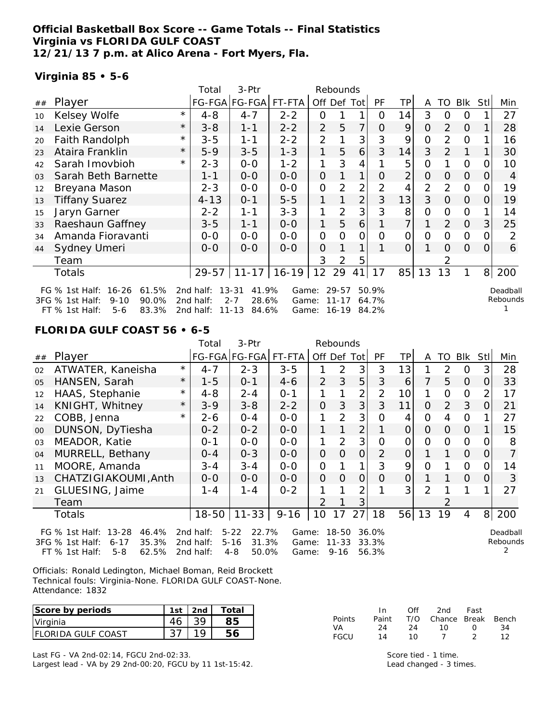### **Official Basketball Box Score -- Game Totals -- Final Statistics Virginia vs FLORIDA GULF COAST 12/21/13 7 p.m. at Alico Arena - Fort Myers, Fla.**

#### **Virginia 85 • 5-6**

|    |                                                                                                                      |          | Total                               | 3-Ptr                                                        |                         |                | Rebounds                    |                |                         |                |                |                |                |                |                      |
|----|----------------------------------------------------------------------------------------------------------------------|----------|-------------------------------------|--------------------------------------------------------------|-------------------------|----------------|-----------------------------|----------------|-------------------------|----------------|----------------|----------------|----------------|----------------|----------------------|
| ## | Player                                                                                                               |          |                                     | FG-FGA FG-FGA FT-FTA                                         |                         | Off Def Tot    |                             |                | PF                      | TР             | A              | TO             | Blk            | Stll           | Min                  |
| 10 | Kelsey Wolfe                                                                                                         | $\star$  | $4 - 8$                             | $4 - 7$                                                      | $2 - 2$                 | O              |                             |                | 0                       | 14             | 3              | 0              | 0              |                | 27                   |
| 14 | Lexie Gerson                                                                                                         | $^\star$ | $3 - 8$                             | $1 - 1$                                                      | $2 - 2$                 | $\overline{2}$ | 5                           | $\overline{7}$ | O                       | 9              | 0              | 2              | $\Omega$       |                | 28                   |
| 20 | Faith Randolph                                                                                                       | $^\star$ | $3 - 5$                             | 1-1                                                          | $2 - 2$                 | $\overline{2}$ |                             | 3              | 3                       | 9              | 0              | $\mathcal{P}$  | $\overline{0}$ |                | 16                   |
| 23 | Ataira Franklin                                                                                                      | $^\star$ | $5 - 9$                             | $3 - 5$                                                      | $1 - 3$                 | 1              | 5                           | 6              | 3                       | 14             | 3              | $\overline{2}$ |                |                | 30                   |
| 42 | Sarah Imovbioh                                                                                                       | $^\star$ | $2 - 3$                             | $0-0$                                                        | $1 - 2$                 | 1              | 3                           | 4              |                         | 5              | 0              |                | $\mathbf 0$    | O              | 10                   |
| 03 | Sarah Beth Barnette                                                                                                  |          | $1 - 1$                             | $0 - 0$                                                      | $O-O$                   | 0              |                             | 1              | O                       | $\overline{2}$ | $\Omega$       | $\Omega$       | $\Omega$       | O              | 4                    |
| 12 | Breyana Mason                                                                                                        |          | $2 - 3$                             | $O-O$                                                        | $0 - 0$                 | 0              | 2                           | 2              | 2                       | 4              | $\overline{2}$ | 2              | $\overline{O}$ |                | 19                   |
| 13 | <b>Tiffany Suarez</b>                                                                                                |          | $4 - 13$                            | $0 - 1$                                                      | $5 - 5$                 | 1              |                             | $\overline{2}$ | 3                       | 13             | 3              | $\Omega$       | $\overline{O}$ | 0              | 19                   |
| 15 | Jaryn Garner                                                                                                         |          | $2 - 2$                             | 1-1                                                          | $3 - 3$                 | 1              | 2                           | 3              | 3                       | 8              | 0              | 0              | 0              |                | 14                   |
| 33 | Raeshaun Gaffney                                                                                                     |          | $3 - 5$                             | 1-1                                                          | $0 - 0$                 | 1              | 5                           | 6              |                         | 7              |                | 2              | $\overline{O}$ | 3              | 25                   |
| 34 | Amanda Fioravanti                                                                                                    |          | 0-0                                 | $O-O$                                                        | $0 - 0$                 | 0              | $\Omega$                    | O              | $\Omega$                | $\Omega$       | 0              | $\Omega$       | $\overline{O}$ |                | 2                    |
| 44 | Sydney Umeri                                                                                                         |          | $0-0$                               | $0 - 0$                                                      | $0 - 0$                 | 0              |                             |                |                         | $\Omega$       |                | $\Omega$       | $\Omega$       | 0              | 6                    |
|    | Team                                                                                                                 |          |                                     |                                                              |                         | 3              | 2                           | 5              |                         |                |                |                |                |                |                      |
|    | Totals                                                                                                               |          | 29-57                               |                                                              | $11 - 17$   16-19       | 12             | 29                          | 41             | 17                      | 85             | 13             | 13             |                | 8 <sup>1</sup> | 200                  |
|    | $16 - 26$<br>61.5%<br>FG $%$ 1st Half:<br>3FG % 1st Half:<br>$9 - 10$<br>90.0%<br>83.3%<br>FT % 1st Half:<br>$5 - 6$ |          | 2nd half:<br>2nd half:<br>2nd half: | $13 - 31$<br>41.9%<br>$2 - 7$<br>28.6%<br>$11 - 13$<br>84.6% | Game:<br>Game:<br>Game: |                | 29-57<br>$11 - 17$<br>16-19 |                | 50.9%<br>64.7%<br>84.2% |                |                |                |                |                | Deadball<br>Rebounds |

#### **FLORIDA GULF COAST 56 • 6-5**

|                |                                                       |          | Total       | 3-Ptr                 |                   |                | Rebounds       |                |          |                |          |          |                |                |          |
|----------------|-------------------------------------------------------|----------|-------------|-----------------------|-------------------|----------------|----------------|----------------|----------|----------------|----------|----------|----------------|----------------|----------|
| ##             | Player                                                |          |             | FG-FGA FG-FGA  FT-FTA |                   | Off Def        |                | Tot            | PF       | ΤP             | A        | TO       | <b>Blk</b>     | <b>Stll</b>    | Min      |
| 02             | ATWATER, Kaneisha                                     | $\star$  | $4 - 7$     | $2 - 3$               | $3 - 5$           |                | 2              | 3              | 3        | 13             |          | 2        | 0              | 3              | 28       |
| 0 <sub>5</sub> | HANSEN, Sarah                                         | $\star$  | 1-5         | $0 - 1$               | $4 - 6$           | $\overline{2}$ | 3              | 5              | 3        | 6              | 7        | 5        | $\Omega$       | $\Omega$       | 33       |
| 12             | HAAS, Stephanie                                       | $^\star$ | $4 - 8$     | $2 - 4$               | $O - 1$           |                |                | 2              | 2        | 10             |          | 0        | $\Omega$       |                | 17       |
| 14             | KNIGHT, Whitney                                       | $^\star$ | $3 - 9$     | $3 - 8$               | $2 - 2$           | 0              | 3              | 3              | 3        | 11             | O        | 2        | 3              | $\Omega$       | 21       |
| 22             | COBB, Jenna                                           | $\star$  | 2-6         | 0-4                   | $0-0$             |                | 2              | 3              | O        | 4              | 0        | 4        | 0              |                | 27       |
| 00             | DUNSON, DyTiesha                                      |          | $0 - 2$     | $0 - 2$               | $0 - 0$           | 1.             |                | 2 <sub>1</sub> |          | $\overline{O}$ | $\Omega$ | 0        | $\Omega$       |                | 15       |
| 03             | MEADOR, Katie                                         |          | $0 - 1$     | $0 - 0$               | $0 - 0$           | 1              | $\overline{2}$ | 3              | $\Omega$ | 0              | $\Omega$ | $\Omega$ | $\Omega$       |                | 8        |
| 04             | MURRELL, Bethany                                      |          | $O - 4$     | $0 - 3$               | $0 - 0$           | $\Omega$       | $\Omega$       | 0              | 2        | $\overline{O}$ |          |          | $\Omega$       | $\Omega$       |          |
| 11             | MOORE, Amanda                                         |          | 3-4         | $3 - 4$               | $0 - 0$           | 0              |                | 1              | 3        | 9              | 0        |          | $\Omega$       |                | 14       |
| 13             | CHATZIGIAKOUMI, Anth                                  |          | $O - O$     | $0 - 0$               | $0 - 0$           | $\Omega$       | $\Omega$       | $\Omega$       | O        | 0              |          |          | $\Omega$       | $\Omega$       | 3        |
| 21             | GLUESING, Jaime                                       |          | $1 - 4$     | $1 - 4$               | $0 - 2$           |                |                | 2              |          | 3              | 2        |          |                |                | 27       |
|                | Team                                                  |          |             |                       |                   | $\mathcal{P}$  |                | 3              |          |                |          |          |                |                |          |
|                | Totals                                                |          | $18 - 50$   | $11 - 33$             | $9 - 16$          | 10             | 17             | 27             | 18       | 56             | 13       | 19       | $\overline{4}$ | 8 <sup>1</sup> | 200      |
|                | FG % 1st Half: 13-28<br>46.4%                         |          | 2nd half:   | $5 - 22$<br>22.7%     | Game:             |                | 18-50          |                | 36.0%    |                |          |          |                |                | Deadball |
|                | 3FG % 1st Half:<br>$6 - 17$<br>35.3%                  |          | 2nd half:   | $5 - 16$<br>31.3%     | Game:             |                | $11 - 33$      |                | 33.3%    |                |          |          |                |                | Rebounds |
|                | 62.502<br>59<br>$FT \,$ $\alpha$ 1 ct $H$ əlf $\cdot$ |          | $2nd$ half. | $\Lambda$ Q<br>50 UN  | C <sub>2</sub> ma |                | 0.16           |                | 56 204   |                |          |          |                |                |          |

Officials: Ronald Ledington, Michael Boman, Reid Brockett Technical fouls: Virginia-None. FLORIDA GULF COAST-None. Attendance: 1832

FT % 1st Half: 5-8 62.5% 2nd half: 4-8 50.0% Game: 9-16 56.3%

| Score by periods           | 1st | 2nd | Total |
|----------------------------|-----|-----|-------|
| Virginia                   |     |     |       |
| <b>IFLORIDA GULF COAST</b> |     |     |       |

Last FG - VA 2nd-02:14, FGCU 2nd-02:33. Largest lead - VA by 29 2nd-00:20, FGCU by 11 1st-15:42.

|        | In.   | ∩ff | 2nd -                  | Fast             |    |
|--------|-------|-----|------------------------|------------------|----|
| Points | Paint |     | T/O Chance Break Bench |                  |    |
| VA     | 24    | 24  | 10.                    | $\left( \right)$ | 34 |
| FGCU   | 14    | 1 N |                        |                  | 12 |

Score tied - 1 time. Lead changed - 3 times.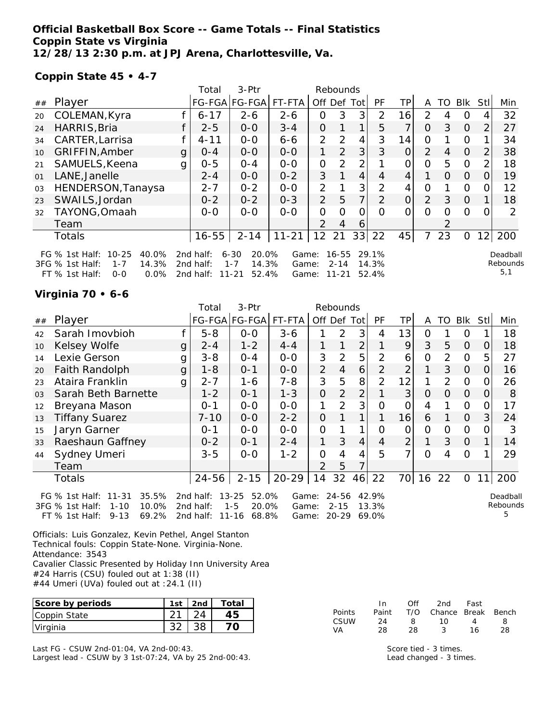### **Official Basketball Box Score -- Game Totals -- Final Statistics Coppin State vs Virginia 12/28/13 2:30 p.m. at JPJ Arena, Charlottesville, Va.**

#### **Coppin State 45 • 4-7**

|    |                                                                                                                       |   | Total                                  | 3-Ptr                                                       |                         |                | Rebounds                           |                |                         |                |                |          |                |                |                             |
|----|-----------------------------------------------------------------------------------------------------------------------|---|----------------------------------------|-------------------------------------------------------------|-------------------------|----------------|------------------------------------|----------------|-------------------------|----------------|----------------|----------|----------------|----------------|-----------------------------|
| ## | Player                                                                                                                |   |                                        | FG-FGA FG-FGA                                               | FT-FTA                  | Off            | Def                                | Tot            | PF                      | TP.            | A              | TO       | <b>Blk</b>     | Stl            | Min                         |
| 20 | COLEMAN, Kyra                                                                                                         |   | $6 - 17$                               | $2 - 6$                                                     | $2 - 6$                 | 0              | 3                                  | 3              | 2                       | 16             | 2              | 4        | O              |                | 32                          |
| 24 | HARRIS, Bria                                                                                                          |   | $2 - 5$                                | $0 - 0$                                                     | $3 - 4$                 | 0              |                                    | 1              | 5                       | 7              | O              | 3        | $\overline{O}$ | $\overline{2}$ | 27                          |
| 34 | CARTER, Larrisa                                                                                                       |   | $4 - 11$                               | $0-0$                                                       | $6 - 6$                 | $\overline{2}$ | 2                                  | 4              | 3                       | 14             | $\overline{O}$ |          | 0              |                | 34                          |
| 10 | GRIFFIN, Amber                                                                                                        | g | $O - 4$                                | $0 - 0$                                                     | $0-0$                   | 1              | 2                                  | 3              | 3                       | $\Omega$       | $\overline{2}$ | 4        | $\Omega$       | $\overline{2}$ | 38                          |
| 21 | SAMUELS, Keena                                                                                                        | g | $0 - 5$                                | $0 - 4$                                                     | $0-0$                   | $\overline{O}$ | $\mathcal{P}$                      | $\overline{2}$ |                         | Ω              | $\Omega$       | 5        | O              | $\mathcal{P}$  | 18                          |
| 01 | LANE, Janelle                                                                                                         |   | $2 - 4$                                | $0 - 0$                                                     | $0 - 2$                 | 3              |                                    | 4              | 4                       | 4              | 1              | $\Omega$ | $\Omega$       | 0              | 19                          |
| 03 | HENDERSON, Tanaysa                                                                                                    |   | $2 - 7$                                | $0 - 2$                                                     | $0 - 0$                 | 2              |                                    | 3              | 2                       | 4              | Ο              |          | O              |                | 12                          |
| 23 | SWAILS, Jordan                                                                                                        |   | $0 - 2$                                | $0 - 2$                                                     | $0 - 3$                 | $\overline{2}$ | 5                                  | 7              | 2                       | $\overline{O}$ | 2              | 3        | $\overline{O}$ |                | 18                          |
| 32 | TAYONG, Omaah                                                                                                         |   | $0 - 0$                                | $0 - 0$                                                     | $0 - 0$                 | 0              | $\Omega$                           | 0              | Ω                       | Ω              | Ω              | Ω        | $\Omega$       |                | 2                           |
|    | Team                                                                                                                  |   |                                        |                                                             |                         | 2              | 4                                  | 6              |                         |                |                |          |                |                |                             |
|    | Totals                                                                                                                |   | $16 - 55$                              | $2 - 14$                                                    | $11 - 21$               | 12             | 21                                 | 33             | 22                      | 45             | 7              | 23       | $\mathcal{O}$  | 12             | 200                         |
|    | $10 - 25$<br>40.0%<br>FG % 1st Half:<br>3FG % 1st Half:<br>14.3%<br>$1 - 7$<br>$FT$ % 1st Half:<br>$0.0\%$<br>$0 - 0$ |   | 2 $nd$ half:<br>2nd half:<br>2nd half: | $6 - 30$<br>20.0%<br>$1 - 7$<br>14.3%<br>52.4%<br>$11 - 21$ | Game:<br>Game:<br>Game: |                | $16 - 55$<br>$2 - 14$<br>$11 - 21$ |                | 29.1%<br>14.3%<br>52.4% |                |                |          |                |                | Deadball<br>Rebounds<br>5,1 |

### **Virginia 70 • 6-6**

|    |                                                                                                                       |   | Total                               | 3-Ptr                                                    |                         |                | Rebounds                       |                |                         |                |                |               |                |      |                            |
|----|-----------------------------------------------------------------------------------------------------------------------|---|-------------------------------------|----------------------------------------------------------|-------------------------|----------------|--------------------------------|----------------|-------------------------|----------------|----------------|---------------|----------------|------|----------------------------|
| ## | Player                                                                                                                |   |                                     | FG-FGA FG-FGA FT-FTA                                     |                         |                | Off Def Tot                    |                | <b>PF</b>               | ТP             | A              | TO            | Blk            | Stll | Min                        |
| 42 | Sarah Imovbioh                                                                                                        |   | $5 - 8$                             | $0-0$                                                    | $3 - 6$                 |                | 2                              | 3              | 4                       | 13             | 0              |               | $\Omega$       |      | 18                         |
| 10 | Kelsey Wolfe                                                                                                          | g | $2 - 4$                             | $1 - 2$                                                  | $4 - 4$                 |                |                                | $\overline{2}$ |                         | 9              | 3              | 5             | $\overline{O}$ | 0    | 18                         |
| 14 | Lexie Gerson                                                                                                          | g | $3 - 8$                             | $0 - 4$                                                  | $0 - 0$                 | 3              | 2                              | 5              | 2                       | 6              | 0              | $\mathcal{P}$ | $\overline{0}$ | 5    | 27                         |
| 20 | Faith Randolph                                                                                                        | g | $1 - 8$                             | $0 - 1$                                                  | $0-0$                   | $\overline{2}$ | $\overline{4}$                 | 6              | 2                       | $\overline{2}$ |                | 3             | $\overline{O}$ | 0    | 16                         |
| 23 | Ataira Franklin                                                                                                       | g | $2 - 7$                             | 1-6                                                      | 7-8                     | 3              | 5                              | 8              | 2                       | 12             | 1              | 2             | $\mathbf{O}$   |      | 26                         |
| 03 | Sarah Beth Barnette                                                                                                   |   | $1 - 2$                             | $0 - 1$                                                  | $1 - 3$                 | 0              | $\overline{2}$                 | $\overline{2}$ |                         | 3              | $\Omega$       | $\Omega$      | $\overline{O}$ |      | 8                          |
| 12 | Breyana Mason                                                                                                         |   | $0 - 1$                             | $0-0$                                                    | $0-0$                   |                | $\mathcal{P}$                  | 3              | $\Omega$                | $\overline{O}$ | 4              |               | $\overline{O}$ |      | 17                         |
| 13 | <b>Tiffany Suarez</b>                                                                                                 |   | $7 - 10$                            | $0 - 0$                                                  | $2 - 2$                 | 0              |                                |                |                         | 16             | 6              |               | $\overline{O}$ | 3    | 24                         |
| 15 | Jaryn Garner                                                                                                          |   | $0 - 1$                             | $0-0$                                                    | $0 - 0$                 | 0              |                                |                | 0                       | 0              | 0              | 0             | $\mathbf{O}$   |      | 3                          |
| 33 | Raeshaun Gaffney                                                                                                      |   | $0 - 2$                             | $0 - 1$                                                  | $2 - 4$                 |                | 3                              | $\overline{4}$ | $\overline{4}$          | $\overline{2}$ |                | 3             | $\overline{O}$ |      | 14                         |
| 44 | Sydney Umeri                                                                                                          |   | $3 - 5$                             | $0 - 0$                                                  | $1 - 2$                 | 0              | 4                              | 4              | 5                       | 7              | $\overline{O}$ | 4             | $\Omega$       |      | 29                         |
|    | Team                                                                                                                  |   |                                     |                                                          |                         | $\overline{2}$ | 5                              |                |                         |                |                |               |                |      |                            |
|    | Totals                                                                                                                |   | 24-56                               | $2 - 15$                                                 | $20 - 29$               | 14             | 32                             | 46             | 22                      | 70             | 16             | 22            | $\overline{0}$ |      | 200                        |
|    | 35.5%<br>FG % 1st Half:<br>$11 - 31$<br>10.0%<br>3FG % 1st Half:<br>$1 - 10$<br>$9 - 13$<br>69.2%<br>$FT$ % 1st Half: |   | 2nd half:<br>2nd half:<br>2nd half: | $13 - 25$<br>52.0%<br>$1 - 5$<br>20.0%<br>11-16<br>68.8% | Game:<br>Game:<br>Game: |                | 24-56<br>$2 - 15$<br>$20 - 29$ |                | 42.9%<br>13.3%<br>69.0% |                |                |               |                |      | Deadball<br>Rebounds<br>5. |

Officials: Luis Gonzalez, Kevin Pethel, Angel Stanton Technical fouls: Coppin State-None. Virginia-None. Attendance: 3543 Cavalier Classic Presented by Holiday Inn University Area #24 Harris (CSU) fouled out at 1:38 (II)

#44 Umeri (UVa) fouled out at :24.1 (II)

| Score by periods | 1st | 2 <sub>nd</sub> | Total |
|------------------|-----|-----------------|-------|
| Coppin State     |     |                 |       |
| Virginia         |     |                 |       |

Last FG - CSUW 2nd-01:04, VA 2nd-00:43. Largest lead - CSUW by 3 1st-07:24, VA by 25 2nd-00:43.

|        | In    | ∩ff | 2nd                    | Fast |    |
|--------|-------|-----|------------------------|------|----|
| Points | Paint |     | T/O Chance Break Bench |      |    |
| CSUW   | 24    | 8   | 1 O                    | Δ    | 8  |
| VA     | 28    | 28. |                        | 16   | 28 |

Score tied - 3 times. Lead changed - 3 times.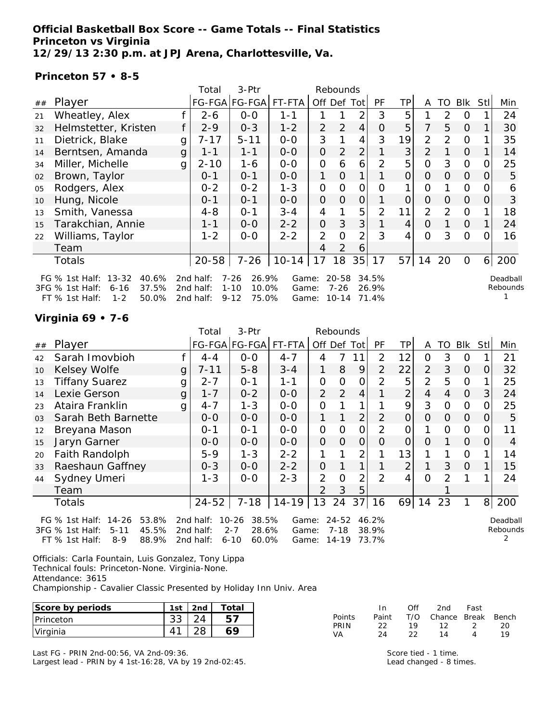### **Official Basketball Box Score -- Game Totals -- Final Statistics Princeton vs Virginia 12/29/13 2:30 p.m. at JPJ Arena, Charlottesville, Va.**

#### **Princeton 57 • 8-5**

|    |                                                                                                                    |   | Total                               | 3-Ptr                                                       |                         |                | Rebounds                           |                |                         |                |                |    |                |                |                      |
|----|--------------------------------------------------------------------------------------------------------------------|---|-------------------------------------|-------------------------------------------------------------|-------------------------|----------------|------------------------------------|----------------|-------------------------|----------------|----------------|----|----------------|----------------|----------------------|
| ## | Player                                                                                                             |   |                                     | FG-FGA FG-FGA                                               | FT-FTA                  |                |                                    | Off Def Tot    | <b>PF</b>               | <b>TP</b>      | A              | TO | Blk            | Stll           | Min                  |
| 21 | Wheatley, Alex                                                                                                     |   | $2 - 6$                             | $0-0$                                                       | $1 - 1$                 |                |                                    | 2              | 3                       | 5              |                | 2  | 0              |                | 24                   |
| 32 | Helmstetter, Kristen                                                                                               |   | $2 - 9$                             | $0 - 3$                                                     | $1 - 2$                 | $\overline{2}$ | 2                                  | 4              | $\overline{O}$          | 5              | 7              | 5  | $\Omega$       |                | 30                   |
| 11 | Dietrick, Blake                                                                                                    | g | 7-17                                | $5 - 11$                                                    | $0-0$                   | 3              |                                    | 4              | 3                       | 19             | $\overline{2}$ | 2  | $\Omega$       |                | 35                   |
| 14 | Berntsen, Amanda                                                                                                   | g | $1 - 1$                             | $1 - 1$                                                     | $O-O$                   | $\overline{O}$ | $\overline{2}$                     | $\overline{2}$ |                         | 3              | 2              |    | $\overline{O}$ |                | 14                   |
| 34 | Miller, Michelle                                                                                                   | g | $2 - 10$                            | $1 - 6$                                                     | $0-0$                   | $\mathbf{O}$   | 6                                  | 6              | $\overline{2}$          | 5              | $\overline{O}$ | 3  | $\mathbf{O}$   | O              | 25                   |
| 02 | Brown, Taylor                                                                                                      |   | $0 - 1$                             | $0 - 1$                                                     | $O-O$                   | 1              | $\overline{O}$                     | 1              |                         | 0              | $\Omega$       | 0  | $\overline{O}$ | $\Omega$       | 5                    |
| 05 | Rodgers, Alex                                                                                                      |   | $0 - 2$                             | $0 - 2$                                                     | $1 - 3$                 | $\mathbf{O}$   | $\overline{O}$                     | $\mathcal{O}$  | $\Omega$                |                | $\overline{O}$ |    | $\Omega$       | O              | 6                    |
| 10 | Hung, Nicole                                                                                                       |   | $0 - 1$                             | $0 - 1$                                                     | $0-0$                   | $\overline{O}$ | 0                                  | $\overline{O}$ |                         | $\overline{O}$ | $\Omega$       | 0  | $\Omega$       | 0              | 3                    |
| 13 | Smith, Vanessa                                                                                                     |   | $4 - 8$                             | $0 - 1$                                                     | $3 - 4$                 | 4              |                                    | 5              | $\overline{2}$          | 11             | $\overline{2}$ | 2  | $\Omega$       |                | 18                   |
| 15 | Tarakchian, Annie                                                                                                  |   | $1 - 1$                             | $0-0$                                                       | $2 - 2$                 | $\overline{O}$ | 3                                  | 3              |                         | 4              | $\overline{O}$ |    | $\mathcal{O}$  |                | 24                   |
| 22 | Williams, Taylor                                                                                                   |   | $1 - 2$                             | $0-0$                                                       | $2 - 2$                 | 2              | $\overline{O}$                     | $\overline{2}$ | 3                       | 4              | $\Omega$       | 3  | $\Omega$       | O              | 16                   |
|    | Team                                                                                                               |   |                                     |                                                             |                         | 4              | $\overline{2}$                     | 6              |                         |                |                |    |                |                |                      |
|    | Totals                                                                                                             |   | $20 - 58$                           | $7 - 26$                                                    | $10-14$                 | 17             | 18                                 | 35             | 17                      | 57             | 14             | 20 | $\Omega$       | 6 <sup>1</sup> | 200                  |
|    | $13 - 32$<br>FG $%$ 1st Half:<br>40.6%<br>37.5%<br>3FG % 1st Half:<br>6-16<br>$1 - 2$<br>50.0%<br>$FT$ % 1st Half: |   | 2nd half:<br>2nd half:<br>2nd half: | $7 - 26$<br>26.9%<br>$1 - 10$<br>10.0%<br>$9 - 12$<br>75.0% | Game:<br>Game:<br>Game: |                | $20 - 58$<br>$7 - 26$<br>$10 - 14$ |                | 34.5%<br>26.9%<br>71.4% |                |                |    |                |                | Deadball<br>Rebounds |

## **Virginia 69 • 7-6**

|                |                                        |              | Total     | 3-Ptr              |         |               | Rebounds  |                |                |                |                |               |                |          |          |
|----------------|----------------------------------------|--------------|-----------|--------------------|---------|---------------|-----------|----------------|----------------|----------------|----------------|---------------|----------------|----------|----------|
| ##             | Player                                 |              |           | FG-FGA FG-FGA      | FT-FTA  | Off Def Tot   |           |                | <b>PF</b>      | TP             | A              | TO.           | Blk            | Stll     | Min      |
| 42             | Sarah Imovbioh                         |              | $4 - 4$   | $0-0$              | $4 - 7$ | 4             | 7         | 11             | $\overline{2}$ | 12             | $\Omega$       | 3             | $\Omega$       |          | 21       |
| 10             | Kelsey Wolfe                           | g            | 7-11      | $5 - 8$            | $3 - 4$ | 1             | 8         | 9              | $\overline{2}$ | 22             | $\overline{2}$ | 3             | $\Omega$       | 0        | 32       |
| 13             | <b>Tiffany Suarez</b>                  | g            | $2 - 7$   | $0 - 1$            | 1-1     | 0             | 0         | O              | 2              | 5              | $\overline{2}$ | 5             | $\Omega$       |          | 25       |
| 14             | Lexie Gerson                           | $\mathbf{g}$ | $1 - 7$   | $0 - 2$            | $0 - 0$ | 2             | 2         | $\overline{4}$ |                | 2              | $\overline{4}$ | 4             | $\Omega$       | 3        | 24       |
| 23             | Ataira Franklin                        | g            | $4 - 7$   | $1 - 3$            | $0 - 0$ | 0             |           |                |                | 9              | 3              | $\Omega$      | $\overline{0}$ | 0        | 25       |
| 0 <sub>3</sub> | Sarah Beth Barnette                    |              | $O-O$     | $0 - 0$            | $0 - 0$ | 1             |           | $\overline{2}$ | $\overline{2}$ | $\overline{O}$ | $\Omega$       | $\Omega$      | $\Omega$       | $\Omega$ | 5        |
| 12             | Breyana Mason                          |              | $0 - 1$   | $0 - 1$            | $0 - 0$ | O             | 0         | $\overline{O}$ | 2              | 0              |                | 0             | $\Omega$       | 0        | 11       |
| 15             | Jaryn Garner                           |              | $0 - 0$   | $0-0$              | $O-O$   | $\mathcal{O}$ | 0         | $\overline{O}$ | $\Omega$       | $\overline{O}$ | $\Omega$       |               | $\Omega$       | 0        | 4        |
| 20             | Faith Randolph                         |              | $5 - 9$   | $1 - 3$            | $2 - 2$ |               |           | 2              |                | 13             |                |               | $\Omega$       |          | 14       |
| 33             | Raeshaun Gaffney                       |              | $0 - 3$   | $0 - 0$            | $2 - 2$ | $\Omega$      |           |                |                | 2              |                | 3             | $\Omega$       |          | 15       |
| 44             | Sydney Umeri                           |              | $1 - 3$   | $0 - 0$            | $2 - 3$ | 2             | $\Omega$  | 2              | 2              | 4              | $\Omega$       | $\mathcal{P}$ |                |          | 24       |
|                | Team                                   |              |           |                    |         | 2             | 3         | 5              |                |                |                |               |                |          |          |
|                | Totals                                 |              | $24 - 52$ | $7 - 18$           | $14-19$ | 13            | 24        | 37             | 16             | 69             | 14             | 23            |                | 8        | 200      |
|                | FG $%$ 1st Half:<br>$14 - 26$<br>53.8% |              | 2nd half: | $10 - 26$<br>38.5% | Game:   |               | $24 - 52$ |                | 46.2%          |                |                |               |                |          | Deadball |
|                | 45.5%<br>3FG % 1st Half:<br>$5 - 11$   |              | 2nd half: | $2 - 7$<br>28.6%   | Game:   |               | $7 - 18$  |                | 38.9%          |                |                |               |                |          | Rebounds |
|                | 88.9%<br>$FT$ % 1st Half:<br>$8 - 9$   |              | 2nd half: | $6 - 10$<br>60.0%  | Game:   |               | 14-19     |                | 73.7%          |                |                |               |                |          |          |

Officials: Carla Fountain, Luis Gonzalez, Tony Lippa Technical fouls: Princeton-None. Virginia-None. Attendance: 3615

Championship - Cavalier Classic Presented by Holiday Inn Univ. Area

| Score by periods  | 1st            | 2 <sub>nd</sub> | $\tau$ otal |            |             | Of'                       | 2nd        | Fast         |           |
|-------------------|----------------|-----------------|-------------|------------|-------------|---------------------------|------------|--------------|-----------|
| <b>IPrinceton</b> | າາ<br>აა       | 24<br>_         | 57<br>ັ     | Points     | Paint<br>າາ | T/O                       | Chance     | <b>Break</b> | Bench     |
| Virginia          | 4 <sup>1</sup> | າຂ<br>ــ        | АC          | PRIN<br>VA | 24          | 10<br>$\cap$<br><u>__</u> | . <u>.</u> | ∸            | 20<br>1 Q |

Last FG - PRIN 2nd-00:56, VA 2nd-09:36. Largest lead - PRIN by 4 1st-16:28, VA by 19 2nd-02:45. Score tied - 1 time. Lead changed - 8 times.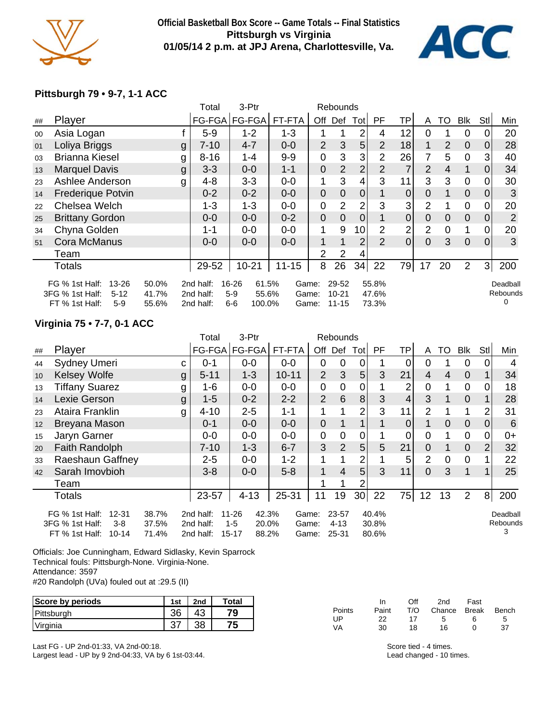

### **Official Basketball Box Score -- Game Totals -- Final Statistics Pittsburgh vs Virginia 01/05/14 2 p.m. at JPJ Arena, Charlottesville, Va.**



### **Pittsburgh 79 • 9-7, 1-1 ACC**

|    |                                                                                     |                         | Total                               | 3-Ptr                                               |                         |                | Rebounds                        |                |                         |                |                |                |                |                |                           |
|----|-------------------------------------------------------------------------------------|-------------------------|-------------------------------------|-----------------------------------------------------|-------------------------|----------------|---------------------------------|----------------|-------------------------|----------------|----------------|----------------|----------------|----------------|---------------------------|
| ## | Player                                                                              |                         | FG-FGA                              | FG-FGA                                              | FT-FTA                  | Off            | Def                             | Tot            | PF.                     | ΤP             | A              | TO             | Blk            | Stl            | Min                       |
| 00 | Asia Logan                                                                          |                         | $5-9$                               | $1 - 2$                                             | $1 - 3$                 |                |                                 | 2              | 4                       | 12             | 0              |                | 0              | 0              | 20                        |
| 01 | Loliya Briggs                                                                       | g                       | $7 - 10$                            | $4 - 7$                                             | $0-0$                   | $\overline{2}$ | 3                               | 5              | $\overline{2}$          | 18             |                | $\overline{2}$ | $\mathbf{0}$   | 0              | 28                        |
| 03 | <b>Brianna Kiesel</b>                                                               | g                       | $8 - 16$                            | $1 - 4$                                             | $9-9$                   | 0              | 3                               | 3              | $\overline{2}$          | 26             | 7              | 5              | $\mathbf 0$    | 3              | 40                        |
| 13 | <b>Marquel Davis</b>                                                                | g                       | $3 - 3$                             | $0-0$                                               | $1 - 1$                 | $\mathbf 0$    | $\overline{2}$                  | $\overline{2}$ | $\overline{2}$          | 7              | $\overline{2}$ | 4              | 1              | 0              | 34                        |
| 23 | Ashlee Anderson                                                                     | g                       | $4 - 8$                             | $3 - 3$                                             | $0-0$                   | 1              | 3                               | 4              | 3                       | 11             | 3              | 3              | 0              | 0              | 30                        |
| 14 | <b>Frederique Potvin</b>                                                            |                         | $0 - 2$                             | $0 - 2$                                             | $0-0$                   | $\mathbf 0$    | $\mathbf 0$                     | $\overline{0}$ |                         | 0              | $\overline{0}$ |                | $\overline{0}$ | $\Omega$       | 3                         |
| 22 | Chelsea Welch                                                                       |                         | $1 - 3$                             | $1 - 3$                                             | $0-0$                   | 0              | $\overline{2}$                  | $\overline{2}$ | 3                       | 3              | $\overline{2}$ |                | $\mathbf 0$    | 0              | 20                        |
| 25 | <b>Brittany Gordon</b>                                                              |                         | $0-0$                               | $0-0$                                               | $0 - 2$                 | $\mathbf 0$    | $\mathbf 0$                     | $\overline{0}$ |                         | $\mathbf 0$    | $\overline{0}$ | $\overline{0}$ | $\overline{0}$ | $\overline{0}$ | $\overline{2}$            |
| 34 | Chyna Golden                                                                        |                         | $1 - 1$                             | $0-0$                                               | $0-0$                   | 1              | 9                               | 10             | 2                       | 2              | $\overline{2}$ | 0              | 1              | $\Omega$       | 20                        |
| 51 | Cora McManus                                                                        |                         | $0 - 0$                             | $0-0$                                               | $0-0$                   | 1              |                                 | 2              | $\mathcal{P}$           | $\overline{0}$ | $\overline{0}$ | 3              | $\Omega$       | $\Omega$       | 3                         |
|    | Team                                                                                |                         |                                     |                                                     |                         | 2              | $\overline{2}$                  | 4              |                         |                |                |                |                |                |                           |
|    | <b>Totals</b>                                                                       |                         | 29-52                               | $10 - 21$                                           | $11 - 15$               | 8              | 26                              | 34             | 22                      | 79             | 17             | 20             | $\overline{2}$ | 3 <sup>1</sup> | 200                       |
|    | FG % 1st Half:<br>$13 - 26$<br>3FG % 1st Half:<br>$5 - 12$<br>FT % 1st Half:<br>5-9 | 50.0%<br>41.7%<br>55.6% | 2nd half:<br>2nd half:<br>2nd half: | 16-26<br>61.5%<br>$5-9$<br>55.6%<br>$6-6$<br>100.0% | Game:<br>Game:<br>Game: |                | 29-52<br>$10 - 21$<br>$11 - 15$ |                | 55.8%<br>47.6%<br>73.3% |                |                |                |                |                | Deadball<br>Rebounds<br>0 |
|    |                                                                                     |                         |                                     |                                                     |                         |                |                                 |                |                         |                |                |                |                |                |                           |

## **Virginia 75 • 7-7, 0-1 ACC**

|    |                                                                                                                   |   | Total                               | 3-Ptr                                                    |                         |                | Rebounds                   |                |                         |                          |                |                |                |                |                           |
|----|-------------------------------------------------------------------------------------------------------------------|---|-------------------------------------|----------------------------------------------------------|-------------------------|----------------|----------------------------|----------------|-------------------------|--------------------------|----------------|----------------|----------------|----------------|---------------------------|
| ## | Player                                                                                                            |   | FG-FGA                              | <b>FG-FGA</b>                                            | FT-FTA                  | Off            | Def                        | Totl           | <b>PF</b>               | ТP                       | A              | TO             | Blk            | Stl            | Min                       |
| 44 | <b>Sydney Umeri</b>                                                                                               | С | $0 - 1$                             | $0-0$                                                    | $0-0$                   | 0              | $\mathbf 0$                | $\mathbf 0$    |                         | 0                        | 0              |                | $\overline{0}$ | 0              | 4                         |
| 10 | <b>Kelsey Wolfe</b>                                                                                               | g | $5 - 11$                            | $1 - 3$                                                  | $10 - 11$               | $\overline{2}$ | 3                          | 5 <sub>1</sub> | 3                       | 21                       | $\overline{4}$ | $\overline{4}$ | $\overline{0}$ |                | 34                        |
| 13 | <b>Tiffany Suarez</b>                                                                                             | g | 1-6                                 | $0-0$                                                    | $0-0$                   | $\mathbf 0$    | 0                          | 0              |                         | 2                        | 0              |                | $\mathbf 0$    | 0              | 18                        |
| 14 | Lexie Gerson                                                                                                      | g | $1 - 5$                             | $0 - 2$                                                  | $2 - 2$                 | $\overline{2}$ | $6\phantom{1}$             | 8 <sup>1</sup> | 3                       | $\overline{\mathcal{A}}$ | 3              | 1              | $\overline{0}$ |                | 28                        |
| 23 | Ataira Franklin                                                                                                   | g | $4 - 10$                            | $2 - 5$                                                  | $1 - 1$                 | 1              |                            | $\overline{2}$ | 3                       | 11                       | $\overline{2}$ |                |                | 2              | 31                        |
| 12 | Breyana Mason                                                                                                     |   | $0 - 1$                             | $0-0$                                                    | $0-0$                   | $\mathbf 0$    | 1                          | 1              |                         | 0                        |                | $\overline{0}$ | $\mathbf 0$    | $\Omega$       | $6\phantom{1}6$           |
| 15 | Jaryn Garner                                                                                                      |   | $0-0$                               | $0-0$                                                    | $0-0$                   | $\mathbf 0$    | 0                          | $\overline{0}$ |                         | $\overline{0}$           | $\overline{0}$ |                | $\mathbf 0$    | $\overline{0}$ | $0+$                      |
| 20 | <b>Faith Randolph</b>                                                                                             |   | $7 - 10$                            | $1 - 3$                                                  | $6 - 7$                 | 3              | $\overline{2}$             | 5 <sub>1</sub> | 5                       | 21                       | $\overline{0}$ |                | $\overline{0}$ | 2 <sub>1</sub> | 32                        |
| 33 | Raeshaun Gaffney                                                                                                  |   | $2 - 5$                             | $0-0$                                                    | $1 - 2$                 |                |                            | 2              |                         | 5                        | 2              | 0              | $\overline{0}$ |                | 22                        |
| 42 | Sarah Imovbioh                                                                                                    |   | $3 - 8$                             | $0-0$                                                    | $5 - 8$                 | 1              | 4                          | 5 <sup>1</sup> | 3                       | 11                       | $\Omega$       | 3              |                |                | 25                        |
|    | Team                                                                                                              |   |                                     |                                                          |                         |                |                            | 2              |                         |                          |                |                |                |                |                           |
|    | <b>Totals</b>                                                                                                     |   | 23-57                               | $4 - 13$                                                 | 25-31                   | 11             | 19                         |                | 30 22                   | 75                       | 12             | 13             | $\overline{2}$ | 8 <sup>1</sup> | 200                       |
|    | $12 - 31$<br>38.7%<br>FG % 1st Half:<br>3FG % 1st Half:<br>37.5%<br>$3-8$<br>$10 - 14$<br>FT % 1st Half:<br>71.4% |   | 2nd half:<br>2nd half:<br>2nd half: | 42.3%<br>11-26<br>$1 - 5$<br>20.0%<br>$15 - 17$<br>88.2% | Game:<br>Game:<br>Game: |                | 23-57<br>$4 - 13$<br>25-31 |                | 40.4%<br>30.8%<br>80.6% |                          |                |                |                |                | Deadball<br>Rebounds<br>3 |

Officials: Joe Cunningham, Edward Sidlasky, Kevin Sparrock Technical fouls: Pittsburgh-None. Virginia-None. Attendance: 3597 #20 Randolph (UVa) fouled out at :29.5 (II)

| Score by periods | 1st | 2nd | Total |
|------------------|-----|-----|-------|
| Pittsburgh       | ΩC  |     | '9    |
| Virginia         |     | ററ  | 75    |

In Off 2nd Fast Points Paint T/O Chance Break Bench UP 22 17 5 6 5 VA 30 18 16 0 37

Last FG - UP 2nd-01:33, VA 2nd-00:18. Largest lead - UP by 9 2nd-04:33, VA by 6 1st-03:44. Score tied - 4 times. Lead changed - 10 times.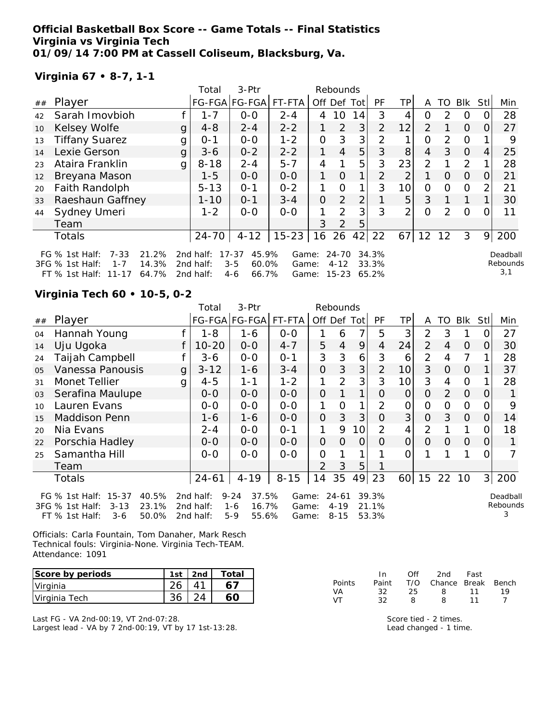### **Official Basketball Box Score -- Game Totals -- Final Statistics Virginia vs Virginia Tech 01/09/14 7:00 PM at Cassell Coliseum, Blacksburg, Va.**

## **Virginia 67 • 8-7, 1-1**

|    |                                                                                                               |   | Total                               | 3-Ptr                                                    |                         |                | Rebounds                       |                |                         |                |                |               |            |          |                             |
|----|---------------------------------------------------------------------------------------------------------------|---|-------------------------------------|----------------------------------------------------------|-------------------------|----------------|--------------------------------|----------------|-------------------------|----------------|----------------|---------------|------------|----------|-----------------------------|
| ## | Player                                                                                                        |   |                                     | FG-FGA FG-FGA                                            | FT-FTA                  | Off            | Def                            | Tot            | <b>PF</b>               | TP.            | A              | TO            | <b>Blk</b> | Stl      | Min                         |
| 42 | Sarah Imovbioh                                                                                                |   | $1 - 7$                             | $0-0$                                                    | $2 - 4$                 | 4              | 10                             | 14             | 3                       | 4              | ი              | $\mathcal{P}$ | 0          |          | 28                          |
| 10 | Kelsey Wolfe                                                                                                  | g | $4 - 8$                             | $2 - 4$                                                  | $2 - 2$                 |                | $\mathcal{P}$                  | 3              | $\overline{2}$          | 12             | $\mathcal{P}$  |               | $\Omega$   | $\Omega$ | 27                          |
| 13 | <b>Tiffany Suarez</b>                                                                                         | g | $O - 1$                             | $0 - 0$                                                  | $1 - 2$                 | $\Omega$       | 3                              | 3              | 2                       | 1              | O              | 2             | $\Omega$   |          | 9                           |
| 14 | Lexie Gerson                                                                                                  | g | $3 - 6$                             | $0 - 2$                                                  | $2 - 2$                 |                | $\overline{4}$                 | 5              | 3                       | 8              | $\overline{4}$ | 3             | $\Omega$   | 4        | 25                          |
| 23 | Ataira Franklin                                                                                               | g | $8 - 18$                            | $2 - 4$                                                  | $5 - 7$                 | 4              |                                | 5              | 3                       | 23             | 2              |               | 2          |          | 28                          |
| 12 | Breyana Mason                                                                                                 |   | $1 - 5$                             | $0 - 0$                                                  | $0 - 0$                 |                | $\Omega$                       | 1              | $\overline{2}$          | $\overline{2}$ |                | $\Omega$      | $\Omega$   | 0        | 21                          |
| 20 | Faith Randolph                                                                                                |   | $5 - 13$                            | $O - 1$                                                  | $0 - 2$                 |                | $\Omega$                       | 1              | 3                       | 10             | O              | Ω             | 0          | 2        | 21                          |
| 33 | Raeshaun Gaffney                                                                                              |   | $1 - 10$                            | $O - 1$                                                  | $3 - 4$                 | $\overline{O}$ | 2                              | $\overline{2}$ |                         | 5 <sup>1</sup> | 3              | 1             | 1          |          | 30                          |
| 44 | Sydney Umeri                                                                                                  |   | $1 - 2$                             | $0-0$                                                    | $0-0$                   | 1              | $\mathcal{P}$                  | 3              | 3                       | 2              | Ω              | $\mathcal{P}$ | $\Omega$   |          | 11                          |
|    | Team                                                                                                          |   |                                     |                                                          |                         | 3              | $\overline{2}$                 | 5              |                         |                |                |               |            |          |                             |
|    | Totals                                                                                                        |   | $24 - 70$                           | $4 - 12$                                                 | $15 - 23$               | 16             | 26                             | 42             | 22                      | 671            | 12             | 12            | 3          | 9        | 200                         |
|    | $7 - 33$<br>21.2%<br>FG $%$ 1st Half:<br>3FG % 1st Half:<br>14.3%<br>$1 - 7$<br>64.7%<br>FT % 1st Half: 11-17 |   | 2nd half:<br>2nd half:<br>2nd half: | $17 - 37$<br>45.9%<br>$3 - 5$<br>60.0%<br>66.7%<br>$4-6$ | Game:<br>Game:<br>Game: |                | 24-70<br>$4 - 12$<br>$15 - 23$ |                | 34.3%<br>33.3%<br>65.2% |                |                |               |            |          | Deadball<br>Rebounds<br>3,1 |

### **Virginia Tech 60 • 10-5, 0-2**

|                |                                      |   | Total     | 3-Ptr             |          |                | Rebounds       |              |                |                 |                |                |          |      |          |
|----------------|--------------------------------------|---|-----------|-------------------|----------|----------------|----------------|--------------|----------------|-----------------|----------------|----------------|----------|------|----------|
| ##             | Player                               |   |           | FG-FGA FG-FGA     | FT-FTA   |                | Off Def Tot    |              | PF             | TP              | A              | TO             | Blk      | Stll | Min      |
| 04             | Hannah Young                         |   | $1 - 8$   | 1-6               | $0-0$    |                | 6              | 7            | 5              | 3               | $\overline{2}$ | 3              |          | 0    | 27       |
| 14             | Uju Ugoka                            |   | $10 - 20$ | $0-0$             | $4 - 7$  | 5              | $\overline{4}$ | 9            | 4              | 24              | $\overline{2}$ | $\overline{4}$ | 0        | 0    | 30       |
| 24             | Taijah Campbell                      |   | $3 - 6$   | $0-0$             | $0 - 1$  | 3              | 3              | 6            | 3              | 6               | 2              | 4              | 7        |      | 28       |
| O <sub>5</sub> | Vanessa Panousis                     | g | $3 - 12$  | $1 - 6$           | $3 - 4$  | $\overline{O}$ | 3              | 3            | $\overline{2}$ | 10              | 3              | 0              | 0        |      | 37       |
| 31             | Monet Tellier                        | g | $4 - 5$   | $1 - 1$           | $1 - 2$  | 1              | 2              | 3            | 3              | 10 <sup>1</sup> | 3              | 4              | $\Omega$ |      | 28       |
| 03             | Serafina Maulupe                     |   | $O-O$     | $0 - 0$           | $O - O$  | $\Omega$       |                | $\mathbf{1}$ | 0              | $\overline{O}$  | $\Omega$       | $\overline{2}$ | $\Omega$ | 0    |          |
| 10             | Lauren Evans                         |   | $0-0$     | $0 - 0$           | $0 - 0$  | 1              | $\Omega$       | 1            | 2              | O               | $\overline{O}$ | 0              | $\Omega$ | 0    | 9        |
| 15             | <b>Maddison Penn</b>                 |   | 1-6       | $1 - 6$           | $0-0$    | $\overline{O}$ | 3              | 3            | $\Omega$       | 3               | $\overline{O}$ | 3              | $\Omega$ | O    | 14       |
| 20             | Nia Evans                            |   | $2 - 4$   | $0-0$             | $O - 1$  | 1              | 9              | 10           | 2              | 4               | $\overline{2}$ |                |          | 0    | 18       |
| 22             | Porschia Hadley                      |   | $0 - 0$   | $0-0$             | $0-0$    | $\overline{O}$ | $\Omega$       | 0            | Ο              | $\overline{O}$  | $\Omega$       | 0              | $\Omega$ | 0    |          |
| 25             | Samantha Hill                        |   | $0-0$     | $0 - 0$           | $0 - 0$  | $\Omega$       |                |              |                | Ω               |                |                |          | 0    |          |
|                | Team                                 |   |           |                   |          | $\overline{2}$ | 3              | 5            |                |                 |                |                |          |      |          |
|                | <b>Totals</b>                        |   | $24 - 61$ | $4 - 19$          | $8 - 15$ | 14             | 35             | 49           | 23             | 60              | 15             | 22             | 10       | 3    | 200      |
|                | $15 - 37$<br>40.5%<br>FG % 1st Half: |   | 2nd half: | $9 - 24$<br>37.5% | Game:    |                | $24 - 61$      |              | 39.3%          |                 |                |                |          |      | Deadball |
|                | 3FG % 1st Half:<br>23.1%<br>$3 - 13$ |   | 2nd half: | $1 - 6$<br>16.7%  | Game:    |                | $4 - 19$       |              | 21.1%          |                 |                |                |          |      | Rebounds |
|                | 50.0%<br>FT % 1st Half:<br>$3-6$     |   | 2nd half: | 55.6%<br>$5 - 9$  | Game:    |                | $8 - 15$       |              | 53.3%          |                 |                |                |          |      | 3        |

Officials: Carla Fountain, Tom Danaher, Mark Resch Technical fouls: Virginia-None. Virginia Tech-TEAM. Attendance: 1091

| Score by periods | 1st | 2 <sub>nd</sub> | Total |
|------------------|-----|-----------------|-------|
| Virginia         |     |                 |       |
| Virginia Tech    |     |                 |       |

Last FG - VA 2nd-00:19, VT 2nd-07:28. Largest lead - VA by 7 2nd-00:19, VT by 17 1st-13:28.

|               | $\mathsf{In}$ |    | Off 2nd Fast                 |    |     |
|---------------|---------------|----|------------------------------|----|-----|
| <b>Points</b> |               |    | Paint T/O Chance Break Bench |    |     |
| VA.           | -32-          |    | 25 8 11                      |    | 1 Q |
| VT.           | 32.           | 8. | $\mathsf{R}^-$               | 11 |     |

Score tied - 2 times. Lead changed - 1 time.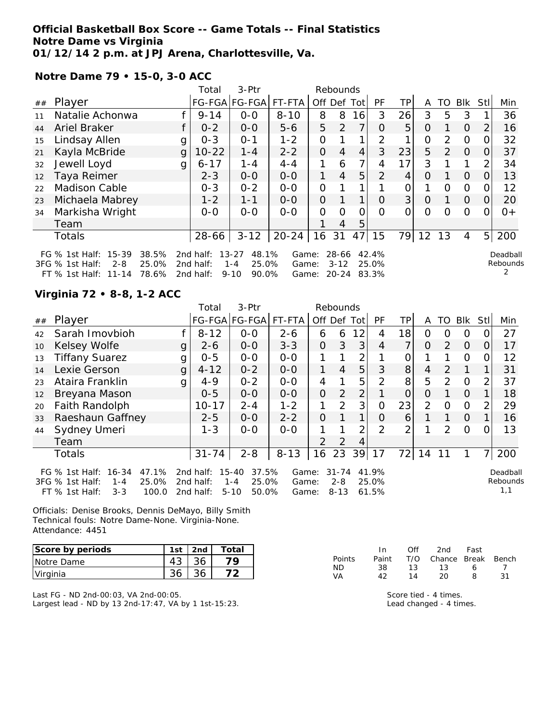### **Official Basketball Box Score -- Game Totals -- Final Statistics Notre Dame vs Virginia 01/12/14 2 p.m. at JPJ Arena, Charlottesville, Va.**

FT % 1st Half: 11-14 78.6% 2nd half: 9-10 90.0% Game: 20-24 83.3%

**Notre Dame 79 • 15-0, 3-0 ACC**

|    |                                                                                                              |   | Total                                           | $3-Ptr$                                                                 |                                     |                | Rebounds          |                 |                |                |         |                |                |                |                      |
|----|--------------------------------------------------------------------------------------------------------------|---|-------------------------------------------------|-------------------------------------------------------------------------|-------------------------------------|----------------|-------------------|-----------------|----------------|----------------|---------|----------------|----------------|----------------|----------------------|
| ## | Player                                                                                                       |   |                                                 | FG-FGA FG-FGA                                                           | FT-FTA                              | Off            | Def               | Tot             | <b>PF</b>      | TP             | A       | TO             | Blk            | Stl            | Min                  |
| 11 | Natalie Achonwa                                                                                              |   | $9 - 14$                                        | $0 - 0$                                                                 | $8 - 10$                            | 8              | 8                 | 16              | 3              | 26             | 3       | 5              | 3              |                | 36                   |
| 44 | Ariel Braker                                                                                                 |   | $0 - 2$                                         | $0 - 0$                                                                 | $5-6$                               | 5              | $\mathcal{P}$     | 7               | $\Omega$       | 5              | O       |                | $\Omega$       | 2              | 16                   |
| 15 | Lindsay Allen                                                                                                | g | $0 - 3$                                         | $0 - 1$                                                                 | $1 - 2$                             | $\overline{O}$ |                   | 1               | 2              | ◄              | 0       | 2              | 0              |                | 32                   |
| 21 | Kayla McBride                                                                                                | g | $10 - 22$                                       | $1 - 4$                                                                 | $2 - 2$                             | $\Omega$       | 4                 | 4               | 3              | 23             | 5       | $\overline{2}$ | $\overline{0}$ | $\Omega$       | 37                   |
| 32 | Jewell Loyd                                                                                                  | g | $6 - 17$                                        | $1 - 4$                                                                 | $4 - 4$                             |                | 6                 | 7               | 4              | 17             | 3       |                |                | 2              | 34                   |
| 12 | Taya Reimer                                                                                                  |   | $2 - 3$                                         | $0-0$                                                                   | $0-0$                               |                | 4                 | 5               | $\overline{2}$ | 4              | Ο       |                | $\Omega$       | 0              | 13                   |
| 22 | <b>Madison Cable</b>                                                                                         |   | $0 - 3$                                         | $0 - 2$                                                                 | $0 - 0$                             | 0              |                   |                 |                | Ω              |         | 0              | $\Omega$       | O              | 12                   |
| 23 | Michaela Mabrey                                                                                              |   | $1 - 2$                                         | $1 - 1$                                                                 | $0-0$                               | 0              |                   | 1               | $\Omega$       | 3 <sup>1</sup> | $\circ$ |                | $\Omega$       | 0              | 20                   |
| 34 | Markisha Wright                                                                                              |   | $0-0$                                           | $0 - 0$                                                                 | $0 - 0$                             | 0              | O                 | 0               | 0              | 0              | Ω       | Ω              | 0              | O              | $0+$                 |
|    | Team                                                                                                         |   |                                                 |                                                                         |                                     |                | 4                 | 5               |                |                |         |                |                |                |                      |
|    | Totals                                                                                                       |   | 28-66                                           | $3 - 12$                                                                | $20 - 24$                           | 16             | 31                | 47              | 15             | 79             | 12      | 13             | 4              | 5 <sup>1</sup> | 200                  |
|    | $15 - 39$<br>FG $%$ 1st Half:<br>38.5%<br>25.0%<br>3FG % 1st Half:<br>$2 - 8$<br>FT % 1ct Half: 11_1/1 78.6% |   | 2nd half:<br>2nd half:<br>2nd half <sup>,</sup> | $13 - 27$<br>48.1%<br>25.0%<br>$1 - 4$<br>0000 <sup>2</sup><br>$Q - 10$ | Game:<br>Game:<br>Gamo <sup>.</sup> |                | 28-66<br>$3 - 12$ | $20 - 21$ 83 3% | 42.4%<br>25.0% |                |         |                |                |                | Deadball<br>Rebounds |

## **Virginia 72 • 8-8, 1-2 ACC**

|    |                                                                                                                 |   | Total                               | $3-Ptr$                                                     |                         |                | Rebounds                         |                |                         |                |                |          |          |                |                             |
|----|-----------------------------------------------------------------------------------------------------------------|---|-------------------------------------|-------------------------------------------------------------|-------------------------|----------------|----------------------------------|----------------|-------------------------|----------------|----------------|----------|----------|----------------|-----------------------------|
| ## | Player                                                                                                          |   |                                     | FG-FGA FG-FGA                                               | FT-FTA                  | Off            | Def                              | Tot            | PF                      | TP             | A              | TO       | Blk      | <b>Stll</b>    | Min                         |
| 42 | Sarah Imovbioh                                                                                                  |   | $8 - 12$                            | $0-0$                                                       | $2 - 6$                 | 6              | 6                                | 12             | 4                       | 18             | 0              | O        | $\Omega$ | 0              | 27                          |
| 10 | Kelsey Wolfe                                                                                                    | g | $2 - 6$                             | $0-0$                                                       | $3 - 3$                 | $\overline{O}$ | 3                                | 3              | 4                       | $\overline{7}$ | $\Omega$       | 2        | $\Omega$ | O              | 17                          |
| 13 | <b>Tiffany Suarez</b>                                                                                           | g | $0 - 5$                             | $0 - 0$                                                     | $0-0$                   | 1              |                                  | 2              |                         | O              |                |          | $\circ$  | 0              | 12                          |
| 14 | Lexie Gerson                                                                                                    | g | $4 - 12$                            | $0 - 2$                                                     | $0-0$                   | 1              | $\overline{4}$                   | 5              | 3                       | 8              | $\overline{4}$ | 2        |          |                | 31                          |
| 23 | Ataira Franklin                                                                                                 | g | $4 - 9$                             | $0 - 2$                                                     | $0-0$                   | 4              |                                  | 5              | 2                       | 8              | 5              | 2        | $\Omega$ | $\overline{2}$ | 37                          |
| 12 | Breyana Mason                                                                                                   |   | $0 - 5$                             | $0-0$                                                       | $O - O$                 | $\Omega$       | $\overline{2}$                   | $\overline{2}$ |                         | $\overline{O}$ | $\Omega$       |          | $\Omega$ | 1              | 18                          |
| 20 | Faith Randolph                                                                                                  |   | $10 - 17$                           | $2 - 4$                                                     | $1 - 2$                 |                | $\overline{2}$                   | 3              | $\Omega$                | 23             | $\overline{2}$ | $\Omega$ | $\Omega$ | 2              | 29                          |
| 33 | Raeshaun Gaffney                                                                                                |   | $2 - 5$                             | $0 - 0$                                                     | $2 - 2$                 | $\Omega$       |                                  | 1              | $\Omega$                | 6              |                |          | $\Omega$ |                | 16                          |
| 44 | Sydney Umeri                                                                                                    |   | $1 - 3$                             | $0 - 0$                                                     | $0 - 0$                 | 1              |                                  | 2              | 2                       | 2              |                | 2        | $\circ$  | O              | 13                          |
|    | Team                                                                                                            |   |                                     |                                                             |                         | $\mathcal{P}$  | 2                                | 4              |                         |                |                |          |          |                |                             |
|    | Totals                                                                                                          |   | $31 - 74$                           | $2 - 8$                                                     | $8 - 13$                | 16             | 23                               | 39             | 17                      | 72             | 14             | 11       |          | $\overline{7}$ | 200                         |
|    | FG $%$ 1st Half:<br>16-34<br>47.1%<br>25.0%<br>3FG % 1st Half:<br>$1 - 4$<br>FT % 1st Half:<br>$3 - 3$<br>100.0 |   | 2nd half:<br>2nd half:<br>2nd half: | $15 - 40$<br>37.5%<br>25.0%<br>$1 - 4$<br>$5 - 10$<br>50.0% | Game:<br>Game:<br>Game: |                | $31 - 74$<br>$2 - 8$<br>$8 - 13$ |                | 41.9%<br>25.0%<br>61.5% |                |                |          |          |                | Deadball<br>Rebounds<br>1,1 |

Officials: Denise Brooks, Dennis DeMayo, Billy Smith Technical fouls: Notre Dame-None. Virginia-None. Attendance: 4451

| Score by periods | 1st | 2nd | Total |
|------------------|-----|-----|-------|
| Notre Dame       | 43  |     |       |
| Virginia         |     |     |       |

Last FG - ND 2nd-00:03, VA 2nd-00:05. Largest lead - ND by 13 2nd-17:47, VA by 1 1st-15:23.

|               | In In | Off | 2nd                    | Fast |    |
|---------------|-------|-----|------------------------|------|----|
| <b>Points</b> | Paint |     | T/O Chance Break Bench |      |    |
| ND.           | 38.   | 1 ? | 13                     | 6    |    |
| VА            | 42    | 14  | 20                     | 9    | 31 |

Score tied - 4 times. Lead changed - 4 times.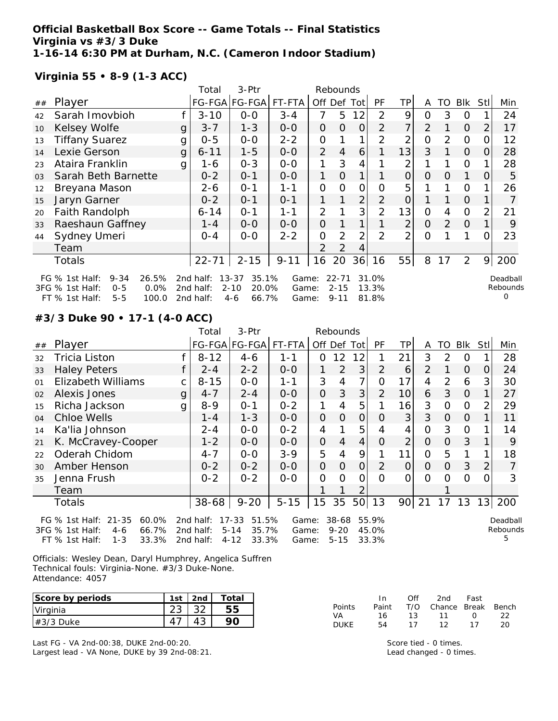### **Official Basketball Box Score -- Game Totals -- Final Statistics Virginia vs #3/3 Duke 1-16-14 6:30 PM at Durham, N.C. (Cameron Indoor Stadium)**

**Virginia 55 • 8-9 (1-3 ACC)**

|    |                                                                                                                   |              | Total                               | 3-Ptr                                                       |                         |                | Rebounds                          |                |                         |                |          |          |                |      |                           |
|----|-------------------------------------------------------------------------------------------------------------------|--------------|-------------------------------------|-------------------------------------------------------------|-------------------------|----------------|-----------------------------------|----------------|-------------------------|----------------|----------|----------|----------------|------|---------------------------|
| ## | Player                                                                                                            |              |                                     | FG-FGA FG-FGA FT-FTA                                        |                         | Off            | Def Tot                           |                | <b>PF</b>               | ТP             | A        | TO       | Blk            | Stll | Min                       |
| 42 | Sarah Imovbioh                                                                                                    |              | $3 - 10$                            | $0-0$                                                       | $3 - 4$                 | 7              | 5                                 | 12             | $\mathcal{P}$           | 9              | 0        | 3        | $\Omega$       |      | 24                        |
| 10 | Kelsey Wolfe                                                                                                      | g            | $3 - 7$                             | $1 - 3$                                                     | $0 - 0$                 | 0              | $\Omega$                          | $\Omega$       | 2                       | 7 <sup>1</sup> | 2        |          | $\overline{O}$ |      | 17                        |
| 13 | <b>Tiffany Suarez</b>                                                                                             | g            | $0 - 5$                             | $0-0$                                                       | $2 - 2$                 | 0              |                                   | 1              | 2                       | 2              | 0        | 2        | $\overline{O}$ |      | 12                        |
| 14 | Lexie Gerson                                                                                                      | $\mathbf{g}$ | $6 - 11$                            | $1 - 5$                                                     | $0-0$                   | 2              | $\overline{4}$                    | 6              |                         | 13             | 3        |          | $\overline{O}$ | 0    | 28                        |
| 23 | Ataira Franklin                                                                                                   | g            | 1-6                                 | $0 - 3$                                                     | $0-0$                   | 1              | 3                                 | 4              |                         | 2              |          |          | $\mathbf 0$    |      | 28                        |
| 03 | Sarah Beth Barnette                                                                                               |              | $0 - 2$                             | $0 - 1$                                                     | $0 - 0$                 | 1.             | $\overline{0}$                    | 1              |                         | 0              | $\Omega$ | $\Omega$ | 1              | O    | 5                         |
| 12 | Breyana Mason                                                                                                     |              | 2-6                                 | $0 - 1$                                                     | $1 - 1$                 | 0              | $\overline{O}$                    | $\overline{O}$ | O                       | 5              |          |          | $\overline{O}$ |      | 26                        |
| 15 | Jaryn Garner                                                                                                      |              | $0 - 2$                             | $0 - 1$                                                     | $0 - 1$                 |                |                                   | $\overline{2}$ | 2                       | $\overline{O}$ |          |          | $\overline{O}$ |      |                           |
| 20 | Faith Randolph                                                                                                    |              | $6 - 14$                            | $0 - 1$                                                     | $1 - 1$                 | $\overline{2}$ |                                   | 3              | 2                       | 13             | 0        | 4        | $\Omega$       |      | 21                        |
| 33 | Raeshaun Gaffney                                                                                                  |              | 1 - 4                               | $0-0$                                                       | $0 - 0$                 | 0              |                                   |                |                         | $\overline{2}$ | $\Omega$ | 2        | $\overline{O}$ |      | 9                         |
| 44 | Sydney Umeri                                                                                                      |              | $0 - 4$                             | $0 - 0$                                                     | $2 - 2$                 | 0              | 2                                 | $\overline{2}$ | $\mathcal{P}$           | $\overline{2}$ | 0        |          |                | O    | 23                        |
|    | Team                                                                                                              |              |                                     |                                                             |                         | 2              | $\overline{2}$                    | 4              |                         |                |          |          |                |      |                           |
|    | Totals                                                                                                            |              | $22 - 71$                           | $2 - 15$                                                    | $9 - 11$                | 16             | 20                                | 36             | 16                      | 55             | 8        | 17       | 2              | 9    | 200                       |
|    | 26.5%<br>FG $%$ 1st Half:<br>$9 - 34$<br>0.0%<br>3FG % 1st Half:<br>$0 - 5$<br>$5 - 5$<br>FT % 1st Half:<br>100.0 |              | 2nd half:<br>2nd half:<br>2nd half: | $13 - 37$<br>35.1%<br>$2 - 10$<br>20.0%<br>66.7%<br>$4 - 6$ | Game:<br>Game:<br>Game: |                | $22 - 71$<br>$2 - 15$<br>$9 - 11$ |                | 31.0%<br>13.3%<br>81.8% |                |          |          |                |      | Deadball<br>Rebounds<br>0 |

**#3/3 Duke 90 • 17-1 (4-0 ACC)**

|    |                                                                              |   | Total                  | 3-Ptr                                            |                |                | Rebounds              |                |                         |    |                |     |                |                |                           |
|----|------------------------------------------------------------------------------|---|------------------------|--------------------------------------------------|----------------|----------------|-----------------------|----------------|-------------------------|----|----------------|-----|----------------|----------------|---------------------------|
| ## | Player                                                                       |   |                        | FG-FGA FG-FGA                                    | FT-FTA         |                |                       | Off Def Tot    | PF                      | ΤP | A              | TO. | <b>Blk</b>     | Stll           | Min                       |
| 32 | Tricia Liston                                                                |   | $8 - 12$               | 4-6                                              | $1 - 1$        | $\Omega$       | 12                    | 12             |                         | 21 | 3              | 2   | O              |                | 28                        |
| 33 | <b>Haley Peters</b>                                                          |   | $2 - 4$                | $2 - 2$                                          | $0-0$          | 1              | $\overline{2}$        | 3              | $\overline{2}$          | 6  | 2              |     | $\overline{O}$ | O              | 24                        |
| 01 | <b>Elizabeth Williams</b>                                                    | C | $8 - 15$               | $0-0$                                            | $1 - 1$        | 3              | 4                     | 7              | $\Omega$                | 17 | 4              | 2   | 6              | 3              | 30                        |
| 02 | Alexis Jones                                                                 | g | $4 - 7$                | $2 - 4$                                          | $O-O$          | $\overline{O}$ | 3                     | 3              | $\overline{2}$          | 10 | 6              | 3   | 0              |                | 27                        |
| 15 | Richa Jackson                                                                | g | $8 - 9$                | $0 - 1$                                          | $0 - 2$        | 1              | 4                     | 5              |                         | 16 | 3              | 0   | $\Omega$       | $\overline{2}$ | 29                        |
| 04 | Chloe Wells                                                                  |   | $1 - 4$                | $1 - 3$                                          | $0-0$          | $\mathcal{O}$  | $\Omega$              | 0              | O                       | 3  | 3              | 0   | 0              |                | 11                        |
| 14 | Ka'lia Johnson                                                               |   | $2 - 4$                | $0-0$                                            | $0 - 2$        | 4              |                       | 5              | 4                       | 4  | $\overline{O}$ | 3   | 0              |                | 14                        |
| 21 | K. McCravey-Cooper                                                           |   | $1 - 2$                | $0-0$                                            | $0-0$          | $\mathcal{O}$  | 4                     | 4              | Ο                       | 2  | $\overline{O}$ | 0   | 3              |                | 9                         |
| 22 | Oderah Chidom                                                                |   | $4 - 7$                | $0-0$                                            | $3 - 9$        | 5              | 4                     | 9              |                         | 11 | $\Omega$       | 5   |                |                | 18                        |
| 30 | Amber Henson                                                                 |   | $0 - 2$                | $0 - 2$                                          | $0 - 0$        | $\overline{O}$ | $\Omega$              | $\overline{O}$ | 2                       | 0  | 0              | 0   | 3              | $\overline{2}$ |                           |
| 35 | Jenna Frush                                                                  |   | $0 - 2$                | $0 - 2$                                          | $0 - 0$        | $\mathcal{O}$  | $\Omega$              | 0              | $\Omega$                | 0  | $\Omega$       | 0   | $\Omega$       | 0              | 3                         |
|    | Team                                                                         |   |                        |                                                  |                |                |                       |                |                         |    |                |     |                |                |                           |
|    | Totals                                                                       |   | $38 - 68$              | $9 - 20$                                         | $5 - 15$       | 15             | 35                    |                | 50 13                   | 90 | 21             | 17  | 13             | 13             | 200                       |
|    | $21 - 35$<br>FG $\%$ 1st Half:<br>60.0%<br>66.7%<br>3FG % 1st Half:<br>$4-6$ |   | 2nd half:<br>2nd half: | 51.5%<br>$17 - 33$<br>$5 - 14$<br>35.7%<br>33.3% | Game:<br>Game: |                | $38 - 68$<br>$9 - 20$ |                | 55.9%<br>45.0%<br>33.3% |    |                |     |                |                | Deadball<br>Rebounds<br>5 |
|    | 33.3%<br>$FT$ % 1st Half:<br>$1 - 3$                                         |   | 2nd half:              | $4 - 12$                                         | Game:          |                | $5 - 15$              |                |                         |    |                |     |                |                |                           |

Officials: Wesley Dean, Daryl Humphrey, Angelica Suffren Technical fouls: Virginia-None. #3/3 Duke-None. Attendance: 4057

| Score by periods | 1st | 2 <sub>nd</sub> | Total |
|------------------|-----|-----------------|-------|
| Virginia         |     |                 |       |
| $#3/3$ Duke      |     |                 |       |

Last FG - VA 2nd-00:38, DUKE 2nd-00:20. Largest lead - VA None, DUKE by 39 2nd-08:21.

|        | In.   | ∩ff | 2nd                    | Fast   |    |
|--------|-------|-----|------------------------|--------|----|
| Points | Paint |     | T/O Chance Break Bench |        |    |
| VA     | 16    | 13. | $\sqrt{11}$            | $\cap$ | つつ |
| DUKE   | 54    | 17  | 12                     | 17     | 20 |

Score tied - 0 times. Lead changed - 0 times.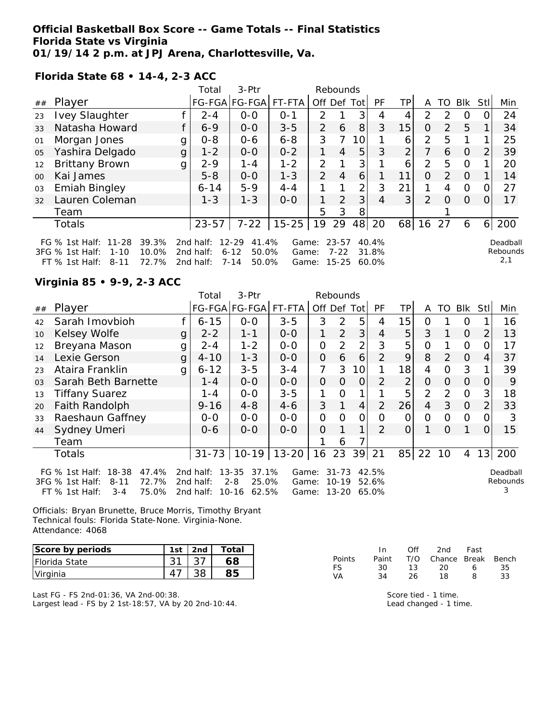### **Official Basketball Box Score -- Game Totals -- Final Statistics Florida State vs Virginia 01/19/14 2 p.m. at JPJ Arena, Charlottesville, Va.**

FT % 1st Half: 8-11 72.7% 2nd half: 7-14 50.0% Game: 15-25 60.0%

**Florida State 68 • 14-4, 2-3 ACC**

|                 |                                                                                                                              |   | Total                                                       | 3-Ptr                                            |                                     |                | Rebounds              |                |                |                |                |                |                |          |                             |
|-----------------|------------------------------------------------------------------------------------------------------------------------------|---|-------------------------------------------------------------|--------------------------------------------------|-------------------------------------|----------------|-----------------------|----------------|----------------|----------------|----------------|----------------|----------------|----------|-----------------------------|
| ##              | Player                                                                                                                       |   |                                                             | FG-FGA FG-FGA                                    | FT-FTA                              |                |                       | Off Def Tot    | PF             | ΤP             | A              | TO             | Blk            | Stll     | Min                         |
| 23              | <b>Ivey Slaughter</b>                                                                                                        |   | $2 - 4$                                                     | $0 - 0$                                          | $O - 1$                             | $\mathcal{P}$  |                       | 3              | 4              | 4              | $\mathcal{P}$  | $\mathcal{P}$  | 0              |          | 24                          |
| 33              | Natasha Howard                                                                                                               |   | $6 - 9$                                                     | $0 - 0$                                          | $3 - 5$                             | $\overline{2}$ | 6                     | 8              | 3              | 15             | 0              | $\mathcal{L}$  | 5              |          | 34                          |
| 01              | Morgan Jones                                                                                                                 | g | $0 - 8$                                                     | $0 - 6$                                          | $6 - 8$                             | 3              | 7                     | 10             |                | 6              | 2              | 5              |                |          | 25                          |
| 05              | Yashira Delgado                                                                                                              | g | $1 - 2$                                                     | $0 - 0$                                          | $0 - 2$                             |                | 4                     | 5              | 3              | $\overline{2}$ |                | 6              | $\Omega$       |          | 39                          |
| 12              | <b>Brittany Brown</b>                                                                                                        | g | $2 - 9$                                                     | $1 - 4$                                          | $1 - 2$                             | 2              |                       | 3              |                | 6              | 2              | 5              | $\overline{0}$ |          | 20                          |
| 00 <sup>2</sup> | Kai James                                                                                                                    |   | $5 - 8$                                                     | $0 - 0$                                          | $1 - 3$                             | $\overline{2}$ | 4                     | $6^{\circ}$    |                | 11             | $\Omega$       | $\overline{2}$ | $\Omega$       |          | 14                          |
| 03              | <b>Emiah Bingley</b>                                                                                                         |   | $6 - 14$                                                    | $5 - 9$                                          | $4 - 4$                             |                |                       | $\overline{2}$ | 3              | 21             |                | 4              | $\Omega$       |          | 27                          |
| 32              | Lauren Coleman                                                                                                               |   | $1 - 3$                                                     | $1 - 3$                                          | $O-O$                               |                | 2                     | 3 <sub>1</sub> | 4              | 3              | $\overline{2}$ | $\Omega$       | $\Omega$       | $\Omega$ | 17                          |
|                 | Team                                                                                                                         |   |                                                             |                                                  |                                     | 5              | 3                     | 8              |                |                |                |                |                |          |                             |
|                 | Totals                                                                                                                       |   | $23 - 57$                                                   | $7 - 22$                                         | $15 - 25$                           | 19             | 29                    | 48             | 20             | 68             | 16             | 27             | 6              | 6        | 200                         |
|                 | FG % 1st Half: 11-28<br>39.3%<br>10.0%<br>$1 - 10$<br>$3FG \%$ 1st Half:<br>72 7%<br>$R - 11$<br>$FT \, \%$ 1st Half $\cdot$ |   | 2nd half:<br>2nd half:<br>$7 - 14$<br>2nd half <sup>.</sup> | $12 - 29$<br>41.4%<br>$6 - 12$<br>50.0%<br>50.0% | Game:<br>Game:<br>Game <sup>.</sup> |                | $23 - 57$<br>$7 - 22$ | $15-25$ 60.0%  | 40.4%<br>31.8% |                |                |                |                |          | Deadball<br>Rebounds<br>2,1 |

#### **Virginia 85 • 9-9, 2-3 ACC**

|                |                                                                                                                  |   | Total                               | 3-Ptr                                                    |                         |                | Rebounds                      |                 |                         |                |                |               |                |                |                      |
|----------------|------------------------------------------------------------------------------------------------------------------|---|-------------------------------------|----------------------------------------------------------|-------------------------|----------------|-------------------------------|-----------------|-------------------------|----------------|----------------|---------------|----------------|----------------|----------------------|
| ##             | Player                                                                                                           |   |                                     | FG-FGA FG-FGA                                            | FT-FTA                  | Off Def Tot    |                               |                 | <b>PF</b>               | TP             | A              | TO I          | Blk            | Stll           | Min                  |
| 42             | Sarah Imovbioh                                                                                                   |   | $6 - 15$                            | $0-0$                                                    | $3 - 5$                 | 3              | 2                             | 5               | 4                       | 15             | 0              |               | O              |                | 16                   |
| 10             | Kelsey Wolfe                                                                                                     | g | $2 - 2$                             | $1 - 1$                                                  | $0-0$                   | 1              | 2                             | 3               | 4                       | 5              | 3              |               | $\Omega$       | $\overline{2}$ | 13                   |
| 12             | Breyana Mason                                                                                                    | g | $2 - 4$                             | $1 - 2$                                                  | $0-0$                   | $\overline{O}$ | $\overline{2}$                | 2               | 3                       | 5              | $\overline{O}$ |               | 0              | O              | 17                   |
| 14             | Lexie Gerson                                                                                                     | g | $4 - 10$                            | $1 - 3$                                                  | $0-0$                   | $\overline{O}$ | 6                             | 6               | $\mathcal{P}$           | 9              | 8              | $\mathcal{P}$ | $\Omega$       | 4              | 37                   |
| 23             | Ataira Franklin                                                                                                  | g | $6 - 12$                            | $3 - 5$                                                  | $3 - 4$                 | 7              | 3                             | 10 <sup>1</sup> |                         | 18             | 4              | 0             | 3              |                | 39                   |
| 0 <sub>3</sub> | Sarah Beth Barnette                                                                                              |   | $1 - 4$                             | $0-0$                                                    | $0-0$                   | $\overline{O}$ | $\Omega$                      | $\overline{O}$  | 2                       | $\overline{2}$ | $\Omega$       | $\Omega$      | $\overline{O}$ | 0              | 9                    |
| 13             | <b>Tiffany Suarez</b>                                                                                            |   | 1 - 4                               | $0-0$                                                    | $3 - 5$                 |                | O                             | 1               |                         | 5              | $\overline{2}$ | 2             | $\Omega$       | 3              | 18                   |
| 20             | Faith Randolph                                                                                                   |   | $9 - 16$                            | $4 - 8$                                                  | $4 - 6$                 | 3              |                               | $\overline{4}$  | 2                       | 26             | $\overline{4}$ | 3             | $\Omega$       | $\overline{2}$ | 33                   |
| 33             | Raeshaun Gaffney                                                                                                 |   | $0-0$                               | $0 - 0$                                                  | $O-O$                   | $\mathbf{O}$   | 0                             | 0               | 0                       | $\Omega$       | $\Omega$       | $\Omega$      | $\Omega$       | 0              | 3                    |
| 44             | Sydney Umeri                                                                                                     |   | $0 - 6$                             | $O-O$                                                    | $0 - 0$                 | $\overline{O}$ |                               | 1               | 2                       | $\overline{O}$ |                | 0             |                | $\Omega$       | 15                   |
|                | Team                                                                                                             |   |                                     |                                                          |                         |                | 6                             |                 |                         |                |                |               |                |                |                      |
|                | Totals                                                                                                           |   | $31 - 73$                           | $10-19$                                                  | $13 - 20$               | 16             | 23                            |                 | 39 21                   | 85             | 22             | 10            | 4              | 13             | 200                  |
|                | 18-38<br>47.4%<br>FG $%$ 1st Half:<br>72.7%<br>3FG % 1st Half:<br>$8 - 11$<br>$3 - 4$<br>75.0%<br>FT % 1st Half: |   | 2nd half:<br>2nd half:<br>2nd half: | $13 - 35$<br>37.1%<br>$2 - 8$<br>25.0%<br>10-16<br>62.5% | Game:<br>Game:<br>Game: |                | $31 - 73$<br>$10-19$<br>13-20 |                 | 42.5%<br>52.6%<br>65.0% |                |                |               |                |                | Deadball<br>Rebounds |

Officials: Bryan Brunette, Bruce Morris, Timothy Bryant Technical fouls: Florida State-None. Virginia-None. Attendance: 4068

| Score by periods | 1st | 2nd | Total |
|------------------|-----|-----|-------|
| Florida State    |     |     |       |
| Virginia         |     |     |       |

Last FG - FS 2nd-01:36, VA 2nd-00:38. Largest lead - FS by 2 1st-18:57, VA by 20 2nd-10:44.

|               | In In | Off | 2nd                          | Fast |      |
|---------------|-------|-----|------------------------------|------|------|
| <b>Points</b> | Paint |     | - T/O - Chance Break - Bench |      |      |
| FS.           | 30.   | 13  | - 20-                        | 6    | -35- |
| VA            | 34    | 26  | 18                           | 8.   | 33   |

Score tied - 1 time. Lead changed - 1 time.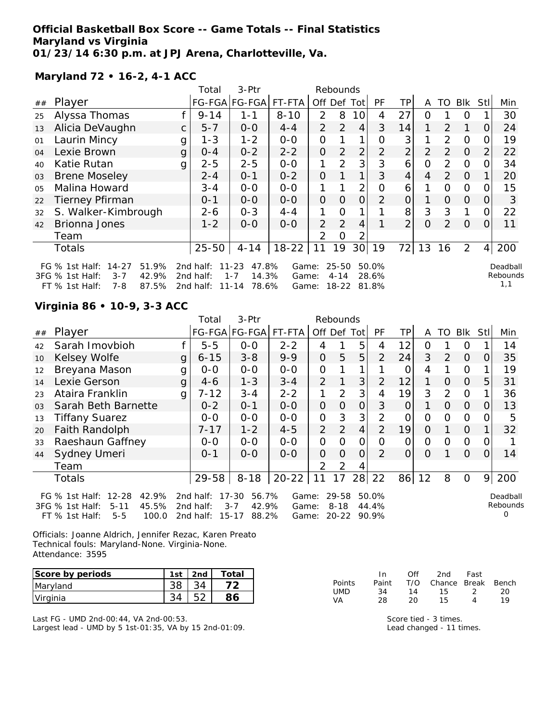### **Official Basketball Box Score -- Game Totals -- Final Statistics Maryland vs Virginia 01/23/14 6:30 p.m. at JPJ Arena, Charlotteville, Va.**

**Maryland 72 • 16-2, 4-1 ACC**

|    |                                                                                                                  |   | Total                               | 3-Ptr                                                        |                         |                | Rebounds                           |                 |                         |                |                |                |                |                |                             |
|----|------------------------------------------------------------------------------------------------------------------|---|-------------------------------------|--------------------------------------------------------------|-------------------------|----------------|------------------------------------|-----------------|-------------------------|----------------|----------------|----------------|----------------|----------------|-----------------------------|
| ## | Player                                                                                                           |   |                                     | FG-FGA FG-FGA                                                | FT-FTA                  | Off Def        |                                    | Totl            | <b>PF</b>               | TР             | A              | TO             | Blk            | Stll           | Min                         |
| 25 | Alyssa Thomas                                                                                                    |   | $9 - 14$                            | 1-1                                                          | $8 - 10$                | $\mathcal{P}$  | 8                                  | 10              | 4                       | 27             | Ο              |                | O              |                | 30                          |
| 13 | Alicia DeVaughn                                                                                                  | C | $5 - 7$                             | $0 - 0$                                                      | $4 - 4$                 | $\mathcal{P}$  | 2                                  | $\overline{4}$  | 3                       | 14             | 1.             | 2              | $\mathbf 1$    | O              | 24                          |
| 01 | Laurin Mincy                                                                                                     | g | $1 - 3$                             | $1 - 2$                                                      | $0-0$                   | 0              |                                    | 1               | Ο                       | 3              |                | 2              | O              |                | 19                          |
| 04 | Lexie Brown                                                                                                      | g | $0 - 4$                             | $0 - 2$                                                      | $2 - 2$                 | $\overline{O}$ | $\overline{2}$                     | 2               | $\overline{2}$          | $\overline{2}$ | $\overline{2}$ | 2              | $\overline{O}$ | $\overline{2}$ | 22                          |
| 40 | Katie Rutan                                                                                                      | g | $2 - 5$                             | $2 - 5$                                                      | $O-O$                   | 1              | 2                                  | 3               | 3                       | 6              | O              | $\overline{2}$ | $\Omega$       | Ω              | 34                          |
| 03 | <b>Brene Moseley</b>                                                                                             |   | $2 - 4$                             | $0 - 1$                                                      | $0 - 2$                 | $\Omega$       |                                    | 1               | 3                       | $\overline{4}$ | $\overline{4}$ | 2              | $\Omega$       |                | 20                          |
| 05 | Malina Howard                                                                                                    |   | $3 - 4$                             | $O-O$                                                        | $O-O$                   | 1              |                                    | $\overline{2}$  | O                       | 6              |                | 0              | $\Omega$       |                | 15                          |
| 22 | <b>Tierney Pfirman</b>                                                                                           |   | $0 - 1$                             | $0-0$                                                        | $0-0$                   | $\mathcal{O}$  | 0                                  | $\overline{O}$  | 2                       | $\overline{O}$ |                | $\Omega$       | $\Omega$       | O              | 3                           |
| 32 | S. Walker-Kimbrough                                                                                              |   | $2 - 6$                             | $0 - 3$                                                      | $4 - 4$                 | 1              | O                                  |                 |                         | 8              | 3              | 3              | 1              | Ω              | 22                          |
| 42 | Brionna Jones                                                                                                    |   | $1 - 2$                             | $O-O$                                                        | $0 - 0$                 | 2              | 2                                  | 4               |                         | $\overline{2}$ | $\Omega$       | 2              | $\Omega$       | 0              | 11                          |
|    | Team                                                                                                             |   |                                     |                                                              |                         | 2              | Ω                                  | 2               |                         |                |                |                |                |                |                             |
|    | Totals                                                                                                           |   | $25 - 50$                           | $4 - 14$                                                     | $18 - 22$               | 11             | 19                                 | 30 <sup>1</sup> | 19                      | 72             | 13             | 16             | $\overline{2}$ | $\overline{4}$ | 200                         |
|    | FG % 1st Half:<br>$14 - 27$<br>51.9%<br>3FG % 1st Half:<br>42.9%<br>$3 - 7$<br>87.5%<br>FT $\%$ 1st Half:<br>7-8 |   | 2nd half:<br>2nd half:<br>2nd half: | $11 - 23$<br>47.8%<br>14.3%<br>$1 - 7$<br>78.6%<br>$11 - 14$ | Game:<br>Game:<br>Game: |                | $25 - 50$<br>$4 - 14$<br>$18 - 22$ |                 | 50.0%<br>28.6%<br>81.8% |                |                |                |                |                | Deadball<br>Rebounds<br>1,1 |

## **Virginia 86 • 10-9, 3-3 ACC**

|                |                                                                                                                      |              | Total                               | 3-Ptr                                                        |                         |                | Rebounds                           |                |                         |          |          |          |                |          |                           |
|----------------|----------------------------------------------------------------------------------------------------------------------|--------------|-------------------------------------|--------------------------------------------------------------|-------------------------|----------------|------------------------------------|----------------|-------------------------|----------|----------|----------|----------------|----------|---------------------------|
| ##             | Player                                                                                                               |              |                                     | FG-FGA FG-FGA FT-FTA                                         |                         | Off Def Tot    |                                    |                | <b>PF</b>               | TР       | A        | TO       | Blk            | Stll     | Min                       |
| 42             | Sarah Imovbioh                                                                                                       |              | $5 - 5$                             | $0 - 0$                                                      | $2 - 2$                 | 4              |                                    | 5              | 4                       | 12       | 0        |          | $\Omega$       |          | 14                        |
| 10             | Kelsey Wolfe                                                                                                         | g            | $6 - 15$                            | $3 - 8$                                                      | $9 - 9$                 | 0              | 5                                  | 5              | $\mathcal{P}$           | 24       | 3        | 2        | $\Omega$       | 0        | 35                        |
| 12             | Breyana Mason                                                                                                        | g            | $0-0$                               | $0-0$                                                        | $0 - 0$                 | 0              |                                    |                |                         | O        | 4        |          | 0              |          | 19                        |
| 14             | Lexie Gerson                                                                                                         | g            | $4-6$                               | $1 - 3$                                                      | $3 - 4$                 | 2              |                                    | 3              | 2                       | 12       | 1        | $\Omega$ | $\Omega$       | 5        | 31                        |
| 23             | Ataira Franklin                                                                                                      | $\mathbf{g}$ | $7 - 12$                            | $3 - 4$                                                      | $2 - 2$                 |                | $\mathcal{P}$                      | 3              | 4                       | 19       | 3        | 2        | $\overline{0}$ |          | 36                        |
| 0 <sub>3</sub> | Sarah Beth Barnette                                                                                                  |              | $0 - 2$                             | $O - 1$                                                      | $0 - 0$                 | 0              | $\Omega$                           | $\Omega$       | 3                       | $\Omega$ |          | $\Omega$ | $\Omega$       | $\Omega$ | 13                        |
| 13             | <b>Tiffany Suarez</b>                                                                                                |              | $0-0$                               | $0-0$                                                        | $0-0$                   | 0              | 3                                  | 3              | 2                       | 0        | $\Omega$ | $\Omega$ | $\Omega$       | O        | 5                         |
| 20             | Faith Randolph                                                                                                       |              | 7-17                                | $1 - 2$                                                      | $4 - 5$                 | $\overline{2}$ | 2                                  | $\overline{4}$ | $\overline{2}$          | 19       | $\Omega$ |          | $\Omega$       |          | 32                        |
| 33             | Raeshaun Gaffney                                                                                                     |              | $0 - 0$                             | $0 - 0$                                                      | $0 - 0$                 | 0              | $\Omega$                           | 0              | $\Omega$                | 0        | 0        | $\Omega$ | $\Omega$       |          |                           |
| 44             | Sydney Umeri                                                                                                         |              | $0 - 1$                             | $O-O$                                                        | $O-O$                   | 0              | $\Omega$                           | $\Omega$       | $\mathcal{P}$           | $\Omega$ | 0        |          | $\Omega$       | $\Omega$ | 14                        |
|                | Team                                                                                                                 |              |                                     |                                                              |                         | 2              | $\overline{2}$                     | 4              |                         |          |          |          |                |          |                           |
|                | Totals                                                                                                               |              | $29 - 58$                           | $8 - 18$                                                     | $20 - 22$               | 11             | 17                                 | 28             | 22                      | 86       | 12       | 8        | $\Omega$       | 9        | 200                       |
|                | $12 - 28$<br>42.9%<br>FG $%$ 1st Half:<br>3FG % 1st Half:<br>45.5%<br>$5 - 11$<br>100.0<br>FT % 1st Half:<br>$5 - 5$ |              | 2nd half:<br>2nd half:<br>2nd half: | $17 - 30$<br>56.7%<br>42.9%<br>$3 - 7$<br>88.2%<br>$15 - 17$ | Game:<br>Game:<br>Game: |                | $29 - 58$<br>$8 - 18$<br>$20 - 22$ |                | 50.0%<br>44.4%<br>90.9% |          |          |          |                |          | Deadball<br>Rebounds<br>O |

Officials: Joanne Aldrich, Jennifer Rezac, Karen Preato Technical fouls: Maryland-None. Virginia-None. Attendance: 3595

| Score by periods | 1st | 2nd | Total |
|------------------|-----|-----|-------|
| Maryland         |     |     |       |
| Virginia         |     |     |       |

Last FG - UMD 2nd-00:44, VA 2nd-00:53. Largest lead - UMD by 5 1st-01:35, VA by 15 2nd-01:09.

|               | In.   | Off | 2nd                    | Fast          |    |
|---------------|-------|-----|------------------------|---------------|----|
| <b>Points</b> | Paint |     | T/O Chance Break Bench |               |    |
| UMD           | 34    | 14  | 15.                    | $\mathcal{D}$ | 20 |
| VA.           | 28    | 20  | 15.                    |               | 10 |

Score tied - 3 times. Lead changed - 11 times.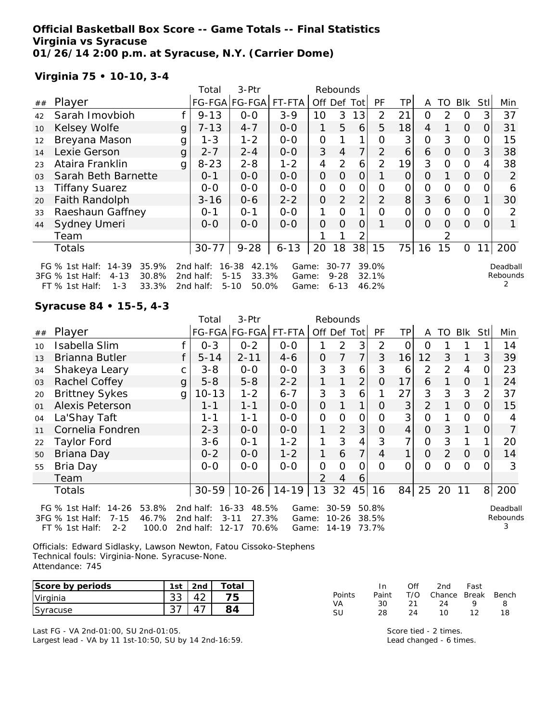### **Official Basketball Box Score -- Game Totals -- Final Statistics Virginia vs Syracuse 01/26/14 2:00 p.m. at Syracuse, N.Y. (Carrier Dome)**

## **Virginia 75 • 10-10, 3-4**

|                |                                                                                |   | Total                  | 3-Ptr                               |                |                | Rebounds              |                |                |          |               |               |                |          |                      |
|----------------|--------------------------------------------------------------------------------|---|------------------------|-------------------------------------|----------------|----------------|-----------------------|----------------|----------------|----------|---------------|---------------|----------------|----------|----------------------|
| ##             | Player                                                                         |   |                        | FG-FGA FG-FGA                       | FT-FTA         | Off Def Tot    |                       |                | PF             | TP.      | A             | TO.           | BIK            | Stll     | Min                  |
| 42             | Sarah Imovbioh                                                                 |   | $9 - 13$               | $0 - 0$                             | $3 - 9$        | 10             | 3                     | 13             | 2              | 21       | 0             | $\mathcal{P}$ | 0              | 3        | 37                   |
| 10             | Kelsey Wolfe                                                                   | g | $7 - 13$               | $4 - 7$                             | $0 - 0$        | 1              | 5                     | 6              | 5              | 18       | 4             |               | $\Omega$       | 0        | 31                   |
| 12             | Breyana Mason                                                                  | g | $1 - 3$                | $1 - 2$                             | $0-0$          | 0              |                       |                | Ω              | 3        | 0             | 3             | $\Omega$       |          | 15                   |
| 14             | Lexie Gerson                                                                   | g | $2 - 7$                | $2 - 4$                             | $0 - 0$        | 3              | 4                     | 7              | $\mathcal{P}$  | 6        | 6             | $\Omega$      | $\Omega$       | 3        | 38                   |
| 23             | Ataira Franklin                                                                | g | $8 - 23$               | $2 - 8$                             | $1 - 2$        | 4              | 2                     | 6              | $\mathcal{P}$  | 19       | 3             | $\Omega$      | $\Omega$       | 4        | 38                   |
| 0 <sub>3</sub> | Sarah Beth Barnette                                                            |   | $0 - 1$                | $0-0$                               | $0-0$          | $\Omega$       | $\Omega$              | 0              |                | $\Omega$ | O             |               | $\Omega$       | $\Omega$ | 2                    |
| 13             | <b>Tiffany Suarez</b>                                                          |   | $0-0$                  | $0-0$                               | $O-O$          | $\overline{O}$ | $\Omega$              | $\overline{O}$ | 0              | 0        | $\mathcal{O}$ | $\Omega$      | $\Omega$       |          | 6                    |
| 20             | <b>Faith Randolph</b>                                                          |   | $3 - 16$               | $0 - 6$                             | $2 - 2$        | 0              | 2                     | $\overline{2}$ | 2              | 8        | 3             | 6             | $\Omega$       |          | 30                   |
| 33             | Raeshaun Gaffney                                                               |   | $0 - 1$                | $0 - 1$                             | $0-0$          | 1.             | $\Omega$              | 1 <sub>1</sub> | $\Omega$       | 0        | $\Omega$      | $\Omega$      | $\Omega$       | O        | 2                    |
| 44             | Sydney Umeri                                                                   |   | $O - O$                | $O-O$                               | $0 - 0$        | O              | $\Omega$              | 0              |                | $\Omega$ | $\Omega$      | $\Omega$      | $\Omega$       | $\Omega$ |                      |
|                | Team                                                                           |   |                        |                                     |                |                |                       | ⌒              |                |          |               |               |                |          |                      |
|                | Totals                                                                         |   | $30 - 77$              | $9 - 28$                            | $6 - 13$       | 20             | 18                    | 38             | 15             | 75       | 16            | 15            | $\overline{O}$ | 11       | 200                  |
|                | 35.9%<br>FG $%$ 1st Half:<br>$14 - 39$<br>3FG % 1st Half:<br>$4 - 13$<br>30.8% |   | 2nd half:<br>2nd half: | 42.1%<br>16-38<br>$5 - 15$<br>33.3% | Game:<br>Game: |                | $30 - 77$<br>$9 - 28$ |                | 39.0%<br>32.1% |          |               |               |                |          | Deadball<br>Rebounds |
|                | $1 - 3$<br>33.3%<br>$FT$ % 1st Half:                                           |   | 2nd half:              | $5 - 10$<br>50.0%                   | Game:          |                | $6 - 13$              |                | 46.2%          |          |               |               |                |          |                      |

## **Syracuse 84 • 15-5, 4-3**

|    |                                                                                                                      |   | 3-Ptr<br>Total<br>Rebounds          |                                                               |                         |                |                                       |                |                |                 |                |    |                |                |                           |
|----|----------------------------------------------------------------------------------------------------------------------|---|-------------------------------------|---------------------------------------------------------------|-------------------------|----------------|---------------------------------------|----------------|----------------|-----------------|----------------|----|----------------|----------------|---------------------------|
| ## | Player                                                                                                               |   |                                     |                                                               | FG-FGA FG-FGA  FT-FTA   |                | Off Def Tot                           |                | PF             | TP              | A              |    | TO BIK         | <b>Stll</b>    | Min                       |
| 10 | Isabella Slim                                                                                                        |   | $0 - 3$                             | $0 - 2$                                                       | $0-0$                   |                | 2                                     | 3              | 2              | $\Omega$        | $\Omega$       |    |                |                | 14                        |
| 13 | Brianna Butler                                                                                                       |   | $5 - 14$                            | $2 - 11$                                                      | $4 - 6$                 | 0              | 7                                     | 7 <sup>1</sup> | 3              | 16              | 12             | 3  | 1              | 3              | 39                        |
| 34 | Shakeya Leary                                                                                                        | C | $3 - 8$                             | $0-0$                                                         | $0 - 0$                 | 3              | 3                                     | 6              | 3              | 6               | $\overline{2}$ | 2  | $\overline{4}$ | O              | 23                        |
| 03 | Rachel Coffey                                                                                                        | g | $5 - 8$                             | $5 - 8$                                                       | $2 - 2$                 | 1              |                                       | $\overline{2}$ | O              | 17              | 6              |    | $\overline{O}$ |                | 24                        |
| 20 | <b>Brittney Sykes</b>                                                                                                | g | $10 - 13$                           | $1 - 2$                                                       | $6 - 7$                 | 3              | 3                                     | 6              |                | 27              | 3              | 3  | 3              |                | 37                        |
| 01 | Alexis Peterson                                                                                                      |   | 1-1                                 | $1 - 1$                                                       | $0 - 0$                 | 0              |                                       | 1              | 0              | 3               | $\overline{2}$ |    | $\overline{O}$ | $\Omega$       | 15                        |
| 04 | La'Shay Taft                                                                                                         |   | $1 - 1$                             | $1 - 1$                                                       | $0-0$                   | 0              | $\Omega$                              | $\overline{O}$ | $\Omega$       | 3 <sup>1</sup>  | $\overline{O}$ |    | $\mathbf{O}$   |                | 4                         |
| 11 | Cornelia Fondren                                                                                                     |   | $2 - 3$                             | $0 - 0$                                                       | $0-0$                   | 1              | 2                                     | 3              | 0              | $\vert 4 \vert$ | $\overline{O}$ | 3  |                | 0              |                           |
| 22 | Taylor Ford                                                                                                          |   | 3-6                                 | $0 - 1$                                                       | $1 - 2$                 |                | 3                                     | 4              | 3              | 7               | 0              | 3  |                |                | 20                        |
| 50 | Briana Day                                                                                                           |   | $0 - 2$                             | $0-0$                                                         | $1 - 2$                 | 1              | 6                                     | 7 <sup>1</sup> | 4              | $\mathbf{1}$    | $\overline{O}$ | 2  | $\overline{O}$ | 0              | 14                        |
| 55 | Bria Day                                                                                                             |   | $0 - 0$                             | $0 - 0$                                                       | $0 - 0$                 | $\overline{O}$ | 0                                     | 0              | $\Omega$       | 0               | 0              | 0  | $\Omega$       |                | 3                         |
|    | Team                                                                                                                 |   |                                     |                                                               |                         | 2              | 4                                     | 6              |                |                 |                |    |                |                |                           |
|    | Totals                                                                                                               |   | $30 - 59$                           |                                                               | $10-26$   14-19         | 13             | 32                                    | 45             | 16             | 84              | 25             | 20 | 11             | 8 <sup>1</sup> | 200                       |
|    | $14 - 26$<br>FG % 1st Half:<br>53.8%<br>$7 - 15$<br>46.7%<br>3FG % 1st Half:<br>100.0<br>$FT$ % 1st Half:<br>$2 - 2$ |   | 2nd half:<br>2nd half:<br>2nd half: | 48.5%<br>$16 - 33$<br>27.3%<br>$3 - 11$<br>$12 - 17$<br>70.6% | Game:<br>Game:<br>Game: |                | $30 - 59$<br>$10 - 26$<br>14-19 73.7% |                | 50.8%<br>38.5% |                 |                |    |                |                | Deadball<br>Rebounds<br>3 |

Officials: Edward Sidlasky, Lawson Newton, Fatou Cissoko-Stephens Technical fouls: Virginia-None. Syracuse-None. Attendance: 745

| Score by periods | Ist                       | 2nd       | $\tau$ otal |          | In       | Of            | 2nd    | Fast             |       |
|------------------|---------------------------|-----------|-------------|----------|----------|---------------|--------|------------------|-------|
| Virginia         | ົດ<br>აა                  | 42<br>r 2 | フロ          | Points   | Paint    | T/O<br>$\sim$ | Chance | <b>Break</b>     | Bench |
| Syracuse         | $\sim$ $\rightarrow$<br>ີ | ⇁<br>4    | $\circ$     | VA<br>SU | 30<br>28 | ∠<br>24       | 10     | 10<br>. <u>.</u> | 1 O   |

Last FG - VA 2nd-01:00, SU 2nd-01:05. Largest lead - VA by 11 1st-10:50, SU by 14 2nd-16:59.

| Score tied - 2 times.   |
|-------------------------|
| Lead changed - 6 times. |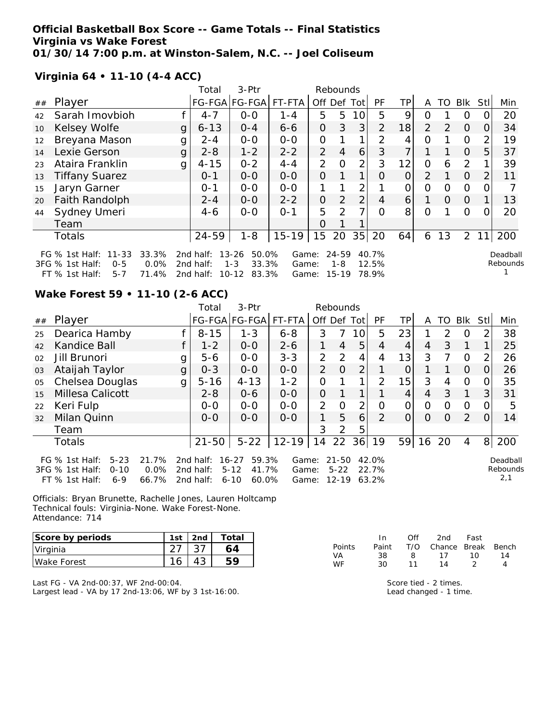### **Official Basketball Box Score -- Game Totals -- Final Statistics Virginia vs Wake Forest 01/30/14 7:00 p.m. at Winston-Salem, N.C. -- Joel Coliseum**

**Virginia 64 • 11-10 (4-4 ACC)**

|    |                                                                                           |                        | Total                               | 3-Ptr                                                        |                         |               | Rebounds                          |                 |                         |                 |                |               |                |                |                      |
|----|-------------------------------------------------------------------------------------------|------------------------|-------------------------------------|--------------------------------------------------------------|-------------------------|---------------|-----------------------------------|-----------------|-------------------------|-----------------|----------------|---------------|----------------|----------------|----------------------|
| ## | Player                                                                                    |                        |                                     | FG-FGA FG-FGA                                                | FT-FTA                  | Off           | Def                               | Tot             | PF                      | TP.             | A              | TO            | Blk            | Stl            | Min                  |
| 42 | Sarah Imovbioh                                                                            |                        | $4 - 7$                             | $0 - 0$                                                      | $1 - 4$                 | 5             | 5                                 | 10 <sup>1</sup> | 5                       | 9               | ი              |               | 0              |                | 20                   |
| 10 | Kelsey Wolfe                                                                              | g                      | $6 - 13$                            | $0 - 4$                                                      | $6 - 6$                 | 0             | 3                                 | 3               | $\overline{2}$          | 18              | $\mathcal{P}$  | $\mathcal{P}$ | $\Omega$       | O              | 34                   |
| 12 | Breyana Mason                                                                             | g                      | $2 - 4$                             | $0 - 0$                                                      | $0 - 0$                 | 0             |                                   | 1               | 2                       | 4               | Ο              |               | 0              | 2              | 19                   |
| 14 | Lexie Gerson                                                                              | g                      | $2 - 8$                             | $1 - 2$                                                      | $2 - 2$                 | 2             | $\overline{4}$                    | 6               | 3                       | 7               |                |               | $\Omega$       | 5.             | 37                   |
| 23 | Ataira Franklin                                                                           | g                      | $4 - 15$                            | $0 - 2$                                                      | $4 - 4$                 | 2             | $\Omega$                          | $\overline{2}$  | 3                       | 12              | Ω              | 6             | 2              |                | 39                   |
| 13 | <b>Tiffany Suarez</b>                                                                     |                        | $0 - 1$                             | $0 - 0$                                                      | $0-0$                   | $\Omega$      |                                   | 1               | Ω                       | $\Omega$        | $\overline{2}$ |               | $\Omega$       | $\overline{2}$ | 11                   |
| 15 | Jaryn Garner                                                                              |                        | $0 - 1$                             | $0-0$                                                        | $0-0$                   |               |                                   | 2               |                         | Ο               | Ω              | Ω             | 0              |                |                      |
| 20 | <b>Faith Randolph</b>                                                                     |                        | $2 - 4$                             | $0-0$                                                        | $2 - 2$                 | $\mathcal{O}$ | 2                                 | $\overline{2}$  | 4                       | $\vert 6 \vert$ |                | 0             | $\overline{0}$ |                | 13                   |
| 44 | Sydney Umeri                                                                              |                        | $4-6$                               | $0-0$                                                        | $O - 1$                 | 5             | $\mathcal{P}$                     | 7               | $\Omega$                | 8               | Ω              |               | $\Omega$       |                | 20                   |
|    | Team                                                                                      |                        |                                     |                                                              |                         | Ο             |                                   |                 |                         |                 |                |               |                |                |                      |
|    | Totals                                                                                    |                        | 24-59                               | $1 - 8$                                                      | $15 - 19$               | 15            | 20                                | 35              | 20                      | 64              | 6              | 13            | $\overline{2}$ | 11             | 200                  |
|    | $11 - 33$<br>FG $\%$ 1st Half:<br>3FG % 1st Half:<br>$0 - 5$<br>FT % 1st Half:<br>$5 - 7$ | 33.3%<br>0.0%<br>71.4% | 2nd half:<br>2nd half:<br>2nd half: | $13 - 26$<br>50.0%<br>33.3%<br>$1 - 3$<br>83.3%<br>$10 - 12$ | Game:<br>Game:<br>Game: |               | $24 - 59$<br>$1 - 8$<br>$15 - 19$ |                 | 40.7%<br>12.5%<br>78.9% |                 |                |               |                |                | Deadball<br>Rebounds |

### **Wake Forest 59 • 11-10 (2-6 ACC)**

|    |                                                                                            |                        | Total                               | $3-Ptr$                                                      |                         |               | Rebounds                           |                |                         |                |          |               |            |          |                             |
|----|--------------------------------------------------------------------------------------------|------------------------|-------------------------------------|--------------------------------------------------------------|-------------------------|---------------|------------------------------------|----------------|-------------------------|----------------|----------|---------------|------------|----------|-----------------------------|
| ## | Player                                                                                     |                        |                                     | FG-FGA FG-FGA                                                | FT-FTA                  | Off Def Tot   |                                    |                | PF                      | TPI            | A        | TO            | <b>Blk</b> | StII     | Min                         |
| 25 | Dearica Hamby                                                                              |                        | $8 - 15$                            | $1 - 3$                                                      | $6 - 8$                 | 3             | 7                                  | 10             | 5                       | 23             |          | $\mathcal{P}$ | $\Omega$   | 2        | 38                          |
| 42 | Kandice Ball                                                                               |                        | $1 - 2$                             | $0 - 0$                                                      | $2 - 6$                 |               | $\overline{4}$                     | 5              | $\overline{4}$          | 4              | 4        | 3             | 1          | 1        | 25                          |
| 02 | Jill Brunori                                                                               | g                      | $5 - 6$                             | $0-0$                                                        | $3 - 3$                 | 2             | 2                                  | 4              | 4                       | 13             | 3        | 7             | $\Omega$   | 2        | 26                          |
| 03 | Ataijah Taylor                                                                             | $\mathsf{g}$           | $0 - 3$                             | $0 - 0$                                                      | $O - O$                 | 2             | $\overline{O}$                     | 2              | 1                       | $\overline{O}$ |          |               | $\Omega$   | $\Omega$ | 26                          |
| 05 | Chelsea Douglas                                                                            | g                      | $5 - 16$                            | $4 - 13$                                                     | $1 - 2$                 | 0             |                                    |                | 2                       | 15             | 3        | 4             | $\Omega$   | 0        | 35                          |
| 15 | Millesa Calicott                                                                           |                        | $2 - 8$                             | $0 - 6$                                                      | $0 - 0$                 | $\mathcal{O}$ |                                    |                |                         | 4              | 4        | 3             | 1          | 31       | 31                          |
| 22 | Keri Fulp                                                                                  |                        | $0 - 0$                             | $0-0$                                                        | $O-O$                   | 2             | $\Omega$                           | $\overline{2}$ | $\Omega$                | 0              | $\Omega$ | $\Omega$      | $\Omega$   | O        | 5                           |
| 32 | Milan Quinn                                                                                |                        | $0 - 0$                             | $0 - 0$                                                      | $O - O$                 | 1.            | 5                                  | 6              | 2                       | $\Omega$       | $\Omega$ | $\Omega$      | 2          | $\Omega$ | 14                          |
|    | Team                                                                                       |                        |                                     |                                                              |                         | 3             | 2                                  | 5              |                         |                |          |               |            |          |                             |
|    | Totals                                                                                     |                        | $21 - 50$                           | $5 - 22$                                                     | $12 - 19$               | 14            | 22                                 | 36             | 19                      | 59             | 16 20    |               | 4          | 8        | 200                         |
|    | FG $%$ 1st Half:<br>$5 - 23$<br>3FG % 1st Half:<br>$0 - 10$<br>$FT$ % 1st Half:<br>$6 - 9$ | 21.7%<br>0.0%<br>66.7% | 2nd half:<br>2nd half:<br>2nd half: | 59.3%<br>$16 - 27$<br>41.7%<br>$5 - 12$<br>60.0%<br>$6 - 10$ | Game:<br>Game:<br>Game: |               | $21 - 50$<br>$5 - 22$<br>$12 - 19$ |                | 42.0%<br>22.7%<br>63.2% |                |          |               |            |          | Deadball<br>Rebounds<br>2,1 |

Officials: Bryan Brunette, Rachelle Jones, Lauren Holtcamp Technical fouls: Virginia-None. Wake Forest-None. Attendance: 714

| Score by periods    | 1st | 2nd | Total |
|---------------------|-----|-----|-------|
| Virginia            |     |     |       |
| <b>IWake Forest</b> |     |     |       |

Last FG - VA 2nd-00:37, WF 2nd-00:04. Largest lead - VA by 17 2nd-13:06, WF by 3 1st-16:00.

|               | In.   | Off | 2nd -                  | Fast |    |
|---------------|-------|-----|------------------------|------|----|
| <b>Points</b> | Paint |     | T/O Chance Break Bench |      |    |
| VA.           | 38.   | 8.  | 17                     | 1 O  | 14 |
| <b>WF</b>     | 30.   | 11  | 14                     |      | Δ  |

Score tied - 2 times. Lead changed - 1 time.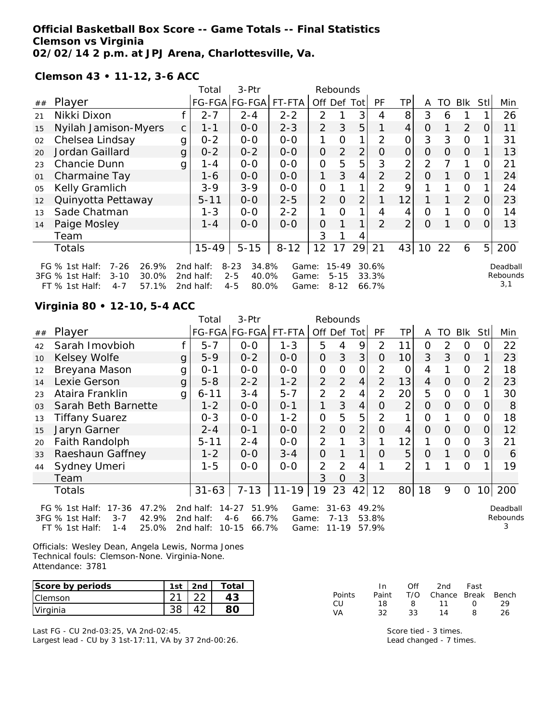### **Official Basketball Box Score -- Game Totals -- Final Statistics Clemson vs Virginia 02/02/14 2 p.m. at JPJ Arena, Charlottesville, Va.**

**Clemson 43 • 11-12, 3-6 ACC**

|    |                                                                                                                     |    | 3-Ptr<br>Rebounds<br>Total          |                                                           |                         |                |                                   |                |                         |                |                |              |                |                |                             |
|----|---------------------------------------------------------------------------------------------------------------------|----|-------------------------------------|-----------------------------------------------------------|-------------------------|----------------|-----------------------------------|----------------|-------------------------|----------------|----------------|--------------|----------------|----------------|-----------------------------|
| ## | Player                                                                                                              |    |                                     | FG-FGA FG-FGA                                             | FT-FTA                  | Off            | Def                               | Tot            | PF                      | ΤP             | A              | TO           | <b>BIK</b>     | <b>Stl</b>     | Min                         |
| 21 | Nikki Dixon                                                                                                         |    | $2 - 7$                             | $2 - 4$                                                   | $2 - 2$                 | 2              |                                   | 3              | 4                       | 8              | 3              | 6            |                |                | 26                          |
| 15 | Nyilah Jamison-Myers                                                                                                | C. | $1 - 1$                             | $0 - 0$                                                   | $2 - 3$                 | $\overline{2}$ | 3                                 | 5              | 1                       | 4              | 0              | $\mathbf{1}$ | 2              | 0              | 11                          |
| 02 | Chelsea Lindsay                                                                                                     | g  | $0 - 2$                             | $O-O$                                                     | $0-0$                   | 1              | O                                 | 1              | 2                       | 0              | 3              | 3            | $\mathcal{O}$  |                | 31                          |
| 20 | Jordan Gaillard                                                                                                     | g  | $0 - 2$                             | $0 - 2$                                                   | $0-0$                   | $\overline{O}$ | $\overline{2}$                    | $\overline{2}$ | 0                       | 0              | $\overline{O}$ | $\Omega$     | $\Omega$       |                | 13                          |
| 23 | <b>Chancie Dunn</b>                                                                                                 | g  | 1 - 4                               | $0-0$                                                     | $0-0$                   | $\overline{O}$ | 5                                 | 5              | 3                       | $\overline{2}$ | $\overline{2}$ |              | 1              | 0              | 21                          |
| 01 | Charmaine Tay                                                                                                       |    | 1-6                                 | $0 - 0$                                                   | $0 - 0$                 | 1              | 3                                 | 4              | $\overline{2}$          | $\overline{2}$ | 0              |              | $\Omega$       |                | 24                          |
| 05 | Kelly Gramlich                                                                                                      |    | $3 - 9$                             | $3 - 9$                                                   | $0-0$                   | $\overline{O}$ |                                   | 1              | $\overline{2}$          | 9              | 1              | 1            | $\overline{O}$ |                | 24                          |
| 12 | Quinyotta Pettaway                                                                                                  |    | $5 - 11$                            | $0-0$                                                     | $2 - 5$                 | 2              | O                                 | $\overline{2}$ |                         | 12             |                |              | 2              | O              | 23                          |
| 13 | Sade Chatman                                                                                                        |    | $1 - 3$                             | $0-0$                                                     | $2 - 2$                 |                | $\Omega$                          | 1              | 4                       | 4              | 0              |              | $\mathcal{O}$  | O              | 14                          |
| 14 | Paige Mosley                                                                                                        |    | $1 - 4$                             | $0-0$                                                     | $0 - 0$                 | $\Omega$       |                                   | 1              | $\overline{2}$          | $\overline{2}$ | 0              |              | $\Omega$       | 0              | 13                          |
|    | Team                                                                                                                |    |                                     |                                                           |                         | 3              |                                   | 4              |                         |                |                |              |                |                |                             |
|    | <b>Totals</b>                                                                                                       |    | $15 - 49$                           | $5 - 15$                                                  | $8 - 12$                | 12             | 17                                | 29             | 21                      | 43             | 10             | 22           | 6              | 5 <sub>l</sub> | 200                         |
|    | $7 - 26$<br>26.9%<br>FG $%$ 1st Half:<br>3FG % 1st Half:<br>$3 - 10$<br>30.0%<br>57.1%<br>FT % 1st Half:<br>$4 - 7$ |    | 2nd half:<br>2nd half:<br>2nd half: | $8 - 23$<br>34.8%<br>$2 - 5$<br>40.0%<br>$4 - 5$<br>80.0% | Game:<br>Game:<br>Game: |                | $15 - 49$<br>$5 - 15$<br>$8 - 12$ |                | 30.6%<br>33.3%<br>66.7% |                |                |              |                |                | Deadball<br>Rebounds<br>3,1 |

## **Virginia 80 • 12-10, 5-4 ACC**

|    |                                                                                                                                                                                                                                                                                                                                              |   | 3-Ptr<br>Total<br>Rebounds |               |           |                |                |                |                |                |    |               |              |                 |     |
|----|----------------------------------------------------------------------------------------------------------------------------------------------------------------------------------------------------------------------------------------------------------------------------------------------------------------------------------------------|---|----------------------------|---------------|-----------|----------------|----------------|----------------|----------------|----------------|----|---------------|--------------|-----------------|-----|
| ## | Player                                                                                                                                                                                                                                                                                                                                       |   |                            | FG-FGA FG-FGA | FT-FTA    |                |                | Off Def Tot    | <b>PF</b>      | ΤP             | A  | TO            | Blk          | Stll            | Min |
| 42 | Sarah Imovbioh                                                                                                                                                                                                                                                                                                                               |   | $5 - 7$                    | $0 - 0$       | $1 - 3$   | 5              | 4              | 9              | $\overline{2}$ | 11             | 0  | $\mathcal{P}$ | $\Omega$     | O               | 22  |
| 10 | Kelsey Wolfe                                                                                                                                                                                                                                                                                                                                 | g | $5 - 9$                    | $0 - 2$       | $0 - 0$   | 0              | 3              | 3              | 0              | 10             | 3  | 3             | $\Omega$     |                 | 23  |
| 12 | Breyana Mason                                                                                                                                                                                                                                                                                                                                | g | $O - 1$                    | $0 - 0$       | $0 - 0$   | 0              | $\Omega$       | 0              | 2              | 0              | 4  |               | $\Omega$     |                 | 18  |
| 14 | Lexie Gerson                                                                                                                                                                                                                                                                                                                                 | g | $5 - 8$                    | $2 - 2$       | $1 - 2$   | $\overline{2}$ | 2              | $\overline{4}$ | 2              | 13             | 4  | $\Omega$      | $\Omega$     | 2               | 23  |
| 23 | Ataira Franklin                                                                                                                                                                                                                                                                                                                              | g | $6 - 11$                   | $3 - 4$       | $5 - 7$   | 2              | $\overline{2}$ | $\overline{4}$ | 2              | 20             | 5  | $\Omega$      | $\mathbf{O}$ |                 | 30  |
| 03 | Sarah Beth Barnette                                                                                                                                                                                                                                                                                                                          |   | $1 - 2$                    | $0-0$         | $0 - 1$   | 1              | 3              | 4              | 0              | $\overline{2}$ | 0  | $\Omega$      | $\Omega$     |                 | 8   |
| 13 | <b>Tiffany Suarez</b>                                                                                                                                                                                                                                                                                                                        |   | $0 - 3$                    | $0-0$         | $1 - 2$   | $\overline{O}$ | 5              | 5              | $\overline{2}$ | 1              | 0  |               | $\mathbf{O}$ |                 | 18  |
| 15 | Jaryn Garner                                                                                                                                                                                                                                                                                                                                 |   | $2 - 4$                    | $0 - 1$       | $0-0$     | $\overline{2}$ | O              | $\overline{2}$ | O              | 4              | 0  | $\Omega$      | $\Omega$     | 0               | 12  |
| 20 | Faith Randolph                                                                                                                                                                                                                                                                                                                               |   | $5 - 11$                   | $2 - 4$       | $0-0$     | $\overline{2}$ |                | 3              |                | 12             |    | 0             | $\Omega$     | 3               | 21  |
| 33 | Raeshaun Gaffney                                                                                                                                                                                                                                                                                                                             |   | $1 - 2$                    | $0 - 0$       | $3 - 4$   | $\overline{O}$ |                | $\mathbf 1$    | 0              | 5              | O  |               | $\Omega$     | 0               | 6   |
| 44 | Sydney Umeri                                                                                                                                                                                                                                                                                                                                 |   | 1-5                        | $0 - 0$       | $0 - 0$   | $\overline{2}$ | $\overline{2}$ | 4              |                | $\overline{2}$ |    |               | $\Omega$     |                 | 19  |
|    | Team                                                                                                                                                                                                                                                                                                                                         |   |                            |               |           | 3              | O              | 3              |                |                |    |               |              |                 |     |
|    | Totals                                                                                                                                                                                                                                                                                                                                       |   | $31 - 63$                  | $7 - 13$      | $11 - 19$ | 19             | 23             | 42             | 12             | 80             | 18 | 9             | $\Omega$     | 10 <sup>1</sup> | 200 |
|    | $17 - 36$<br>$14 - 27$<br>51.9%<br>FG $%$ 1st Half:<br>47.2%<br>2nd half:<br>$31 - 63$<br>49.2%<br>Game:<br>Deadball<br>Rebounds<br>$3 - 7$<br>42.9%<br>66.7%<br>53.8%<br>3FG % 1st Half:<br>2nd half:<br>$4-6$<br>$7 - 13$<br>Game:<br>25.0%<br>57.9%<br>$FT$ % 1st Half:<br>2nd half:<br>$10 - 15$<br>66.7%<br>$11 - 19$<br>1 - 4<br>Game: |   |                            |               |           |                |                |                |                |                |    |               |              |                 |     |

Officials: Wesley Dean, Angela Lewis, Norma Jones Technical fouls: Clemson-None. Virginia-None. Attendance: 3781

| Score by periods | 1st | 2nd | Total |
|------------------|-----|-----|-------|
| <b>IClemson</b>  |     |     |       |
| Virginia         |     |     |       |

Last FG - CU 2nd-03:25, VA 2nd-02:45. Largest lead - CU by 3 1st-17:11, VA by 37 2nd-00:26.

|               | In.   | Off          | 2nd                    | Fast             |    |
|---------------|-------|--------------|------------------------|------------------|----|
| <b>Points</b> | Paint |              | T/O Chance Break Bench |                  |    |
| .CU           | 18.   | $\mathsf{R}$ | 11                     | $\left( \right)$ | 29 |
| VA            | 32.   | 33           | 14                     | я                | 26 |

Score tied - 3 times. Lead changed - 7 times.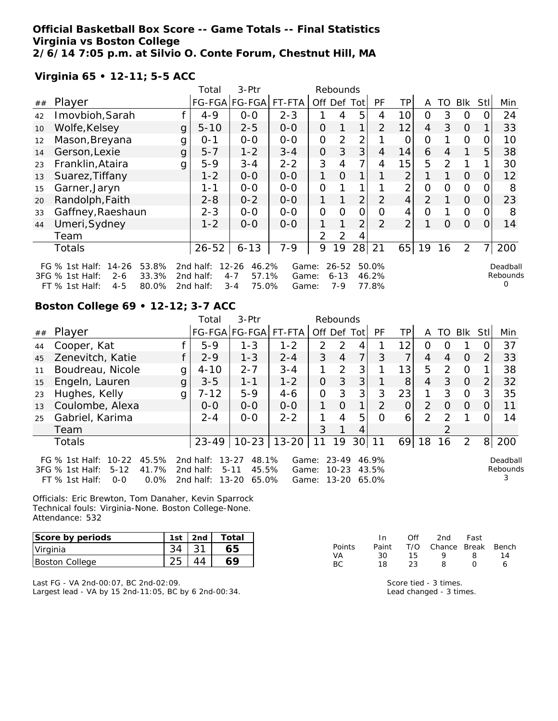**Official Basketball Box Score -- Game Totals -- Final Statistics Virginia vs Boston College 2/6/14 7:05 p.m. at Silvio O. Conte Forum, Chestnut Hill, MA**

**Virginia 65 • 12-11; 5-5 ACC**

|    |                                                                                                                   |   | 3-Ptr<br>Rebounds<br>Total          |                                                            |                         |                |                              |                |                         |                |                |          |                |          |                           |
|----|-------------------------------------------------------------------------------------------------------------------|---|-------------------------------------|------------------------------------------------------------|-------------------------|----------------|------------------------------|----------------|-------------------------|----------------|----------------|----------|----------------|----------|---------------------------|
| ## | Player                                                                                                            |   |                                     | FG-FGA FG-FGA                                              | FT-FTA                  | Off            |                              | Def Tot        | PF                      | ΤP             | A              | TO.      | Blk            | Stll     | Min                       |
| 42 | Imovbioh, Sarah                                                                                                   |   | $4 - 9$                             | $0-0$                                                      | $2 - 3$                 |                | 4                            | 5              | 4                       | 10             | 0              | 3        | $\circ$        |          | 24                        |
| 10 | Wolfe, Kelsey                                                                                                     | g | $5 - 10$                            | $2 - 5$                                                    | $0 - 0$                 | 0              | $\mathbf{1}$                 | $\mathbf{1}$   | $\overline{2}$          | 12             | 4              | 3        | $\Omega$       |          | 33                        |
| 12 | Mason, Breyana                                                                                                    | g | $0 - 1$                             | $0 - 0$                                                    | $0-0$                   | 0              | $\overline{2}$               | 2              |                         | 0              | 0              |          | $\Omega$       |          | 10                        |
| 14 | Gerson, Lexie                                                                                                     | g | $5 - 7$                             | $1 - 2$                                                    | $3 - 4$                 | $\overline{O}$ | 3                            | 3 <sub>l</sub> | 4                       | 14             | 6              | 4        |                | 5        | 38                        |
| 23 | Franklin, Ataira                                                                                                  | g | $5-9$                               | $3 - 4$                                                    | $2 - 2$                 | 3              | 4                            | $\overline{7}$ | 4                       | 15             | 5              | 2        | 1              |          | 30                        |
| 13 | Suarez, Tiffany                                                                                                   |   | $1 - 2$                             | $0 - 0$                                                    | $0-0$                   | 1              | $\Omega$                     | 1 <sub>1</sub> |                         | $\overline{2}$ |                |          | $\Omega$       | $\Omega$ | 12                        |
| 15 | Garner, Jaryn                                                                                                     |   | $1 - 1$                             | $O-O$                                                      | $O-O$                   | $\overline{O}$ | 1                            | 1 <sub>1</sub> |                         | $\overline{2}$ | $\overline{O}$ | $\Omega$ | $\mathcal{O}$  | O        | 8                         |
| 20 | Randolph, Faith                                                                                                   |   | $2 - 8$                             | $0 - 2$                                                    | $0-0$                   | 1              |                              | 2 <sub>1</sub> | 2                       | $\overline{4}$ | $\overline{2}$ |          | $\overline{O}$ | $\Omega$ | 23                        |
| 33 | Gaffney, Raeshaun                                                                                                 |   | $2 - 3$                             | $0-0$                                                      | $0-0$                   | $\Omega$       | $\Omega$                     | 0              | $\Omega$                | 4              | $\Omega$       |          | $\Omega$       | O        | 8                         |
| 44 | Umeri, Sydney                                                                                                     |   | $1 - 2$                             | $0 - 0$                                                    | $0-0$                   | 1              | 1                            | $\overline{2}$ | $\mathcal{P}$           | $\overline{2}$ |                | $\Omega$ | $\Omega$       | $\Omega$ | 14                        |
|    | Team                                                                                                              |   |                                     |                                                            |                         | $\overline{2}$ | 2                            | 4              |                         |                |                |          |                |          |                           |
|    | Totals                                                                                                            |   | $26 - 52$                           | $6 - 13$                                                   | $7-9$                   | 9              | 19                           | 28             | 21                      | 65             | 19             | 16       | $\overline{2}$ |          | 200                       |
|    | $14 - 26$<br>53.8%<br>FG % 1st Half:<br>3FG % 1st Half:<br>33.3%<br>$2 - 6$<br>FT % 1st Half:<br>80.0%<br>$4 - 5$ |   | 2nd half:<br>2nd half:<br>2nd half: | $12 - 26$<br>46.2%<br>$4 - 7$<br>57.1%<br>75.0%<br>$3 - 4$ | Game:<br>Game:<br>Game: |                | $26 - 52$<br>$6 - 13$<br>7-9 |                | 50.0%<br>46.2%<br>77.8% |                |                |          |                |          | Deadball<br>Rebounds<br>O |

# **Boston College 69 • 12-12; 3-7 ACC**

|    |                                                                                                                             |   | Total                               | $3-Ptr$                                                       |                      |                | Rebounds               |                 |                         |                |                |               |                |                |                           |
|----|-----------------------------------------------------------------------------------------------------------------------------|---|-------------------------------------|---------------------------------------------------------------|----------------------|----------------|------------------------|-----------------|-------------------------|----------------|----------------|---------------|----------------|----------------|---------------------------|
| ## | Player                                                                                                                      |   |                                     |                                                               | FG-FGA FG-FGA FT-FTA | Off Def Tot    |                        |                 | <b>PF</b>               | TPI            | A              | TO.           | <b>Blk</b>     | StII           | Min                       |
| 44 | Cooper, Kat                                                                                                                 |   | $5 - 9$                             | $1 - 3$                                                       | $1 - 2$              | $\mathcal{P}$  | 2                      | 4               |                         | 12             | Ω              | Ω             |                |                | 37                        |
| 45 | Zenevitch, Katie                                                                                                            |   | $2 - 9$                             | $1 - 3$                                                       | $2 - 4$              | 3              | $\overline{4}$         | 7               | 3                       | $\overline{7}$ | 4              | 4             | $\Omega$       | $\overline{2}$ | 33                        |
| 11 | Boudreau, Nicole                                                                                                            | g | $4 - 10$                            | $2 - 7$                                                       | $3 - 4$              | 1              | $\mathcal{P}$          | 3               |                         | 13             | 5              | $\mathcal{P}$ | 0              |                | 38                        |
| 15 | Engeln, Lauren                                                                                                              | g | $3 - 5$                             | $1 - 1$                                                       | $1 - 2$              | $\overline{O}$ | 3                      | 3               |                         | 8              | 4              | 3             | $\Omega$       | $\overline{2}$ | 32                        |
| 23 | Hughes, Kelly                                                                                                               | g | $7 - 12$                            | $5-9$                                                         | $4 - 6$              | $\mathcal{O}$  | 3                      | 3               | 3                       | 23             |                | 3             | $\overline{O}$ | 3              | 35                        |
| 13 | Coulombe, Alexa                                                                                                             |   | $O-O$                               | $O-O$                                                         | $O-O$                | 1.             | $\Omega$               | 1               | $\mathcal{P}$           | 0              | $\mathcal{P}$  | $\Omega$      | $\Omega$       |                | 11                        |
| 25 | Gabriel, Karima                                                                                                             |   | $2 - 4$                             | $0 - 0$                                                       | $2 - 2$              |                | 4                      | 5               | $\Omega$                | $\overline{6}$ | $\overline{2}$ | 2             |                |                | 14                        |
|    | Team                                                                                                                        |   |                                     |                                                               |                      | 3              |                        | 4               |                         |                |                | 2             |                |                |                           |
|    | Totals                                                                                                                      |   | $23 - 49$                           |                                                               | $10-23$   13-20      | 11             | 19                     | 30 <sup>2</sup> | 11                      | 69             | 18             | 16            | 2              | 8              | 200                       |
|    | 45.5%<br>FG $\%$ 1st Half:<br>$10 - 22$<br>41.7%<br>$3FG \%$ 1st Half:<br>$5 - 12$<br>$FT \%$ 1st Half:<br>$0.0\%$<br>$O-O$ |   | 2nd half:<br>2nd half:<br>2nd half: | $13 - 27$<br>48.1%<br>45.5%<br>$5 - 11$<br>$13 - 20$<br>65.0% | Game:<br>Game:       | Game: 13-20    | $23 - 49$<br>$10 - 23$ |                 | 46.9%<br>43.5%<br>65.0% |                |                |               |                |                | Deadball<br>Rebounds<br>3 |

Officials: Eric Brewton, Tom Danaher, Kevin Sparrock Technical fouls: Virginia-None. Boston College-None. Attendance: 532

| Score by periods      | 1st | 2nd | Total |
|-----------------------|-----|-----|-------|
| Virginia              |     |     |       |
| <b>Boston College</b> |     |     |       |

Last FG - VA 2nd-00:07, BC 2nd-02:09. Largest lead - VA by 15 2nd-11:05, BC by 6 2nd-00:34.

|        | In.   | Off | 2nd                    | Fast             |    |
|--------|-------|-----|------------------------|------------------|----|
| Points | Paint |     | T/O Chance Break Bench |                  |    |
| VA.    | 30.   | 15  | Q                      | 8                | 14 |
| BC.    | 18    | 23  | 8                      | $\left( \right)$ | 6  |

Score tied - 3 times. Lead changed - 3 times.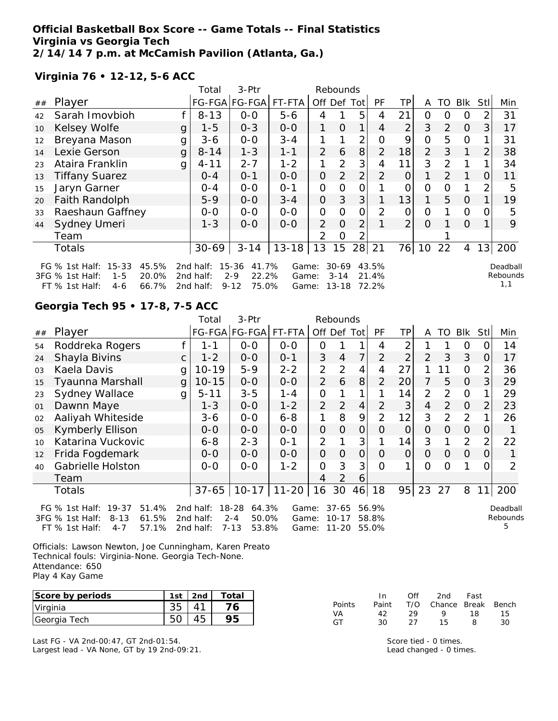### **Official Basketball Box Score -- Game Totals -- Final Statistics Virginia vs Georgia Tech 2/14/14 7 p.m. at McCamish Pavilion (Atlanta, Ga.)**

## **Virginia 76 • 12-12, 5-6 ACC**

|    |                                                                                                                   | 3-Ptr<br>Total<br>Rebounds |                                     |                                                             |                         |                |                                    |                |                         |                |                |          |              |                |                             |
|----|-------------------------------------------------------------------------------------------------------------------|----------------------------|-------------------------------------|-------------------------------------------------------------|-------------------------|----------------|------------------------------------|----------------|-------------------------|----------------|----------------|----------|--------------|----------------|-----------------------------|
| ## | Player                                                                                                            |                            |                                     | FG-FGA FG-FGA                                               | FT-FTA                  | Off Def Tot    |                                    |                | PF                      | TP             | A              | TO       | Blk          | StII           | Min                         |
| 42 | Sarah Imovbioh                                                                                                    |                            | $8 - 13$                            | $0 - 0$                                                     | $5 - 6$                 | 4              |                                    | 5              | 4                       | 21             | 0              | 0        | $\Omega$     | 2              | 31                          |
| 10 | Kelsey Wolfe                                                                                                      | $\mathsf{g}$               | $1 - 5$                             | $0 - 3$                                                     | $0-0$                   | 1              | $\overline{O}$                     | 1              | 4                       | $\overline{2}$ | 3              | 2        | $\Omega$     | 3              | 17                          |
| 12 | Breyana Mason                                                                                                     | g                          | $3 - 6$                             | $0-0$                                                       | $3 - 4$                 |                |                                    | 2              | O                       | 9              | $\overline{O}$ | 5        | $\Omega$     |                | 31                          |
| 14 | Lexie Gerson                                                                                                      | $\mathsf{g}$               | $8 - 14$                            | $1 - 3$                                                     | $1 - 1$                 | $\overline{2}$ | 6                                  | 8              | $\overline{2}$          | 18             | $\overline{2}$ | 3        | $\mathbf{1}$ | $\overline{2}$ | 38                          |
| 23 | Ataira Franklin                                                                                                   | g                          | $4 - 11$                            | $2 - 7$                                                     | $1 - 2$                 | 1              | $\overline{2}$                     | 3              | 4                       | 11             | 3              | 2        |              |                | 34                          |
| 13 | <b>Tiffany Suarez</b>                                                                                             |                            | $0 - 4$                             | $0 - 1$                                                     | $0 - 0$                 | 0              | $\overline{2}$                     | 2              | $\overline{2}$          | $\Omega$       |                | 2        | 1            | $\Omega$       | 11                          |
| 15 | Jaryn Garner                                                                                                      |                            | $0 - 4$                             | $O-O$                                                       | $0 - 1$                 | 0              | $\Omega$                           | $\overline{O}$ |                         | $\overline{O}$ | $\Omega$       | $\Omega$ | 1            | 2              | 5                           |
| 20 | Faith Randolph                                                                                                    |                            | $5 - 9$                             | $0-0$                                                       | $3 - 4$                 | $\overline{O}$ | 3                                  | 3              |                         | 13             | 1              | 5        | $\Omega$     |                | 19                          |
| 33 | Raeshaun Gaffney                                                                                                  |                            | $0-0$                               | $0-0$                                                       | $0-0$                   | $\overline{O}$ | 0                                  | 0              | 2                       | O              | 0              |          | $\Omega$     | 0              | 5                           |
| 44 | Sydney Umeri                                                                                                      |                            | $1 - 3$                             | $O - O$                                                     | $0-0$                   | 2              | $\Omega$                           | 2              |                         | $\overline{2}$ | $\Omega$       |          | $\Omega$     |                | 9                           |
|    | Team                                                                                                              |                            |                                     |                                                             |                         | $\mathcal{P}$  | 0                                  | 2              |                         |                |                |          |              |                |                             |
|    | <b>Totals</b>                                                                                                     |                            | $30 - 69$                           | $3 - 14$                                                    | $13 - 18$               | 13             | 15                                 | 28             | 21                      | 76             | 10             | 22       | 4            | 13             | 200                         |
|    | $15 - 33$<br>45.5%<br>FG % 1st Half:<br>20.0%<br>3FG % 1st Half:<br>$1 - 5$<br>66.7%<br>$FT$ % 1st Half:<br>$4-6$ |                            | 2nd half:<br>2nd half:<br>2nd half: | $15 - 36$<br>41.7%<br>22.2%<br>$2 - 9$<br>$9 - 12$<br>75.0% | Game:<br>Game:<br>Game: |                | $30 - 69$<br>$3 - 14$<br>$13 - 18$ |                | 43.5%<br>21.4%<br>72.2% |                |                |          |              |                | Deadball<br>Rebounds<br>1,1 |

# **Georgia Tech 95 • 17-8, 7-5 ACC**

| 3-Ptr<br>Total<br>Rebounds |                                                                                                                        |              |                                     |                                                             |                         |                |                                 |                |                         |                |                |                |            |     |                           |
|----------------------------|------------------------------------------------------------------------------------------------------------------------|--------------|-------------------------------------|-------------------------------------------------------------|-------------------------|----------------|---------------------------------|----------------|-------------------------|----------------|----------------|----------------|------------|-----|---------------------------|
| ##                         | Player                                                                                                                 |              |                                     | FG-FGA FG-FGA                                               | FT-FTA                  |                | Off Def Tot                     |                | <b>PF</b>               | ΤP             | A              | TO             | <b>Blk</b> | Stl | Min                       |
| 54                         | Roddreka Rogers                                                                                                        |              | $1 - 1$                             | $0 - 0$                                                     | $0 - 0$                 | 0              |                                 |                | 4                       | 2              |                |                | 0          | Ω   | 14                        |
| 24                         | Shayla Bivins                                                                                                          | $\mathsf{C}$ | $1 - 2$                             | $0-0$                                                       | $0 - 1$                 | 3              | 4                               | 7              | $\overline{2}$          | 2              | $\overline{2}$ | 3              | 3          | 0   | 17                        |
| 03                         | Kaela Davis                                                                                                            | g            | $10 - 19$                           | $5-9$                                                       | $2 - 2$                 | $\overline{2}$ | 2                               | 4              | 4                       | 27             |                | 11             | $\Omega$   | 2   | 36                        |
| 15                         | Tyaunna Marshall                                                                                                       | g            | $10 - 15$                           | $O-O$                                                       | $O-O$                   | $\overline{2}$ | 6                               | 8              | 2                       | 20             | 7              | 5              | $\Omega$   | 3   | 29                        |
| 23                         | <b>Sydney Wallace</b>                                                                                                  | g            | $5 - 11$                            | $3 - 5$                                                     | $1 - 4$                 | O              | 1                               | 1              |                         | 14             | 2              | 2              | 0          |     | 29                        |
| 01                         | Dawnn Maye                                                                                                             |              | $1 - 3$                             | $0-0$                                                       | $1 - 2$                 | 2              | 2                               | $\overline{4}$ | $\overline{2}$          | 3              | 4              | $\overline{2}$ | $\Omega$   | 2   | 23                        |
| 02                         | Aaliyah Whiteside                                                                                                      |              | $3 - 6$                             | $O-O$                                                       | $6 - 8$                 | 1              | 8                               | 9              | $\overline{2}$          | 12             | 3              | 2              | 2          |     | 26                        |
| 05                         | <b>Kymberly Ellison</b>                                                                                                |              | $0 - 0$                             | $0 - 0$                                                     | $0-0$                   | $\overline{O}$ | 0                               | 0              | O                       | O              | O              | 0              | 0          | 0   |                           |
| 10                         | Katarina Vuckovic                                                                                                      |              | $6 - 8$                             | $2 - 3$                                                     | $0 - 1$                 | 2              |                                 | 3              |                         | 14             | 3              |                | 2          | 2   | 22                        |
| 12                         | Frida Fogdemark                                                                                                        |              | $0 - 0$                             | $0-0$                                                       | $0-0$                   | $\overline{O}$ | $\overline{O}$                  | $\overline{O}$ | O                       | $\overline{O}$ | O              | 0              | $\Omega$   | 0   |                           |
| 40                         | Gabrielle Holston                                                                                                      |              | $0-0$                               | $0 - 0$                                                     | $1 - 2$                 | $\Omega$       | 3                               | 3              | $\Omega$                | 1              | $\Omega$       | Ω              | 1          | O   | 2                         |
|                            | Team                                                                                                                   |              |                                     |                                                             |                         | 4              | 2                               | 6              |                         |                |                |                |            |     |                           |
|                            | Totals                                                                                                                 |              |                                     | $37 - 65$   10-17                                           | $11 - 20$               | 16             | 30                              | 46             | 18                      | 95             | 23             | 27             | 8          | 11  | 200                       |
|                            | 51.4%<br>FG $%$ 1st Half:<br>$19 - 37$<br>61.5%<br>3FG % 1st Half:<br>$8 - 13$<br>57.1%<br>$FT$ % 1st Half:<br>$4 - 7$ |              | 2nd half:<br>2nd half:<br>2nd half: | $18 - 28$<br>64.3%<br>$2 - 4$<br>50.0%<br>$7 - 13$<br>53.8% | Game:<br>Game:<br>Game: |                | $37 - 65$<br>$10 - 17$<br>11-20 |                | 56.9%<br>58.8%<br>55.0% |                |                |                |            |     | Deadball<br>Rebounds<br>5 |

Officials: Lawson Newton, Joe Cunningham, Karen Preato Technical fouls: Virginia-None. Georgia Tech-None. Attendance: 650 Play 4 Kay Game

| Score by periods | 1st | 2 <sub>nd</sub> | Total |
|------------------|-----|-----------------|-------|
| Virginia         |     |                 |       |
| Georgia Tech     |     |                 |       |

Last FG - VA 2nd-00:47, GT 2nd-01:54. Largest lead - VA None, GT by 19 2nd-09:21.

|        | $\mathsf{In}$ | Off | 2nd                          | Fast |    |
|--------|---------------|-----|------------------------------|------|----|
| Points |               |     | Paint T/O Chance Break Bench |      |    |
| VA.    | 42.           | 29. | $\mathsf Q$                  | 18.  | 15 |
| GT.    | 30.           | 27. | 15.                          | 8    | 30 |

Score tied - 0 times. Lead changed - 0 times.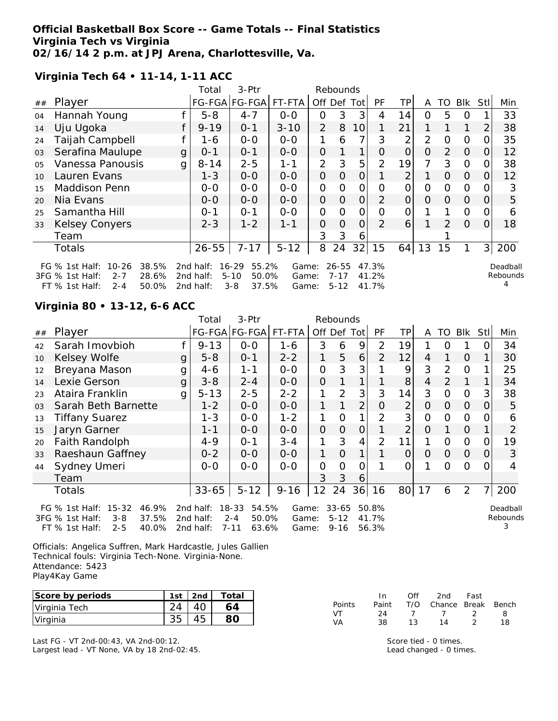### **Official Basketball Box Score -- Game Totals -- Final Statistics Virginia Tech vs Virginia 02/16/14 2 p.m. at JPJ Arena, Charlottesville, Va.**

**Virginia Tech 64 • 11-14, 1-11 ACC**

|                |                                                                                                                       |   | Total                               | 3-Ptr                                                       |                         |                | Rebounds                          |                 |                         |                |                |          |                |                |                           |
|----------------|-----------------------------------------------------------------------------------------------------------------------|---|-------------------------------------|-------------------------------------------------------------|-------------------------|----------------|-----------------------------------|-----------------|-------------------------|----------------|----------------|----------|----------------|----------------|---------------------------|
| ##             | Player                                                                                                                |   |                                     | FG-FGA FG-FGA                                               | FT-FTA                  | Off Def        |                                   | Totl            | PF                      | TP.            | A              | TO       | <b>BIK</b>     | Stll           | Min                       |
| 04             | Hannah Young                                                                                                          |   | $5 - 8$                             | $4 - 7$                                                     | $0 - 0$                 | 0              | 3                                 | 3               | 4                       | 14             | $\Omega$       | 5        | 0              |                | 33                        |
| 14             | Uju Ugoka                                                                                                             |   | $9 - 19$                            | $0 - 1$                                                     | $3 - 10$                | 2              | 8                                 | 10 <sup>1</sup> | 1                       | 21             | 1.             |          | 1              | 2              | 38                        |
| 24             | Taijah Campbell                                                                                                       |   | 1-6                                 | $0-0$                                                       | $0-0$                   | 1              | 6                                 | 7               | 3                       | $\overline{2}$ | 2              | O        | O              |                | 35                        |
| 03             | Serafina Maulupe                                                                                                      | g | $0 - 1$                             | $0 - 1$                                                     | $0-0$                   | $\overline{O}$ |                                   | 1               | 0                       | $\overline{0}$ | $\overline{O}$ | 2        | $\Omega$       | O              | 12                        |
| O <sub>5</sub> | Vanessa Panousis                                                                                                      | g | $8 - 14$                            | $2 - 5$                                                     | $1 - 1$                 | 2              | 3                                 | 5               | $\overline{2}$          | 19             | 7              | 3        | $\Omega$       | 0              | 38                        |
| 10             | Lauren Evans                                                                                                          |   | $1 - 3$                             | $O-O$                                                       | $0 - 0$                 | $\overline{O}$ | 0                                 | $\overline{O}$  | 1                       | $\overline{2}$ | 1              | $\Omega$ | $\Omega$       | 0              | 12                        |
| 15             | Maddison Penn                                                                                                         |   | $0-0$                               | $O-O$                                                       | $O-O$                   | $\overline{O}$ | O                                 | 0               | $\Omega$                | 0              | 0              | 0        | $\mathcal{O}$  |                | 3                         |
| 20             | Nia Evans                                                                                                             |   | $0 - 0$                             | $0-0$                                                       | $0-0$                   | $\overline{O}$ | $\Omega$                          | 0               | 2                       | 0              | 0              | $\Omega$ | $\Omega$       | $\Omega$       | 5                         |
| 25             | Samantha Hill                                                                                                         |   | $0 - 1$                             | $0 - 1$                                                     | $0-0$                   | 0              | $\Omega$                          | 0               | Ω                       | 0              |                |          | $\overline{O}$ |                | 6                         |
| 33             | <b>Kelsey Conyers</b>                                                                                                 |   | $2 - 3$                             | $1 - 2$                                                     | $1 - 1$                 | $\overline{O}$ | $\Omega$                          | $\overline{O}$  | $\overline{2}$          | 6              |                | 2        | $\Omega$       | 0              | 18                        |
|                | Team                                                                                                                  |   |                                     |                                                             |                         | 3              | 3                                 | 6               |                         |                |                |          |                |                |                           |
|                | Totals                                                                                                                |   | $26 - 55$                           | $7 - 17$                                                    | $5 - 12$                | 8              | 24                                | 32              | 15                      | 64             | 13             | 15       | 1              | 3 <sup>1</sup> | 200                       |
|                | FG $%$ 1st Half:<br>$10 - 26$<br>38.5%<br>3FG % 1st Half:<br>28.6%<br>$2 - 7$<br>50.0%<br>$FT$ % 1st Half:<br>$2 - 4$ |   | 2nd half:<br>2nd half:<br>2nd half: | 55.2%<br>$16 - 29$<br>$5 - 10$<br>50.0%<br>$3 - 8$<br>37.5% | Game:<br>Game:<br>Game: |                | $26 - 55$<br>$7 - 17$<br>$5 - 12$ |                 | 47.3%<br>41.2%<br>41.7% |                |                |          |                |                | Deadball<br>Rebounds<br>4 |

## **Virginia 80 • 13-12, 6-6 ACC**

| 3-Ptr<br>Total<br>Rebounds |                                                                                                                     |              |                                     |                                                             |                         |                |                                   |                |                         |                |          |               |                |            |                      |
|----------------------------|---------------------------------------------------------------------------------------------------------------------|--------------|-------------------------------------|-------------------------------------------------------------|-------------------------|----------------|-----------------------------------|----------------|-------------------------|----------------|----------|---------------|----------------|------------|----------------------|
| ##                         | Player                                                                                                              |              |                                     | FG-FGA FG-FGA                                               | FT-FTA                  |                | Off Def Tot                       |                | PF                      | TP             | A        | TO I          | Blk            | <b>StI</b> | Min                  |
| 42                         | Sarah Imovbioh                                                                                                      |              | $9 - 13$                            | $0 - 0$                                                     | 1-6                     | 3              | 6                                 | 9              | 2                       | 19             |          | $\Omega$      |                | Ω          | 34                   |
| 10                         | Kelsey Wolfe                                                                                                        | g            | $5 - 8$                             | $0 - 1$                                                     | $2 - 2$                 | $\mathbf 1$    | 5                                 | 6              | $\mathcal{P}$           | 12             | 4        |               | $\Omega$       |            | 30                   |
| 12                         | Breyana Mason                                                                                                       | g            | $4-6$                               | 1-1                                                         | $0 - 0$                 | 0              | 3                                 | 3              |                         | 9              | 3        | $\mathcal{P}$ | $\Omega$       |            | 25                   |
| 14                         | Lexie Gerson                                                                                                        | g            | $3 - 8$                             | $2 - 4$                                                     | $0 - 0$                 | $\overline{O}$ |                                   |                |                         | 8              | 4        | $\mathcal{P}$ |                |            | 34                   |
| 23                         | Ataira Franklin                                                                                                     | $\mathbf{q}$ | $5 - 13$                            | $2 - 5$                                                     | $2 - 2$                 | 1              | 2                                 | 3              | 3                       | 14             | 3        | $\Omega$      | $\overline{0}$ | 3          | 38                   |
| 03                         | Sarah Beth Barnette                                                                                                 |              | $1 - 2$                             | $0 - 0$                                                     | $0 - 0$                 | 1.             |                                   | $\overline{2}$ | $\Omega$                | $\overline{2}$ | 0        | 0             | $\Omega$       | $\Omega$   | 5                    |
| 13                         | <b>Tiffany Suarez</b>                                                                                               |              | $1 - 3$                             | $0-0$                                                       | $1 - 2$                 | 1              | $\Omega$                          |                | $\overline{2}$          | 3              | $\Omega$ | $\Omega$      | $\Omega$       | O          | 6                    |
| 15                         | Jaryn Garner                                                                                                        |              | $1 - 1$                             | $0 - 0$                                                     | $0 - 0$                 | $\overline{O}$ | $\Omega$                          | $\Omega$       |                         | 2              | $\Omega$ |               | $\Omega$       |            | $\overline{2}$       |
| 20                         | Faith Randolph                                                                                                      |              | $4 - 9$                             | $0 - 1$                                                     | $3 - 4$                 | 1              | 3                                 | 4              | 2                       | 11             |          | $\Omega$      | $\Omega$       | O          | 19                   |
| 33                         | Raeshaun Gaffney                                                                                                    |              | $0 - 2$                             | $0 - 0$                                                     | $0 - 0$                 | 1              | $\Omega$                          |                |                         | $\Omega$       | $\Omega$ | $\Omega$      | $\overline{O}$ | 0          | 3                    |
| 44                         | Sydney Umeri                                                                                                        |              | $0 - 0$                             | $0 - 0$                                                     | $0 - 0$                 | $\overline{O}$ | 0                                 | Ο              |                         | $\Omega$       |          | $\Omega$      | $\Omega$       | 0          | 4                    |
|                            | Team                                                                                                                |              |                                     |                                                             |                         | 3              | 3                                 | 6              |                         |                |          |               |                |            |                      |
|                            | Totals                                                                                                              |              | $33 - 65$                           | $5 - 12$                                                    | $9 - 16$                | 12             | 24                                | 36             | 16                      | 80             | 17       | 6             | $\overline{2}$ | 7          | 200                  |
|                            | $15 - 32$<br>46.9%<br>FG $%$ 1st Half:<br>37.5%<br>3FG % 1st Half:<br>$3 - 8$<br>FT % 1st Half:<br>40.0%<br>$2 - 5$ |              | 2nd half:<br>2nd half:<br>2nd half: | $18 - 33$<br>54.5%<br>$2 - 4$<br>50.0%<br>$7 - 11$<br>63.6% | Game:<br>Game:<br>Game: |                | $33 - 65$<br>$5 - 12$<br>$9 - 16$ |                | 50.8%<br>41.7%<br>56.3% |                |          |               |                |            | Deadball<br>Rebounds |

Officials: Angelica Suffren, Mark Hardcastle, Jules Gallien Technical fouls: Virginia Tech-None. Virginia-None. Attendance: 5423 Play4Kay Game

| Score by periods | 1st. | . 2nd | Total |
|------------------|------|-------|-------|
| Virginia Tech    |      |       |       |
| Virginia         |      |       |       |

Last FG - VT 2nd-00:43, VA 2nd-00:12. Largest lead - VT None, VA by 18 2nd-02:45.

|           | In In | ∩ff | 2nd                    | Fast    |    |
|-----------|-------|-----|------------------------|---------|----|
| Points    | Paint |     | T/O Chance Break Bench |         |    |
| VT.       | 24    |     | $\overline{7}$         | $\cdot$ | 8  |
| <b>VA</b> | 38.   | 13  | 14                     | っ       | 18 |

Score tied - 0 times. Lead changed - 0 times.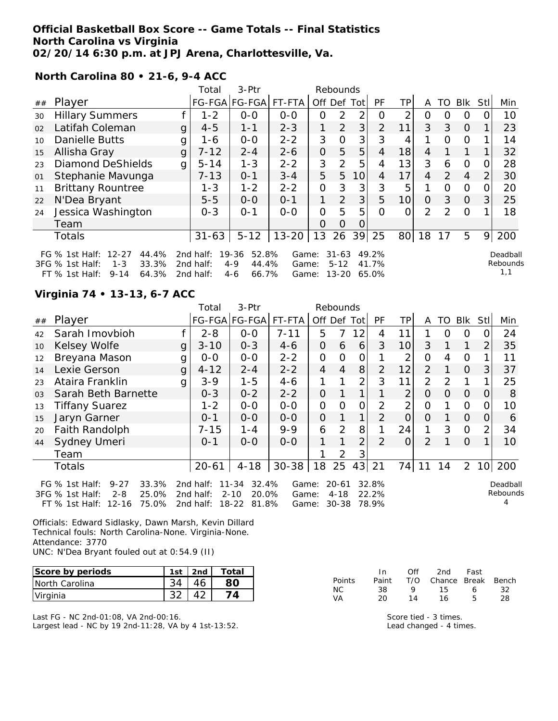#### **Official Basketball Box Score -- Game Totals -- Final Statistics North Carolina vs Virginia 02/20/14 6:30 p.m. at JPJ Arena, Charlottesville, Va.**

**North Carolina 80 • 21-6, 9-4 ACC**

|    |                                                                                                                         |              | Total                               | 3-Ptr                                                  |                         |                | Rebounds                           |                 |                         |     |                |               |                |                |                             |
|----|-------------------------------------------------------------------------------------------------------------------------|--------------|-------------------------------------|--------------------------------------------------------|-------------------------|----------------|------------------------------------|-----------------|-------------------------|-----|----------------|---------------|----------------|----------------|-----------------------------|
| ## | Player                                                                                                                  |              |                                     | FG-FGA FG-FGA                                          | FT-FTA                  | Off            | Def                                | Tot             | PF                      | TP. | A              | TO            | <b>Blk</b>     | Stl            | Min                         |
| 30 | <b>Hillary Summers</b>                                                                                                  |              | $1 - 2$                             | $0-0$                                                  | $0 - 0$                 | Ο              | 2                                  | 2               | Ω                       | ⌒   | O              | ი             | O              |                | 10                          |
| 02 | Latifah Coleman                                                                                                         | g            | $4 - 5$                             | $1 - 1$                                                | $2 - 3$                 |                | 2                                  | 3               | $\overline{2}$          | 11  | 3              | 3             | $\overline{O}$ |                | 23                          |
| 10 | Danielle Butts                                                                                                          | g            | 1-6                                 | $0 - 0$                                                | $2 - 2$                 | 3              | O                                  | 3               | 3                       | 4   |                | $\Omega$      | 0              |                | 14                          |
| 15 | Allisha Gray                                                                                                            | $\mathbf{q}$ | $7 - 12$                            | $2 - 4$                                                | $2 - 6$                 | $\overline{O}$ | 5                                  | 5               | $\overline{4}$          | 18  | 4              |               |                |                | 32                          |
| 23 | <b>Diamond DeShields</b>                                                                                                | g            | $5 - 14$                            | $1 - 3$                                                | $2 - 2$                 | 3              | $\mathcal{P}$                      | 5               | 4                       | 13  | 3              | 6             | O              | Ω              | 28                          |
| 01 | Stephanie Mavunga                                                                                                       |              | $7 - 13$                            | $0 - 1$                                                | $3 - 4$                 | 5              | 5                                  | 10 <sup>1</sup> | $\overline{4}$          | 17  | $\overline{4}$ | 2             | $\overline{4}$ | $\overline{2}$ | 30                          |
| 11 | <b>Brittany Rountree</b>                                                                                                |              | $1 - 3$                             | $1 - 2$                                                | $2 - 2$                 | 0              | 3                                  | 3               | 3                       | 5   |                | Ο             | 0              |                | 20                          |
| 22 | N'Dea Bryant                                                                                                            |              | $5 - 5$                             | $0-0$                                                  | $O - 1$                 |                | 2                                  | 3               | 5                       | 10  | O              | 3             | $\overline{O}$ | 3              | 25                          |
| 24 | Jessica Washington                                                                                                      |              | $0 - 3$                             | $O - 1$                                                | $0 - 0$                 | $\Omega$       | 5                                  | 5               | Ω                       | Ω   | $\overline{2}$ | $\mathcal{P}$ | $\Omega$       |                | 18                          |
|    | Team                                                                                                                    |              |                                     |                                                        |                         | 0              | Ο                                  | 0               |                         |     |                |               |                |                |                             |
|    | <b>Totals</b>                                                                                                           |              | $31 - 63$                           | $5 - 12$                                               | $13 - 20$               | 13             | 26                                 | 39              | 25                      | 80  | 18             | 17            | 5              | 9              | 200                         |
|    | $12 - 27$<br>44.4%<br>FG $%$ 1st Half:<br>3FG % 1st Half:<br>33.3%<br>$1 - 3$<br>64.3%<br>$9 - 14$<br>FT $\%$ 1st Half: |              | 2nd half:<br>2nd half:<br>2nd half: | 52.8%<br>19-36<br>$4 - 9$<br>44.4%<br>66.7%<br>$4 - 6$ | Game:<br>Game:<br>Game: |                | $31 - 63$<br>$5 - 12$<br>$13 - 20$ |                 | 49.2%<br>41.7%<br>65.0% |     |                |               |                |                | Deadball<br>Rebounds<br>1,1 |

# **Virginia 74 • 13-13, 6-7 ACC**

|                |                                                                                                               |   | Total                               | 3-Ptr                                                 |                         |                | Rebounds                           |                |                         |                |                |          |                |                |                      |
|----------------|---------------------------------------------------------------------------------------------------------------|---|-------------------------------------|-------------------------------------------------------|-------------------------|----------------|------------------------------------|----------------|-------------------------|----------------|----------------|----------|----------------|----------------|----------------------|
| ##             | Player                                                                                                        |   |                                     | FG-FGA FG-FGA                                         | FT-FTA                  | Off Def Tot    |                                    |                | PF                      | TPI            | A              | TO       | Blk            | <b>Stl</b>     | Min                  |
| 42             | Sarah Imovbioh                                                                                                |   | $2 - 8$                             | $0-0$                                                 | $7 - 11$                | 5              | 7                                  | 12             | 4                       | 11             |                | O        | $\Omega$       | 0              | 24                   |
| 10             | Kelsey Wolfe                                                                                                  | g | $3 - 10$                            | $0 - 3$                                               | $4 - 6$                 | 0              | 6                                  | 6              | 3                       | 10             | 3              |          |                | 2              | 35                   |
| 12             | Breyana Mason                                                                                                 | g | $0-0$                               | $0-0$                                                 | $2 - 2$                 | $\mathcal{O}$  | $\overline{O}$                     | 0              |                         | 2              | $\overline{O}$ | 4        | 0              |                | 11                   |
| 14             | Lexie Gerson                                                                                                  | g | $4 - 12$                            | $2 - 4$                                               | $2 - 2$                 | $\overline{4}$ | 4                                  | 8              | $\overline{2}$          | 12             | $\overline{2}$ |          | $\Omega$       | 3              | 37                   |
| 23             | Ataira Franklin                                                                                               | g | $3 - 9$                             | $1 - 5$                                               | $4 - 6$                 |                |                                    | 2              | 3                       | 11             | 2              | 2        | 1              |                | 25                   |
| O <sub>3</sub> | Sarah Beth Barnette                                                                                           |   | $0 - 3$                             | $0 - 2$                                               | $2 - 2$                 | $\overline{O}$ |                                    | 1              |                         | $\overline{2}$ | $\Omega$       | $\Omega$ | $\overline{O}$ | $\Omega$       | 8                    |
| 13             | <b>Tiffany Suarez</b>                                                                                         |   | $1 - 2$                             | $0-0$                                                 | $0-0$                   | $\mathbf{O}$   | $\Omega$                           | $\overline{O}$ | $\overline{2}$          | $\overline{2}$ | $\overline{O}$ |          | $\Omega$       | 0              | 10                   |
| 15             | Jaryn Garner                                                                                                  |   | $0 - 1$                             | $0-0$                                                 | $0-0$                   | $\overline{O}$ |                                    | 1              | $\overline{2}$          | $\overline{O}$ | $\Omega$       |          | $\overline{O}$ | 0              | 6                    |
| 20             | Faith Randolph                                                                                                |   | $7 - 15$                            | $1 - 4$                                               | $9 - 9$                 | 6              | 2                                  | 8              |                         | 24             | 1              | 3        | $\Omega$       | $\overline{2}$ | 34                   |
| 44             | Sydney Umeri                                                                                                  |   | $0 - 1$                             | $O-O$                                                 | $0 - 0$                 | 1              |                                    | 2              | 2                       | $\overline{O}$ | $\overline{2}$ |          | $\Omega$       | 1              | 10                   |
|                | Team                                                                                                          |   |                                     |                                                       |                         |                | 2                                  | 3              |                         |                |                |          |                |                |                      |
|                | Totals                                                                                                        |   | $20 - 61$                           | $4 - 18$                                              | $30 - 38$               | 18             | 25                                 | 43             | 21                      | 74             | 11             | 14       | $\overline{2}$ |                | 10 200               |
|                | 33.3%<br>FG $%$ 1st Half:<br>$9 - 27$<br>3FG % 1st Half:<br>$2 - 8$<br>25.0%<br>FT % 1st Half: 12-16<br>75.0% |   | 2nd half:<br>2nd half:<br>2nd half: | 32.4%<br>11-34<br>$2 - 10$<br>20.0%<br>18-22<br>81.8% | Game:<br>Game:<br>Game: |                | $20 - 61$<br>$4 - 18$<br>$30 - 38$ |                | 32.8%<br>22.2%<br>78.9% |                |                |          |                |                | Deadball<br>Rebounds |

Officials: Edward Sidlasky, Dawn Marsh, Kevin Dillard Technical fouls: North Carolina-None. Virginia-None. Attendance: 3770 UNC: N'Dea Bryant fouled out at 0:54.9 (II)

| Score by periods | 1st | 2nd | Total |
|------------------|-----|-----|-------|
| INorth Carolina  |     |     |       |
| Virginia         |     |     |       |

Last FG - NC 2nd-01:08, VA 2nd-00:16. Largest lead - NC by 19 2nd-11:28, VA by 4 1st-13:52.

|        | In.   | ∩ff | 2nd                    | Fast         |    |
|--------|-------|-----|------------------------|--------------|----|
| Points | Paint |     | T/O Chance Break Bench |              |    |
| NC.    | 38.   | Q   | 15.                    | 6            | 32 |
| VA     | 20    | 14  | 16.                    | $\mathsf{h}$ | 28 |

Score tied - 3 times. Lead changed - 4 times.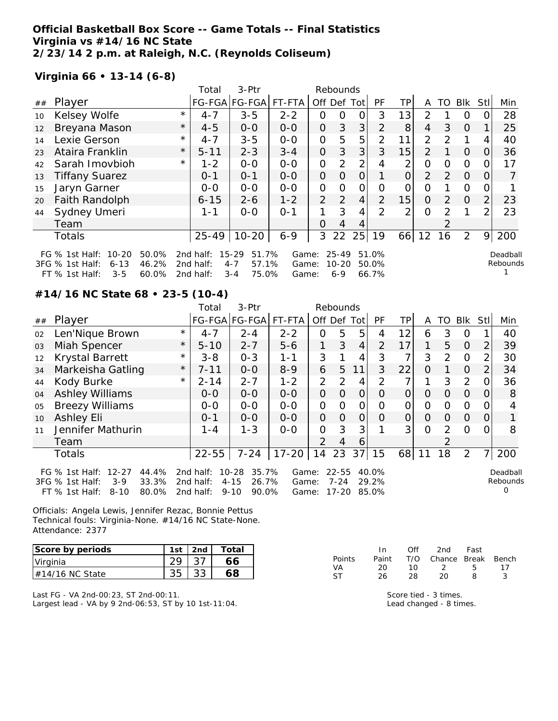## **Official Basketball Box Score -- Game Totals -- Final Statistics Virginia vs #14/16 NC State 2/23/14 2 p.m. at Raleigh, N.C. (Reynolds Coliseum)**

## **Virginia 66 • 13-14 (6-8)**

|    |                                                                                |         | 3-Ptr<br>Total<br>Rebounds |                                    |                |                |                        |    |                |    |                |                |                |                |                      |
|----|--------------------------------------------------------------------------------|---------|----------------------------|------------------------------------|----------------|----------------|------------------------|----|----------------|----|----------------|----------------|----------------|----------------|----------------------|
| ## | Player                                                                         |         |                            | FG-FGA FG-FGA                      | FT-FTA         | Off Def Tot    |                        |    | PF             | TР | A              | TO             | <b>BIK</b>     | Stl            | Min                  |
| 10 | Kelsey Wolfe                                                                   | $\star$ | $4 - 7$                    | $3 - 5$                            | $2 - 2$        | O              | O                      | 0  | 3              | 13 | 2              |                | O              |                | 28                   |
| 12 | Breyana Mason                                                                  | $\star$ | $4 - 5$                    | $0 - 0$                            | $0 - 0$        | 0              | 3                      | 3  | 2              | 8  | 4              | 3              | $\overline{O}$ |                | 25                   |
| 14 | Lexie Gerson                                                                   | $\star$ | $4 - 7$                    | $3 - 5$                            | $0-0$          | 0              | 5                      | 5  | 2              | 11 | 2              | $\mathcal{P}$  |                | 4              | 40                   |
| 23 | Ataira Franklin                                                                | $\star$ | $5 - 11$                   | $2 - 3$                            | $3 - 4$        | 0              | 3                      | 3  | 3              | 15 | $\overline{2}$ |                | $\Omega$       | Ο              | 36                   |
| 42 | Sarah Imovbioh                                                                 | $\star$ | $1 - 2$                    | $0 - 0$                            | $0 - 0$        | 0              | 2                      | 2  | 4              | ⌒  | 0              | Ω              | 0              |                | 17                   |
| 13 | <b>Tiffany Suarez</b>                                                          |         | $0 - 1$                    | $O - 1$                            | $0 - 0$        | $\overline{O}$ | $\Omega$               | 0  | 1              |    | $\overline{2}$ | $\mathcal{P}$  | $\overline{O}$ | 0              | $\overline{7}$       |
| 15 | Jaryn Garner                                                                   |         | $0-0$                      | $0-0$                              | $0-0$          | 0              | $\Omega$               | Ο  | 0              |    | ი              |                | 0              |                |                      |
| 20 | Faith Randolph                                                                 |         | $6 - 15$                   | $2 - 6$                            | $1 - 2$        | $\overline{2}$ | 2                      | 4  | $\overline{2}$ | 15 | $\Omega$       | $\overline{2}$ | $\Omega$       | $\overline{2}$ | 23                   |
| 44 | Sydney Umeri                                                                   |         | $1 - 1$                    | $0 - 0$                            | $0 - 1$        |                | 3                      | 4  | $\mathcal{P}$  | ⌒  | $\Omega$       | 2              |                | 2              | 23                   |
|    | Team                                                                           |         |                            |                                    |                | $\Omega$       | 4                      | 4  |                |    |                | 2              |                |                |                      |
|    | <b>Totals</b>                                                                  |         | $25 - 49$                  | $10 - 20$                          | $6 - 9$        | 3              | 22                     | 25 | 19             | 66 | 12             | 16             | 2              | 9              | 200                  |
|    | $10 - 20$<br>50.0%<br>FG $%$ 1st Half:<br>46.2%<br>3FG % 1st Half:<br>$6 - 13$ |         | 2nd half:<br>2nd half:     | 15-29<br>51.7%<br>57.1%<br>$4 - 7$ | Game:<br>Game: |                | $25 - 49$<br>$10 - 20$ |    | 51.0%<br>50.0% |    |                |                |                |                | Deadball<br>Rebounds |

75.0% Game: 6-9 66.7%

**#14/16 NC State 68 • 23-5 (10-4)**

FT % 1st Half: 3-5 60.0% 2nd half: 3-4 75.0%

|    |                                                                                                                     |            | 3-Ptr<br>Total<br>Rebounds          |                                                              |                         |                |                                |                |                         |           |               |               |            |                |                           |
|----|---------------------------------------------------------------------------------------------------------------------|------------|-------------------------------------|--------------------------------------------------------------|-------------------------|----------------|--------------------------------|----------------|-------------------------|-----------|---------------|---------------|------------|----------------|---------------------------|
| ## | Player                                                                                                              |            |                                     | FG-FGA FG-FGA FT-FTA                                         |                         | Off Def Tot    |                                |                | <b>PF</b>               | <b>TP</b> | A             | TO            | <b>Blk</b> | Stll           | Min                       |
| 02 | Len'Nique Brown                                                                                                     | $^{\star}$ | $4 - 7$                             | $2 - 4$                                                      | $2 - 2$                 | 0              | 5                              | 5              | 4                       | 12        | 6             | 3             | 0          |                | 40                        |
| 03 | Miah Spencer                                                                                                        | $\star$    | $5 - 10$                            | $2 - 7$                                                      | $5 - 6$                 | 1              | 3                              | $\overline{4}$ | 2                       | 17        | 1             | 5             | $\Omega$   | $\overline{2}$ | 39                        |
| 12 | <b>Krystal Barrett</b>                                                                                              | $\star$    | $3 - 8$                             | $0 - 3$                                                      | $1 - 1$                 | 3              |                                | $\overline{4}$ | 3                       | 7         | 3             | 2             | $\Omega$   | $\overline{2}$ | 30                        |
| 34 | Markeisha Gatling                                                                                                   | $\star$    | $7 - 11$                            | $0-0$                                                        | $8 - 9$                 | 6              | 5                              | 11             | 3                       | 22        | $\Omega$      |               | $\Omega$   | $\overline{2}$ | 34                        |
| 44 | Kody Burke                                                                                                          | $\star$    | $2 - 14$                            | $2 - 7$                                                      | $1 - 2$                 | $\overline{2}$ | 2                              | 4              | 2                       | 7         |               | 3             | 2          | 0              | 36                        |
| 04 | <b>Ashley Williams</b>                                                                                              |            | $0 - 0$                             | $0-0$                                                        | $0-0$                   | $\overline{O}$ | $\Omega$                       | $\overline{O}$ | $\Omega$                | $\Omega$  | $\Omega$      | 0             | $\Omega$   | $\Omega$       | 8                         |
| 05 | <b>Breezy Williams</b>                                                                                              |            | $0-0$                               | $0-0$                                                        | $0-0$                   | 0              | O                              | O              | O                       | 0         | $\mathcal{O}$ | 0             | $\Omega$   | 0              |                           |
| 10 | Ashley Eli                                                                                                          |            | $0 - 1$                             | $0-0$                                                        | $0-0$                   | $\overline{O}$ | $\Omega$                       | $\overline{O}$ | $\Omega$                | $\Omega$  | $\Omega$      | $\Omega$      | $\Omega$   | 0              |                           |
| 11 | Jennifer Mathurin                                                                                                   |            | $1 - 4$                             | $1 - 3$                                                      | $0-0$                   | $\mathcal{O}$  | 3                              | 3              |                         | 3         | $\Omega$      | $\mathcal{P}$ | $\Omega$   | 0              | 8                         |
|    | Team                                                                                                                |            |                                     |                                                              |                         | $\mathcal{P}$  | $\overline{4}$                 | 6              |                         |           |               | 2             |            |                |                           |
|    | Totals                                                                                                              |            | $22 - 55$                           | $7 - 24$                                                     | $17 - 20$               | 14             | 23                             | 37             | 15                      | 68        | 11            | 18            | 2          | 7 <sub>l</sub> | 200                       |
|    | $12 - 27$<br>44.4%<br>FG $\%$ 1st Half:<br>33.3%<br>3FG % 1st Half:<br>$3-9$<br>80.0%<br>FT % 1st Half:<br>$8 - 10$ |            | 2nd half:<br>2nd half:<br>2nd half: | $10 - 28$<br>35.7%<br>$4 - 15$<br>26.7%<br>90.0%<br>$9 - 10$ | Game:<br>Game:<br>Game: |                | $22 - 55$<br>$7 - 24$<br>17-20 |                | 40.0%<br>29.2%<br>85.0% |           |               |               |            |                | Deadball<br>Rebounds<br>Ω |

Officials: Angela Lewis, Jennifer Rezac, Bonnie Pettus Technical fouls: Virginia-None. #14/16 NC State-None. Attendance: 2377

| Score by periods   | 1st | 2nd | Total |
|--------------------|-----|-----|-------|
| Virginia           |     |     |       |
| $\#14/16$ NC State |     |     |       |

Last FG - VA 2nd-00:23, ST 2nd-00:11. Largest lead - VA by 9 2nd-06:53, ST by 10 1st-11:04.

|               | In.   | Off | 2nd                      | Fast |    |
|---------------|-------|-----|--------------------------|------|----|
| <b>Points</b> | Paint |     | T/O Chance Break Bench   |      |    |
| VA            | 20.   | 1 O | $\overline{\mathcal{L}}$ | Б.   | 17 |
| ST.           | 26.   | 28. | 20                       | 9    |    |

1

Score tied - 3 times. Lead changed - 8 times.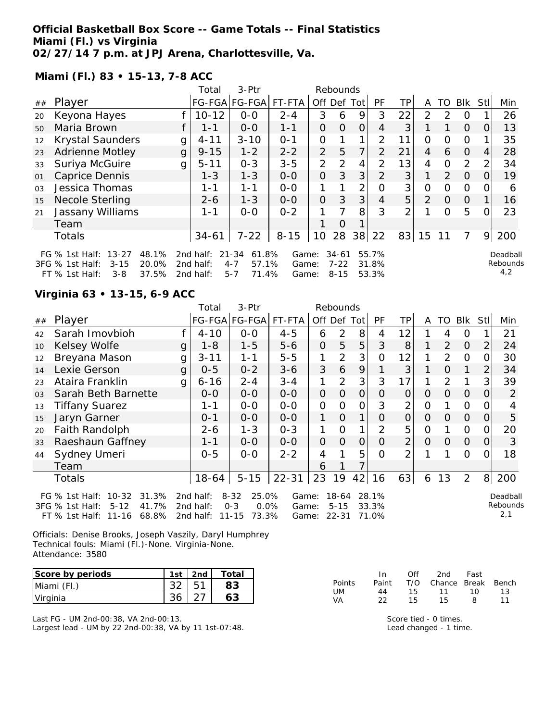**Official Basketball Box Score -- Game Totals -- Final Statistics Miami (Fl.) vs Virginia 02/27/14 7 p.m. at JPJ Arena, Charlottesville, Va.**

**Miami (Fl.) 83 • 15-13, 7-8 ACC**

|                |                                                                                                                      |   | 3-Ptr<br>Total<br>Rebounds          |                                                            |                         |                |                                   |     |                         |                |               |          |                |     |                             |
|----------------|----------------------------------------------------------------------------------------------------------------------|---|-------------------------------------|------------------------------------------------------------|-------------------------|----------------|-----------------------------------|-----|-------------------------|----------------|---------------|----------|----------------|-----|-----------------------------|
| ##             | Player                                                                                                               |   |                                     | FG-FGA FG-FGA                                              | FT-FTA                  | Off            | Def                               | Tot | PF                      | TP.            | A             | TO       | <b>Blk</b>     | Stl | Min                         |
| 20             | Keyona Hayes                                                                                                         |   | $10 - 12$                           | $0-0$                                                      | $2 - 4$                 | 3              | 6                                 | 9   | 3                       | 22             | $\mathcal{P}$ | 2        | O              |     | 26                          |
| 50             | Maria Brown                                                                                                          |   | $1 - 1$                             | $0 - 0$                                                    | $1 - 1$                 | 0              | 0                                 | 0   | 4                       | 3              |               |          | $\Omega$       | O   | 13                          |
| 12             | <b>Krystal Saunders</b>                                                                                              | g | $4 - 11$                            | $3 - 10$                                                   | $0 - 1$                 | 0              |                                   | 1   | 2                       | 11             | 0             | 0        | 0              |     | 35                          |
| 23             | <b>Adrienne Motley</b>                                                                                               | g | $9 - 15$                            | $1 - 2$                                                    | $2 - 2$                 | 2              | 5                                 | 7   | $\mathcal{P}$           | 21             | 4             | 6        | $\Omega$       | 4   | 28                          |
| 33             | Suriya McGuire                                                                                                       | g | $5 - 11$                            | $0 - 3$                                                    | $3 - 5$                 | 2              | $\mathcal{P}$                     | 4   | $\mathcal{P}$           | 13             | 4             | $\Omega$ | 2              | 2   | 34                          |
| 01             | <b>Caprice Dennis</b>                                                                                                |   | $1 - 3$                             | $1 - 3$                                                    | $0-0$                   | $\Omega$       | 3                                 | 3   | $\overline{2}$          | 3              | $\mathbf 1$   | 2        | $\Omega$       | Ω   | 19                          |
| 0 <sub>3</sub> | Jessica Thomas                                                                                                       |   | 1-1                                 | $1 - 1$                                                    | $0-0$                   |                |                                   | 2   | 0                       | 3              | Ο             | Ο        | 0              |     | 6                           |
| 15             | Necole Sterling                                                                                                      |   | $2 - 6$                             | $1 - 3$                                                    | $0 - 0$                 | $\overline{O}$ | 3                                 | 3   | 4                       | 5              | 2             | $\Omega$ | $\overline{O}$ |     | 16                          |
| 21             | Jassany Williams                                                                                                     |   | 1-1                                 | $0-0$                                                      | $0 - 2$                 | 1              | 7                                 | 8   | 3                       | $\overline{2}$ |               | Ω        | 5              |     | 23                          |
|                | Team                                                                                                                 |   |                                     |                                                            |                         |                | Ο                                 |     |                         |                |               |          |                |     |                             |
|                | <b>Totals</b>                                                                                                        |   | 34-61                               | $7 - 22$                                                   | $8 - 15$                | 10             | 28                                | 38  | 22                      | 83             | 15            |          | 7              | 9   | 200                         |
|                | $13 - 27$<br>48.1%<br>FG $%$ 1st Half:<br>3FG % 1st Half:<br>20.0%<br>$3 - 15$<br>37.5%<br>FT % 1st Half:<br>$3 - 8$ |   | 2nd half:<br>2nd half:<br>2nd half: | $21 - 34$<br>61.8%<br>57.1%<br>$4 - 7$<br>71.4%<br>$5 - 7$ | Game:<br>Game:<br>Game: |                | $34 - 61$<br>$7 - 22$<br>$8 - 15$ |     | 55.7%<br>31.8%<br>53.3% |                |               |          |                |     | Deadball<br>Rebounds<br>4,2 |

### **Virginia 63 • 13-15, 6-9 ACC**

|                |                                                                                                                 |              | 3-Ptr<br>Total<br>Rebounds          |                                                            |                         |          |                                |                |                         |                |          |                |                |                  |                             |
|----------------|-----------------------------------------------------------------------------------------------------------------|--------------|-------------------------------------|------------------------------------------------------------|-------------------------|----------|--------------------------------|----------------|-------------------------|----------------|----------|----------------|----------------|------------------|-----------------------------|
| ##             | Player                                                                                                          |              |                                     | FG-FGA FG-FGA FT-FTA                                       |                         |          | Off Def                        | Tot            | <b>PF</b>               | ТP             | Α        | TO             | Blk            | Stl              | Min                         |
| 42             | Sarah Imovbioh                                                                                                  |              | $4 - 10$                            | $0-0$                                                      | $4 - 5$                 | 6        | 2                              | 8              | 4                       | 12             |          | 4              | 0              |                  | 21                          |
| 10             | Kelsey Wolfe                                                                                                    | g            | $1 - 8$                             | $1 - 5$                                                    | $5 - 6$                 | $\Omega$ | 5                              | 5              | 3                       | 8              |          | 2              | $\Omega$       | 2                | 24                          |
| 12             | Breyana Mason                                                                                                   | g            | $3 - 11$                            | $1 - 1$                                                    | $5 - 5$                 | 1        | $\overline{2}$                 | 3              | 0                       | 12             |          | 2              | $\Omega$       | $\Omega$         | 30                          |
| 14             | Lexie Gerson                                                                                                    | $\mathsf{g}$ | $0 - 5$                             | $0 - 2$                                                    | $3 - 6$                 | 3        | 6                              | 9              |                         | 3              |          | $\Omega$       |                | $\overline{2}$   | 34                          |
| 23             | Ataira Franklin                                                                                                 | g            | $6 - 16$                            | $2 - 4$                                                    | $3 - 4$                 | 1        | $\overline{2}$                 | 3              | 3                       | 17             |          | $\overline{2}$ | 1              | 3                | 39                          |
| 0 <sub>3</sub> | Sarah Beth Barnette                                                                                             |              | $0 - 0$                             | $0-0$                                                      | $0 - 0$                 | 0        | $\Omega$                       | $\overline{O}$ | O                       | $\overline{O}$ | $\Omega$ | $\Omega$       | $\Omega$       | $\Omega$         | 2                           |
| 13             | <b>Tiffany Suarez</b>                                                                                           |              | 1-1                                 | $0-0$                                                      | $0-0$                   | 0        | $\Omega$                       | 0              | 3                       | 2              | 0        |                | $\mathcal{O}$  | $\left( \right)$ | 4                           |
| 15             | Jaryn Garner                                                                                                    |              | $0 - 1$                             | $0 - 0$                                                    | $0 - 0$                 | 1        | $\Omega$                       | 1              | $\Omega$                | $\overline{O}$ | $\Omega$ | $\Omega$       | $\Omega$       | $\Omega$         | 5                           |
| 20             | Faith Randolph                                                                                                  |              | $2 - 6$                             | $1 - 3$                                                    | $0 - 3$                 |          | O                              |                | $\overline{2}$          | 5              | 0        |                | $\Omega$       | 0                | 20                          |
| 33             | Raeshaun Gaffney                                                                                                |              | $1 - 1$                             | $0-0$                                                      | $0-0$                   | 0        | $\Omega$                       | $\overline{O}$ | $\Omega$                | $\overline{2}$ | $\Omega$ | $\Omega$       | $\overline{O}$ | O                | 3                           |
| 44             | Sydney Umeri                                                                                                    |              | $0 - 5$                             | $0 - 0$                                                    | $2 - 2$                 | 4        |                                | 5              | $\Omega$                | 2              |          |                | $\Omega$       | $\Omega$         | 18                          |
|                | Team                                                                                                            |              |                                     |                                                            |                         | 6        |                                |                |                         |                |          |                |                |                  |                             |
|                | Totals                                                                                                          |              | $18-64$                             | $5 - 15$                                                   | $22 - 31$               | 23       | 19                             | 42             | 16                      | 63             | 6        | 13             | 2              | 8                | 200                         |
|                | $10 - 32$<br>FG $%$ 1st Half:<br>31.3%<br>41.7%<br>3FG % 1st Half:<br>$5 - 12$<br>68.8%<br>FT % 1st Half: 11-16 |              | 2nd half:<br>2nd half:<br>2nd half: | $8 - 32$<br>25.0%<br>$0 - 3$<br>0.0%<br>73.3%<br>$11 - 15$ | Game:<br>Game:<br>Game: |          | 18-64<br>$5 - 15$<br>$22 - 31$ |                | 28.1%<br>33.3%<br>71.0% |                |          |                |                |                  | Deadball<br>Rebounds<br>2,1 |

Officials: Denise Brooks, Joseph Vaszily, Daryl Humphrey Technical fouls: Miami (Fl.)-None. Virginia-None. Attendance: 3580

| Score by periods | 1st | 2nd | Total |
|------------------|-----|-----|-------|
| Miami (Fl.)      |     |     |       |
| Virginia         |     |     |       |

Last FG - UM 2nd-00:38, VA 2nd-00:13. Largest lead - UM by 22 2nd-00:38, VA by 11 1st-07:48.

|        | In In | ∩ff | 2nd                    | - Fast |     |
|--------|-------|-----|------------------------|--------|-----|
| Points | Paint |     | T/O Chance Break Bench |        |     |
| UM     | 44    | 15  | 11                     | 10.    | 13. |
| VA.    | つつ    | 15. | 15.                    | -8     | 11  |

Score tied - 0 times. Lead changed - 1 time.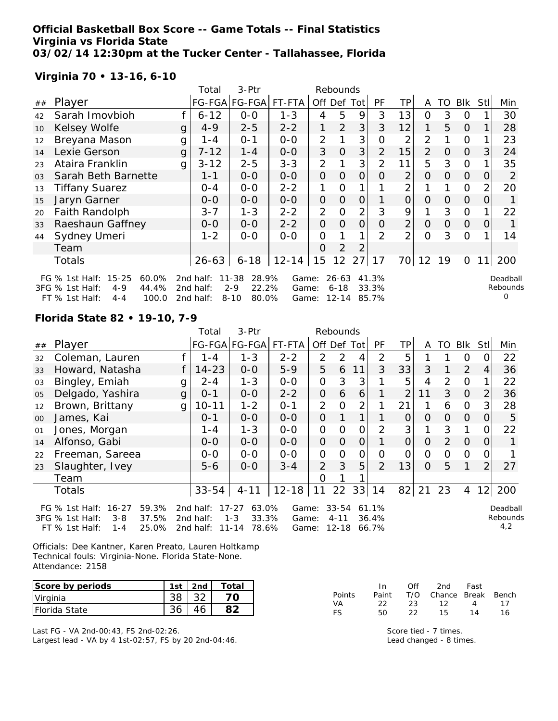### **Official Basketball Box Score -- Game Totals -- Final Statistics Virginia vs Florida State 03/02/14 12:30pm at the Tucker Center - Tallahassee, Florida**

## **Virginia 70 • 13-16, 6-10**

| 3-Ptr<br>Total<br>Rebounds |                                                                               |   |                        |                                        |                |                |                   |                |                |                |                |                |                |                |                      |
|----------------------------|-------------------------------------------------------------------------------|---|------------------------|----------------------------------------|----------------|----------------|-------------------|----------------|----------------|----------------|----------------|----------------|----------------|----------------|----------------------|
| ##                         | Player                                                                        |   |                        | FG-FGA FG-FGA                          | FT-FTA         | Off Def Tot    |                   |                | <b>PF</b>      | TP             | A              | TO             | Blk            | Stl            | Min                  |
| 42                         | Sarah Imovbioh                                                                |   | $6 - 12$               | $0-0$                                  | $1 - 3$        | 4              | 5                 | 9              | 3              | 13             | $\mathbf{O}$   | 3              | 0              |                | 30                   |
| 10                         | Kelsey Wolfe                                                                  | g | $4 - 9$                | $2 - 5$                                | $2 - 2$        | 1              | 2                 | 3              | 3              | 12             | 1              | 5              | $\overline{O}$ |                | 28                   |
| 12                         | Breyana Mason                                                                 | g | 1 - 4                  | $0 - 1$                                | $0-0$          | 2              |                   | 3              | 0              | 2              | 2              |                | $\mathbf{O}$   |                | 23                   |
| 14                         | Lexie Gerson                                                                  | g | $7 - 12$               | $1 - 4$                                | $O-O$          | 3              | $\overline{O}$    | 3              | $\overline{2}$ | 15             | $\overline{2}$ | $\overline{O}$ | $\overline{O}$ | 3              | 24                   |
| 23                         | Ataira Franklin                                                               | g | $3 - 12$               | $2 - 5$                                | $3 - 3$        | $\overline{2}$ |                   | 3              | $\overline{2}$ | 11             | 5              | 3              | $\Omega$       |                | 35                   |
| 03                         | Sarah Beth Barnette                                                           |   | $1 - 1$                | $0-0$                                  | $O-O$          | $\overline{O}$ | $\overline{O}$    | $\overline{O}$ | $\Omega$       | $\overline{2}$ | $\Omega$       | $\Omega$       | $\overline{O}$ | 0              | 2                    |
| 13                         | <b>Tiffany Suarez</b>                                                         |   | $0 - 4$                | $0-0$                                  | $2 - 2$        | 1              | $\overline{0}$    |                |                | 2              |                |                | $\Omega$       | $\overline{2}$ | 20                   |
| 15                         | Jaryn Garner                                                                  |   | $0-0$                  | $0-0$                                  | $0-0$          | $\overline{O}$ | $\overline{O}$    | $\overline{O}$ |                | $\Omega$       | $\Omega$       | 0              | $\overline{O}$ | 0              |                      |
| 20                         | Faith Randolph                                                                |   | $3 - 7$                | $1 - 3$                                | $2 - 2$        | 2              | $\overline{O}$    | $\overline{2}$ | 3              | 9              |                | 3              | $\Omega$       |                | 22                   |
| 33                         | Raeshaun Gaffney                                                              |   | $0-0$                  | $0-0$                                  | $2 - 2$        | $\overline{O}$ | $\overline{O}$    | $\overline{O}$ | $\overline{O}$ | $\overline{2}$ | $\overline{O}$ | $\overline{O}$ | $\mathbf{O}$   | 0              |                      |
| 44                         | Sydney Umeri                                                                  |   | $1 - 2$                | $0-0$                                  | $0 - 0$        | $\mathcal{O}$  |                   | 1              | $\overline{2}$ | $\overline{2}$ | $\overline{O}$ | 3              | $\Omega$       |                | 14                   |
|                            | Team                                                                          |   |                        |                                        |                | $\Omega$       | $\overline{2}$    | 2              |                |                |                |                |                |                |                      |
|                            | <b>Totals</b>                                                                 |   | $26 - 63$              | $6 - 18$                               | $12 - 14$      | 15             | 12                | 27             | 17             | 70             | 12             | 19             | $\mathbf{O}$   | 11             | 200                  |
|                            | $15 - 25$<br>60.0%<br>FG $%$ 1st Half:<br>44.4%<br>3FG % 1st Half:<br>$4 - 9$ |   | 2nd half:<br>2nd half: | 28.9%<br>$11 - 38$<br>$2 - 9$<br>22.2% | Game:<br>Game: |                | 26-63<br>$6 - 18$ |                | 41.3%<br>33.3% |                |                |                |                |                | Deadball<br>Rebounds |
|                            | 100.0<br>$FT$ % 1st Half:<br>$4 - 4$                                          |   | 2nd half:              | $8 - 10$<br>80.0%                      | Game:          |                | $12 - 14$         |                | 85.7%          |                |                |                |                |                |                      |

**Florida State 82 • 19-10, 7-9**

|        |                                                                                                                                                                                                                                                                                                                                                         |              | 3-Ptr<br>Rebounds<br>Total |               |           |                |                |                |                |                |                |          |            |                 |     |
|--------|---------------------------------------------------------------------------------------------------------------------------------------------------------------------------------------------------------------------------------------------------------------------------------------------------------------------------------------------------------|--------------|----------------------------|---------------|-----------|----------------|----------------|----------------|----------------|----------------|----------------|----------|------------|-----------------|-----|
| ##     | Player                                                                                                                                                                                                                                                                                                                                                  |              |                            | FG-FGA FG-FGA | FT-FTA    | Off Def Tot    |                |                | PF             | TPI            | A              | TO       | <b>Blk</b> | <b>Stll</b>     | Min |
| 32     | Coleman, Lauren                                                                                                                                                                                                                                                                                                                                         |              | 1 - 4                      | $1 - 3$       | $2 - 2$   | $\overline{2}$ | $\overline{2}$ | 4              | 2              | 5              |                |          | O          | O               | 22  |
| 33     | Howard, Natasha                                                                                                                                                                                                                                                                                                                                         |              | $14 - 23$                  | $0-0$         | $5 - 9$   | 5              | 6              | 11             | 3              | 33             | 3              |          | 2          | 4               | 36  |
| 03     | Bingley, Emiah                                                                                                                                                                                                                                                                                                                                          | g            | $2 - 4$                    | $1 - 3$       | $0-0$     | $\overline{O}$ | 3              | 3              |                | 5              | 4              | 2        | $\Omega$   |                 | 22  |
| 05     | Delgado, Yashira                                                                                                                                                                                                                                                                                                                                        | $\mathbf{g}$ | $0 - 1$                    | $0-0$         | $2 - 2$   | 0              | 6              | 6              |                | $\overline{2}$ | 11             | 3        | $\Omega$   | $\overline{2}$  | 36  |
| 12     | Brown, Brittany                                                                                                                                                                                                                                                                                                                                         | g            | $10 - 11$                  | $1 - 2$       | $0 - 1$   | $\overline{2}$ | $\Omega$       | 2              |                | 21             |                | 6        | $\Omega$   | 3               | 28  |
| $00\,$ | James, Kai                                                                                                                                                                                                                                                                                                                                              |              | $0 - 1$                    | $0-0$         | $0-0$     | $\overline{O}$ |                |                |                | $\overline{O}$ | $\Omega$       | $\Omega$ | $\Omega$   | O               | 5   |
| 01     | Jones, Morgan                                                                                                                                                                                                                                                                                                                                           |              | 1 - 4                      | $1 - 3$       | $O-O$     | $\overline{O}$ | 0              | $\overline{O}$ | $\overline{2}$ | 3              |                | 3        |            | 0               | 22  |
| 14     | Alfonso, Gabi                                                                                                                                                                                                                                                                                                                                           |              | $O-O$                      | $0 - 0$       | $0-0$     | $\Omega$       | $\Omega$       | $\overline{O}$ |                | $\Omega$       | $\Omega$       | 2        | $\Omega$   | O               |     |
| 22     | Freeman, Sareea                                                                                                                                                                                                                                                                                                                                         |              | $0-0$                      | $0 - 0$       | $0 - 0$   | O              | O              | $\Omega$       | O              | 0              | $\Omega$       | $\Omega$ | $\Omega$   | 0               |     |
| 23     | Slaughter, Ivey                                                                                                                                                                                                                                                                                                                                         |              | $5 - 6$                    | $O-O$         | $3 - 4$   | $\overline{2}$ | 3              | 5              | $\overline{2}$ | 13             | $\overline{O}$ | 5        | 1          | 2               | 27  |
|        | Team                                                                                                                                                                                                                                                                                                                                                    |              |                            |               |           | 0              |                |                |                |                |                |          |            |                 |     |
|        | <b>Totals</b>                                                                                                                                                                                                                                                                                                                                           |              | $33 - 54$                  | $4 - 11$      | $12 - 18$ | 11             | 22             | 33             | 14             | 82             | 21             | 23       | 4          | 12 <sub>l</sub> | 200 |
|        | 59.3%<br>63.0%<br>$33 - 54$<br>FG $%$ 1st Half:<br>$16 - 27$<br>2nd half:<br>$17 - 27$<br>61.1%<br>Game:<br>Deadball<br>Rebounds<br>37.5%<br>$1 - 3$<br>3FG % 1st Half:<br>33.3%<br>$3 - 8$<br>2nd half:<br>$4 - 11$<br>36.4%<br>Game:<br>4,2<br>25.0%<br>$11 - 14$<br>78.6%<br>$12 - 18$<br>$FT$ % 1st Half:<br>2nd half:<br>66.7%<br>$1 - 4$<br>Game: |              |                            |               |           |                |                |                |                |                |                |          |            |                 |     |

Officials: Dee Kantner, Karen Preato, Lauren Holtkamp Technical fouls: Virginia-None. Florida State-None. Attendance: 2158

| Score by periods      | 1st | 2nd | Total |
|-----------------------|-----|-----|-------|
| Virginia              |     |     |       |
| <b>IFlorida State</b> |     |     |       |

Last FG - VA 2nd-00:43, FS 2nd-02:26. Largest lead - VA by 4 1st-02:57, FS by 20 2nd-04:46.

|               | In.   | ∩ff | 2nd                    | Fast |    |
|---------------|-------|-----|------------------------|------|----|
| <b>Points</b> | Paint |     | T/O Chance Break Bench |      |    |
| VA.           | 22.   | 23  | 12                     | 4    | 17 |
| <b>FS</b>     | 50.   | フフ  | 15.                    | 14   | 16 |

Score tied - 7 times. Lead changed - 8 times.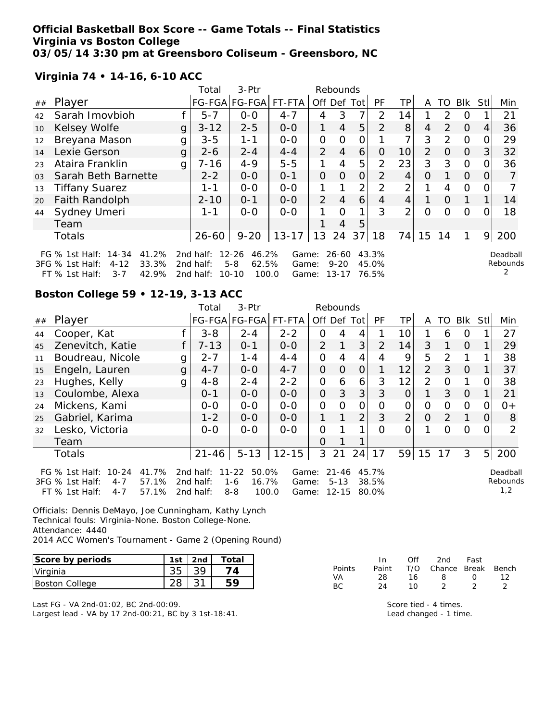#### **Official Basketball Box Score -- Game Totals -- Final Statistics Virginia vs Boston College 03/05/14 3:30 pm at Greensboro Coliseum - Greensboro, NC**

2nd half: 10-10 100.0

|                 |                                                                                                                                                                                                                                     | Total    | $3-Ptr$              |         |                | Rebounds       |             |                |                 |          |               |                |     |     |
|-----------------|-------------------------------------------------------------------------------------------------------------------------------------------------------------------------------------------------------------------------------------|----------|----------------------|---------|----------------|----------------|-------------|----------------|-----------------|----------|---------------|----------------|-----|-----|
| ##              | Player                                                                                                                                                                                                                              |          | FG-FGA FG-FGA FT-FTA |         | Off            | Def            | Totl        | PF             | TP.             | Α        | TO            | <b>Blk</b>     | Stl | Min |
| 42              | Sarah Imovbioh                                                                                                                                                                                                                      | $5 - 7$  | $0 - 0$              | $4 - 7$ | 4              | 3              |             | 2              | 14              |          | $\mathcal{P}$ | O              |     | 21  |
| 10 <sup>°</sup> | Kelsey Wolfe<br>g                                                                                                                                                                                                                   | $3 - 12$ | $2 - 5$              | $0 - 0$ | 1              | $\overline{4}$ | 5           | 2              | 8               | 4        | $\mathcal{P}$ | $\Omega$       | 4   | 36  |
| 12              | Breyana Mason<br>g                                                                                                                                                                                                                  | $3 - 5$  | 1-1                  | $0-0$   | 0              | Ω              | 0           |                | 7               | 3        | 2             | $\Omega$       | O   | 29  |
| 14              | Lexie Gerson<br>g                                                                                                                                                                                                                   | $2 - 6$  | $2 - 4$              | $4 - 4$ | $\overline{2}$ | 4              | 6           | 0              | 10 <sup>1</sup> | 2        | $\Omega$      | $\Omega$       | 3   | 32  |
| 23              | Ataira Franklin<br>g                                                                                                                                                                                                                | $7 - 16$ | $4 - 9$              | $5 - 5$ | 1              | 4              | 5           | 2              | 23              | 3        | 3             | $\Omega$       | Ο   | 36  |
| 0 <sub>3</sub>  | Sarah Beth Barnette                                                                                                                                                                                                                 | $2 - 2$  | $0 - 0$              | $O - 1$ | $\Omega$       | Ω              | 0           | $\overline{2}$ | $\vert$         | Ω        |               | $\Omega$       | 0   |     |
| 13              | <b>Tiffany Suarez</b>                                                                                                                                                                                                               | 1-1      | $0 - 0$              | $0-0$   | 1              | 1              | ↑           | 2              | ⌒               |          | 4             | $\overline{O}$ | Ω   |     |
| 20              | Faith Randolph                                                                                                                                                                                                                      | $2 - 10$ | $0 - 1$              | $O-O$   | 2              | 4              | 6           | 4              | 4               |          | $\Omega$      |                |     | 14  |
| 44              | Sydney Umeri                                                                                                                                                                                                                        | 1-1      | $0 - 0$              | $O-O$   |                | $\Omega$       | $\mathbf 1$ | 3              | 2 <sub>1</sub>  | $\Omega$ | ∩             | $\Omega$       | ∩   | 18  |
|                 | Team                                                                                                                                                                                                                                |          |                      |         |                | 4              | 5           |                |                 |          |               |                |     |     |
|                 | 200<br>$13 - 17$<br>13<br>24<br>$9 - 20$<br>37<br>18<br>15<br>74 l<br>14<br>9<br>$26 - 60$<br><b>Totals</b>                                                                                                                         |          |                      |         |                |                |             |                |                 |          |               |                |     |     |
|                 | $12 - 26$<br>$14 - 34$<br>41.2%<br>2nd half:<br>46.2%<br>26-60<br>43.3%<br>FG $%$ 1st Half:<br>Game:<br>Deadball<br>Rebounds<br>33.3%<br>62.5%<br>3FG % 1st Half:<br>2nd half:<br>$5 - 8$<br>$9 - 20$<br>45.0%<br>$4 - 12$<br>Game: |          |                      |         |                |                |             |                |                 |          |               |                |     |     |

Game: 13-17 76.5%

#### **Virginia 74 • 14-16, 6-10 ACC**

**Boston College 59 • 12-19, 3-13 ACC**

FT % 1st Half: 3-7 42.9%

|    |                                                                                                                                                                                                                                                                                                                                                      |   | 3-Ptr<br>Rebounds<br>Total |               |           |                |          |                |                |                |          |               |                |                |               |
|----|------------------------------------------------------------------------------------------------------------------------------------------------------------------------------------------------------------------------------------------------------------------------------------------------------------------------------------------------------|---|----------------------------|---------------|-----------|----------------|----------|----------------|----------------|----------------|----------|---------------|----------------|----------------|---------------|
| ## | Player                                                                                                                                                                                                                                                                                                                                               |   |                            | FG-FGA FG-FGA | FT-FTA    | Off Def Tot    |          |                | <b>PF</b>      | TP             | A        | TO            | Blk            | Stll           | Min           |
| 44 | Cooper, Kat                                                                                                                                                                                                                                                                                                                                          |   | $3 - 8$                    | $2 - 4$       | $2 - 2$   | 0              | 4        | 4              |                | 10             |          | 6             | 0              |                | 27            |
| 45 | Zenevitch, Katie                                                                                                                                                                                                                                                                                                                                     |   | $7 - 13$                   | $0 - 1$       | $0 - 0$   | $\overline{2}$ |          | 3              | $\overline{2}$ | 14             | 3        |               | $\Omega$       |                | 29            |
| 11 | Boudreau, Nicole                                                                                                                                                                                                                                                                                                                                     | g | $2 - 7$                    | $1 - 4$       | $4 - 4$   | $\mathbf{O}$   | 4        | 4              | 4              | 9              | 5        | $\mathcal{P}$ |                |                | 38            |
| 15 | Engeln, Lauren                                                                                                                                                                                                                                                                                                                                       | g | $4 - 7$                    | $0 - 0$       | $4 - 7$   | $\Omega$       | $\Omega$ | $\overline{O}$ |                | 12             | 2        | 3             | $\Omega$       |                | 37            |
| 23 | Hughes, Kelly                                                                                                                                                                                                                                                                                                                                        | g | $4 - 8$                    | $2 - 4$       | $2 - 2$   | $\mathcal{O}$  | 6        | 6              | 3              | 12             | 2        | 0             |                | O              | 38            |
| 13 | Coulombe, Alexa                                                                                                                                                                                                                                                                                                                                      |   | $0 - 1$                    | $0-0$         | $0-0$     | $\overline{O}$ | 3        | 3              | 3              | $\Omega$       |          | 3             | $\overline{O}$ |                | 21            |
| 24 | Mickens, Kami                                                                                                                                                                                                                                                                                                                                        |   | $0 - 0$                    | $0 - 0$       | $0 - 0$   | $\mathbf{O}$   | O        | O              | 0              | 0              | O        | 0             | 0              | $\Omega$       | $0+$          |
| 25 | Gabriel, Karima                                                                                                                                                                                                                                                                                                                                      |   | $1 - 2$                    | $0 - 0$       | $0 - 0$   | 1              |          | 2              | 3              | $\overline{2}$ | $\Omega$ | $\mathcal{P}$ |                | 0              | 8             |
| 32 | Lesko, Victoria                                                                                                                                                                                                                                                                                                                                      |   | $0-0$                      | $O-O$         | $0-0$     | $\Omega$       |          |                | $\Omega$       | O              |          | Ω             | $\Omega$       | O.             | $\mathcal{P}$ |
|    | Team                                                                                                                                                                                                                                                                                                                                                 |   |                            |               |           | $\Omega$       |          |                |                |                |          |               |                |                |               |
|    | <b>Totals</b>                                                                                                                                                                                                                                                                                                                                        |   | $21 - 46$                  | $5 - 13$      | $12 - 15$ | 3              | 21       | 24             | 17             | 59             | 15       | 17            | 3              | 5 <sup>1</sup> | 200           |
|    | $11 - 22$<br>50.0%<br>FG $\%$ 1st Half:<br>$10 - 24$<br>41.7%<br>2nd half:<br>$21 - 46$<br>45.7%<br>Game:<br>Deadball<br>Rebounds<br>3FG % 1st Half:<br>57.1%<br>16.7%<br>$4 - 7$<br>2nd half:<br>$5 - 13$<br>38.5%<br>$1 - 6$<br>Game:<br>1,2<br>57.1%<br>100.0<br>FT % 1st Half:<br>$8 - 8$<br>80.0%<br>$4 - 7$<br>2nd half:<br>$12 - 15$<br>Game: |   |                            |               |           |                |          |                |                |                |          |               |                |                |               |

Officials: Dennis DeMayo, Joe Cunningham, Kathy Lynch Technical fouls: Virginia-None. Boston College-None. Attendance: 4440 2014 ACC Women's Tournament - Game 2 (Opening Round)

| Score by periods | 1st | 2 <sub>nd</sub> | Total |
|------------------|-----|-----------------|-------|
| Virginia         |     |                 |       |
| Boston College   |     |                 |       |

Last FG - VA 2nd-01:02, BC 2nd-00:09. Largest lead - VA by 17 2nd-00:21, BC by 3 1st-18:41.

|        | In.   | Off      | 2nd                    | Fast             |    |
|--------|-------|----------|------------------------|------------------|----|
| Points | Paint |          | T/O Chance Break Bench |                  |    |
| VA     | 28.   | 16       | <b>B</b>               | $\left( \right)$ | 12 |
| BC.    | 24    | $1 \cap$ |                        |                  |    |

2

Score tied - 4 times. Lead changed - 1 time.